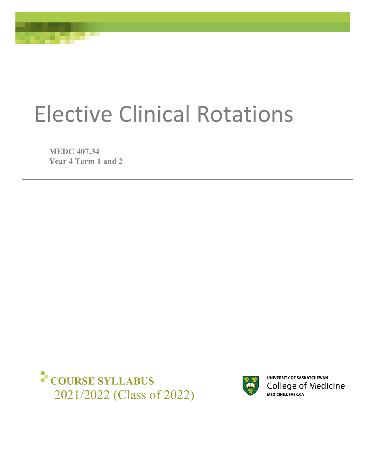# Elective Clinical Rotations

**MEDC 407.34 Year 4 Term 1 and 2**





UNIVERSITY OF SASKATCHEWAN College of Medicine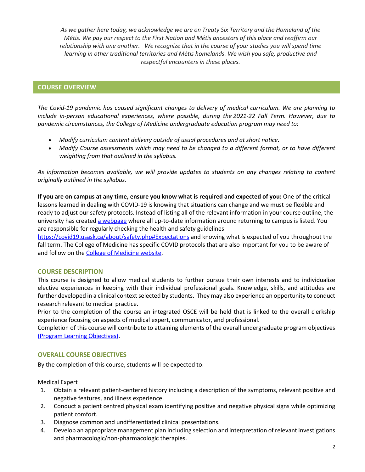*As we gather here today, we acknowledge we are on Treaty Six Territory and the Homeland of the Métis. We pay our respect to the First Nation and Métis ancestors of this place and reaffirm our relationship with one another. We recognize that in the course of your studies you will spend time learning in other traditional territories and Métis homelands. We wish you safe, productive and respectful encounters in these places.*

# **COURSE OVERVIEW**

*The Covid-19 pandemic has caused significant changes to delivery of medical curriculum. We are planning to include in-person educational experiences, where possible, during the 2021-22 Fall Term. However, due to pandemic circumstances, the College of Medicine undergraduate education program may need to:* 

- *Modify curriculum content delivery outside of usual procedures and at short notice.*
- *Modify Course assessments which may need to be changed to a different format, or to have different weighting from that outlined in the syllabus.*

*As information becomes available, we will provide updates to students on any changes relating to content originally outlined in the syllabus.* 

**If you are on campus at any time, ensure you know what is required and expected of you:** One of the critical lessons learned in dealing with COVID-19 is knowing that situations can change and we must be flexible and ready to adjust our safety protocols. Instead of listing all of the relevant information in your course outline, the university has created [a webpage](https://covid19.usask.ca/students.php#Oncampusessentials) where all up-to-date information around returning to campus is listed. You are responsible for regularly checking the health and safety guidelines

<https://covid19.usask.ca/about/safety.php#Expectations>and knowing what is expected of you throughout the fall term. The College of Medicine has specific COVID protocols that are also important for you to be aware of and follow on th[e College of Medicine website.](https://medicine.usask.ca/students/covid19.php)

# **COURSE DESCRIPTION**

This course is designed to allow medical students to further pursue their own interests and to individualize elective experiences in keeping with their individual professional goals. Knowledge, skills, and attitudes are further developed in a clinical context selected by students. They may also experience an opportunity to conduct research relevant to medical practice.

Prior to the completion of the course an integrated OSCE will be held that is linked to the overall clerkship experience focusing on aspects of medical expert, communicator, and professional.

Completion of this course will contribute to attaining elements of the overall undergraduate program objectives [\(Program Learning Objectives\).](https://medicine.usask.ca/students/undergraduate/curriculum-schedules-objectives.php)

# **OVERALL COURSE OBJECTIVES**

By the completion of this course, students will be expected to:

Medical Expert

- 1. Obtain a relevant patient-centered history including a description of the symptoms, relevant positive and negative features, and illness experience.
- 2. Conduct a patient centred physical exam identifying positive and negative physical signs while optimizing patient comfort.
- 3. Diagnose common and undifferentiated clinical presentations.
- 4. Develop an appropriate management plan including selection and interpretation of relevant investigations and pharmacologic/non-pharmacologic therapies.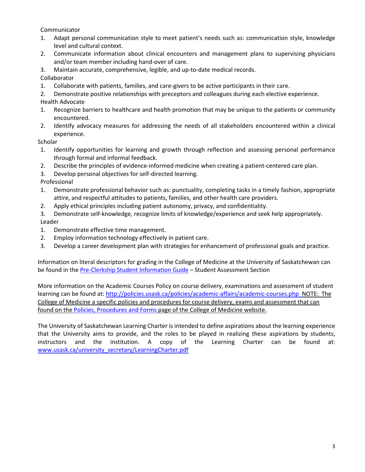Communicator

- 1. Adapt personal communication style to meet patient's needs such as: communication style, knowledge level and cultural context.
- 2. Communicate information about clinical encounters and management plans to supervising physicians and/or team member including hand-over of care.
- 3. Maintain accurate, comprehensive, legible, and up-to-date medical records.

Collaborator

- 1. Collaborate with patients, families, and care-givers to be active participants in their care.
- 2. Demonstrate positive relationships with preceptors and colleagues during each elective experience. Health Advocate
- 1. Recognize barriers to healthcare and health promotion that may be unique to the patients or community encountered.
- 2. Identify advocacy measures for addressing the needs of all stakeholders encountered within a clinical experience.

**Scholar** 

- 1. Identify opportunities for learning and growth through reflection and assessing personal performance through formal and informal feedback.
- 2. Describe the principles of evidence-informed medicine when creating a patient-centered care plan.
- 3. Develop personal objectives for self-directed learning.

Professional

- 1. Demonstrate professional behavior such as: punctuality, completing tasks in a timely fashion, appropriate attire, and respectful attitudes to patients, families, and other health care providers.
- 2. Apply ethical principles including patient autonomy, privacy, and confidentiality.
- 3. Demonstrate self-knowledge, recognize limits of knowledge/experience and seek help appropriately. Leader
- 1. Demonstrate effective time management.
- 2. Employ information technology effectively in patient care.
- 3. Develop a career development plan with strategies for enhancement of professional goals and practice.

Information on literal descriptors for grading in the College of Medicine at the University of Saskatchewan can be found in the [Pre-Clerkship Student Information Guide –](https://medicine.usask.ca/documents/ugme/syllabi/student-guide-to-pre-clerkship.pdf) Student Assessment Section

More information on the Academic Courses Policy on course delivery, examinations and assessment of student learning can be found at[: http://policies.usask.ca/policies/academic-affairs/academic-courses.php](http://policies.usask.ca/policies/academic-affairs/academic-courses.php) NOTE: The College of Medicine a specific policies and procedures for course delivery, exams and assessment that can found on the [Policies, Procedures and Forms](https://medicine.usask.ca/students/undergraduate/policies.php) page of the College of Medicine website.

The University of Saskatchewan Learning Charter is intended to define aspirations about the learning experience that the University aims to provide, and the roles to be played in realizing these aspirations by students, instructors and the institution. A copy of the Learning Charter can be found at: [www.usask.ca/university\\_secretary/LearningCharter.pdf](http://www.usask.ca/university_secretary/LearningCharter.pdf)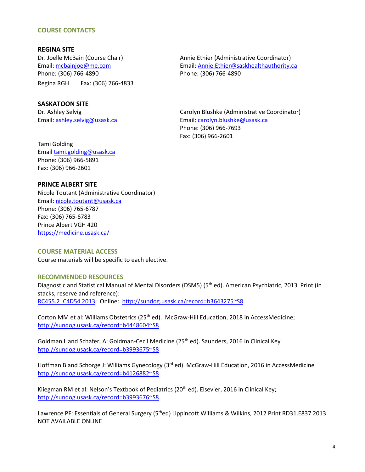## **COURSE CONTACTS**

**REGINA SITE**  Phone: (306) 766-4890 Phone: (306) 766-4890 Regina RGH Fax: (306) 766-4833

Dr. Joelle McBain (Course Chair) Annie Ethier (Administrative Coordinator) Email: mcbainjoe@me.com Email: [Annie.Ethier@saskhealthauthority.ca](mailto:Annie.Ethier@saskhealthauthority.ca) 

## **SASKATOON SITE**

Dr. Ashley Selvig Carolyn Blushke (Administrative Coordinator) Email: ashley.selvig@usask.ca Email: carolyn.blushke@usask.ca Phone: (306) 966-7693 Fax: (306) 966-2601

Tami Golding Email [tami.golding@usask.ca](mailto:ugme.electives@usask.ca) Phone: (306) 966-5891 Fax: (306) 966-2601

## **PRINCE ALBERT SITE**

Nicole Toutant (Administrative Coordinator) Email: [nicole.toutant@usask.ca](mailto:nicole.toutant@usask.ca)  Phone: (306) 765-6787 Fax: (306) 765-6783 Prince Albert VGH 420 https://medicine.usask.ca/

#### **COURSE MATERIAL ACCESS**

Course materials will be specific to each elective.

#### **RECOMMENDED RESOURCES**

Diagnostic and Statistical Manual of Mental Disorders (DSM5) (5<sup>th</sup> ed). American Psychiatric, 2013 Print (in stacks, reserve and reference): [RC455.2 .C4D54 2013;](http://sundog.usask.ca/search~S8?/cRC455.2+.C4D54+2013/crc++455.2+c4+d54+2013/-3,-1,,E/browse) Online: <http://sundog.usask.ca/record=b3643275~S8>

Corton MM et al: Williams Obstetrics (25<sup>th</sup> ed). McGraw-Hill Education, 2018 in AccessMedicine; <http://sundog.usask.ca/record=b4448604~S8>

Goldman L and Schafer, A: Goldman-Cecil Medicine (25<sup>th</sup> ed). Saunders, 2016 in Clinical Key <http://sundog.usask.ca/record=b3993675~S8>

Hoffman B and Schorge J: Williams Gynecology (3<sup>rd</sup> ed). McGraw-Hill Education, 2016 in AccessMedicine <http://sundog.usask.ca/record=b4126882~S8>

Kliegman RM et al: Nelson's Textbook of Pediatrics (20<sup>th</sup> ed). Elsevier, 2016 in Clinical Key; <http://sundog.usask.ca/record=b3993676~S8>

Lawrence PF: Essentials of General Surgery (5<sup>th</sup>ed) Lippincott Williams & Wilkins, 2012 Print RD31.E837 2013 NOT AVAILABLE ONLINE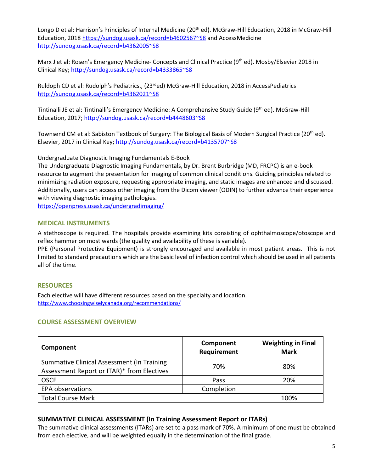Longo D et al: Harrison's Principles of Internal Medicine (20<sup>th</sup> ed). McGraw-Hill Education, 2018 in McGraw-Hill Education, 2018 [https://sundog.usask.ca/record=b4602567~S8 a](https://sundog.usask.ca/record=b4602567~S8)nd AccessMedicine <http://sundog.usask.ca/record=b4362005~S8>

Marx J et al: Rosen's Emergency Medicine- Concepts and Clinical Practice (9<sup>th</sup> ed). Mosby/Elsevier 2018 in Clinical Key;<http://sundog.usask.ca/record=b4333865~S8>

Ruldoph CD et al: Rudolph's Pediatrics., (23<sup>rd</sup>ed) McGraw-Hill Education, 2018 in AccessPediatrics <http://sundog.usask.ca/record=b4362021~S8>

Tintinalli JE et al: Tintinalli's Emergency Medicine: A Comprehensive Study Guide (9th ed). McGraw-Hill Education, 2017;<http://sundog.usask.ca/record=b4448603~S8>

Townsend CM et al: Sabiston Textbook of Surgery: The Biological Basis of Modern Surgical Practice (20<sup>th</sup> ed). Elsevier, 2017 in Clinical Key;<http://sundog.usask.ca/record=b4135707~S8>

# Undergraduate Diagnostic Imaging Fundamentals E-Book

The Undergraduate Diagnostic Imaging Fundamentals, by Dr. Brent Burbridge (MD, FRCPC) is an e-book resource to augment the presentation for imaging of common clinical conditions. Guiding principles related to minimizing radiation exposure, requesting appropriate imaging, and static images are enhanced and discussed. Additionally, users can access other imaging from the Dicom viewer (ODIN) to further advance their experience with viewing diagnostic imaging pathologies.

<https://openpress.usask.ca/undergradimaging/>

# **MEDICAL INSTRUMENTS**

A stethoscope is required. The hospitals provide examining kits consisting of ophthalmoscope/otoscope and reflex hammer on most wards (the quality and availability of these is variable).

PPE (Personal Protective Equipment) is strongly encouraged and available in most patient areas. This is not limited to standard precautions which are the basic level of infection control which should be used in all patients all of the time.

# **RESOURCES**

Each elective will have different resources based on the specialty and location. <http://www.choosingwiselycanada.org/recommendations/>

# **COURSE ASSESSMENT OVERVIEW**

| Component                                                                                | Component<br>Requirement | <b>Weighting in Final</b><br><b>Mark</b> |
|------------------------------------------------------------------------------------------|--------------------------|------------------------------------------|
| Summative Clinical Assessment (In Training<br>Assessment Report or ITAR)* from Electives | 70%                      | 80%                                      |
| <b>OSCE</b>                                                                              | Pass                     | 20%                                      |
| <b>EPA observations</b>                                                                  | Completion               |                                          |
| <b>Total Course Mark</b>                                                                 |                          | 100%                                     |

# **SUMMATIVE CLINICAL ASSESSMENT (In Training Assessment Report or ITARs)**

The summative clinical assessments (ITARs) are set to a pass mark of 70%. A minimum of one must be obtained from each elective, and will be weighted equally in the determination of the final grade.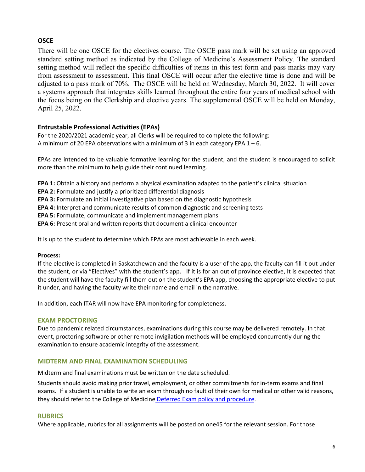# **OSCE**

There will be one OSCE for the electives course. The OSCE pass mark will be set using an approved standard setting method as indicated by the College of Medicine's Assessment Policy. The standard setting method will reflect the specific difficulties of items in this test form and pass marks may vary from assessment to assessment. This final OSCE will occur after the elective time is done and will be adjusted to a pass mark of 70%. The OSCE will be held on Wednesday, March 30, 2022. It will cover a systems approach that integrates skills learned throughout the entire four years of medical school with the focus being on the Clerkship and elective years. The supplemental OSCE will be held on Monday, April 25, 2022.

# **Entrustable Professional Activities (EPAs)**

For the 2020/2021 academic year, all Clerks will be required to complete the following: A minimum of 20 EPA observations with a minimum of 3 in each category EPA  $1 - 6$ .

EPAs are intended to be valuable formative learning for the student, and the student is encouraged to solicit more than the minimum to help guide their continued learning.

**EPA 1:** Obtain a history and perform a physical examination adapted to the patient's clinical situation

**EPA 2:** Formulate and justify a prioritized differential diagnosis

**EPA 3:** Formulate an initial investigative plan based on the diagnostic hypothesis

**EPA 4:** Interpret and communicate results of common diagnostic and screening tests

**EPA 5:** Formulate, communicate and implement management plans

**EPA 6:** Present oral and written reports that document a clinical encounter

It is up to the student to determine which EPAs are most achievable in each week.

# **Process:**

If the elective is completed in Saskatchewan and the faculty is a user of the app, the faculty can fill it out under the student, or via "Electives" with the student's app. If it is for an out of province elective, It is expected that the student will have the faculty fill them out on the student's EPA app, choosing the appropriate elective to put it under, and having the faculty write their name and email in the narrative.

In addition, each ITAR will now have EPA monitoring for completeness.

# **EXAM PROCTORING**

Due to pandemic related circumstances, examinations during this course may be delivered remotely. In that event, proctoring software or other remote invigilation methods will be employed concurrently during the examination to ensure academic integrity of the assessment.

# **MIDTERM AND FINAL EXAMINATION SCHEDULING**

Midterm and final examinations must be written on the date scheduled.

Students should avoid making prior travel, employment, or other commitments for in-term exams and final exams. If a student is unable to write an exam through no fault of their own for medical or other valid reasons, they should refer to the College of Medicine [Deferred Exam policy and procedure.](https://medicine.usask.ca/policies/deferred-exams.php)

# **RUBRICS**

Where applicable, rubrics for all assignments will be posted on one45 for the relevant session. For those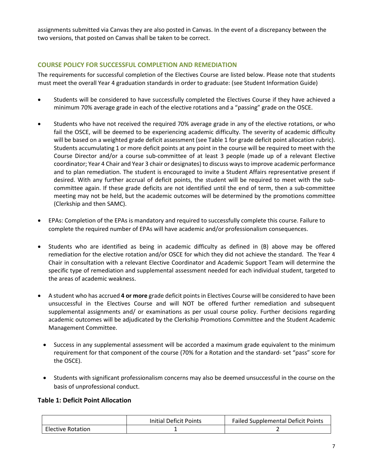assignments submitted via Canvas they are also posted in Canvas. In the event of a discrepancy between the two versions, that posted on Canvas shall be taken to be correct.

# **COURSE POLICY FOR SUCCESSFUL COMPLETION AND REMEDIATION**

The requirements for successful completion of the Electives Course are listed below. Please note that students must meet the overall Year 4 graduation standards in order to graduate: (see Student Information Guide)

- Students will be considered to have successfully completed the Electives Course if they have achieved a minimum 70% average grade in each of the elective rotations and a "passing" grade on the OSCE.
- Students who have not received the required 70% average grade in any of the elective rotations, or who fail the OSCE, will be deemed to be experiencing academic difficulty. The severity of academic difficulty will be based on a weighted grade deficit assessment (see Table 1 for grade deficit point allocation rubric). Students accumulating 1 or more deficit points at any point in the course will be required to meet with the Course Director and/or a course sub-committee of at least 3 people (made up of a relevant Elective coordinator; Year 4 Chair and Year 3 chair or designates) to discuss ways to improve academic performance and to plan remediation. The student is encouraged to invite a Student Affairs representative present if desired. With any further accrual of deficit points, the student will be required to meet with the subcommittee again. If these grade deficits are not identified until the end of term, then a sub-committee meeting may not be held, but the academic outcomes will be determined by the promotions committee (Clerkship and then SAMC).
- EPAs: Completion of the EPAs is mandatory and required to successfully complete this course. Failure to complete the required number of EPAs will have academic and/or professionalism consequences.
- Students who are identified as being in academic difficulty as defined in (B) above may be offered remediation for the elective rotation and/or OSCE for which they did not achieve the standard. The Year 4 Chair in consultation with a relevant Elective Coordinator and Academic Support Team will determine the specific type of remediation and supplemental assessment needed for each individual student, targeted to the areas of academic weakness.
- A student who has accrued **4 or more** grade deficit points in Electives Course will be considered to have been unsuccessful in the Electives Course and will NOT be offered further remediation and subsequent supplemental assignments and/ or examinations as per usual course policy. Further decisions regarding academic outcomes will be adjudicated by the Clerkship Promotions Committee and the Student Academic Management Committee.
	- Success in any supplemental assessment will be accorded a maximum grade equivalent to the minimum requirement for that component of the course (70% for a Rotation and the standard- set "pass" score for the OSCE).
	- Students with significant professionalism concerns may also be deemed unsuccessful in the course on the basis of unprofessional conduct.

# **Table 1: Deficit Point Allocation**

|                          | <b>Initial Deficit Points</b> | Failed Supplemental Deficit Points |
|--------------------------|-------------------------------|------------------------------------|
| <b>Elective Rotation</b> |                               |                                    |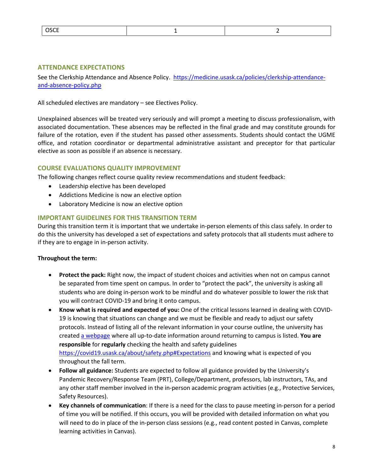| CCT<br><b>UJLL</b> |  |  |
|--------------------|--|--|
|--------------------|--|--|

# **ATTENDANCE EXPECTATIONS**

See the Clerkship Attendance and Absence Policy. [https://medicine.usask.ca/policies/clerkship-attendance](https://medicine.usask.ca/policies/clerkship-attendance-and-absence-policy.php)[and-absence-policy.php](https://medicine.usask.ca/policies/clerkship-attendance-and-absence-policy.php)

All scheduled electives are mandatory – see Electives Policy.

Unexplained absences will be treated very seriously and will prompt a meeting to discuss professionalism, with associated documentation. These absences may be reflected in the final grade and may constitute grounds for failure of the rotation, even if the student has passed other assessments. Students should contact the UGME office, and rotation coordinator or departmental administrative assistant and preceptor for that particular elective as soon as possible if an absence is necessary.

# **COURSE EVALUATIONS QUALITY IMPROVEMENT**

The following changes reflect course quality review recommendations and student feedback:

- Leadership elective has been developed
- Addictions Medicine is now an elective option
- Laboratory Medicine is now an elective option

# **IMPORTANT GUIDELINES FOR THIS TRANSITION TERM**

During this transition term it is important that we undertake in-person elements of this class safely. In order to do this the university has developed a set of expectations and safety protocols that all students must adhere to if they are to engage in in-person activity.

# **Throughout the term:**

- **Protect the pack:** Right now, the impact of student choices and activities when not on campus cannot be separated from time spent on campus. In order to "protect the pack", the university is asking all students who are doing in-person work to be mindful and do whatever possible to lower the risk that you will contract COVID-19 and bring it onto campus.
- **Know what is required and expected of you:** One of the critical lessons learned in dealing with COVID-19 is knowing that situations can change and we must be flexible and ready to adjust our safety protocols. Instead of listing all of the relevant information in your course outline, the university has created [a webpage](https://covid19.usask.ca/students.php#Oncampusessentials) where all up-to-date information around returning to campus is listed. **You are responsible** for **regularly** checking the health and safety guidelines <https://covid19.usask.ca/about/safety.php#Expectations>and knowing what is expected of you throughout the fall term.
- **Follow all guidance:** Students are expected to follow all guidance provided by the University's Pandemic Recovery/Response Team (PRT), College/Department, professors, lab instructors, TAs, and any other staff member involved in the in-person academic program activities (e.g., Protective Services, Safety Resources).
- **Key channels of communication**: If there is a need for the class to pause meeting in-person for a period of time you will be notified. If this occurs, you will be provided with detailed information on what you will need to do in place of the in-person class sessions (e.g., read content posted in Canvas, complete learning activities in Canvas).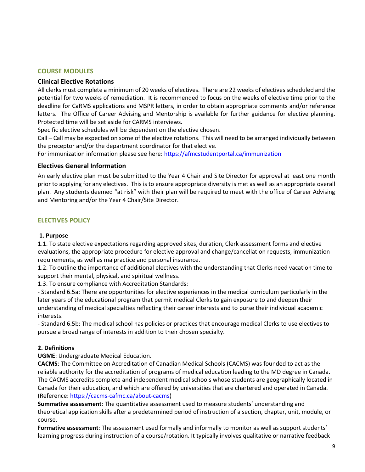# **COURSE MODULES**

# **Clinical Elective Rotations**

All clerks must complete a minimum of 20 weeks of electives. There are 22 weeks of electives scheduled and the potential for two weeks of remediation. It is recommended to focus on the weeks of elective time prior to the deadline for CaRMS applications and MSPR letters, in order to obtain appropriate comments and/or reference letters. The Office of Career Advising and Mentorship is available for further guidance for elective planning. Protected time will be set aside for CARMS interviews.

Specific elective schedules will be dependent on the elective chosen.

Call – Call may be expected on some of the elective rotations. This will need to be arranged individually between the preceptor and/or the department coordinator for that elective.

For immunization information please see here:<https://afmcstudentportal.ca/immunization>

# **Electives General Information**

An early elective plan must be submitted to the Year 4 Chair and Site Director for approval at least one month prior to applying for any electives. This is to ensure appropriate diversity is met as well as an appropriate overall plan. Any students deemed "at risk" with their plan will be required to meet with the office of Career Advising and Mentoring and/or the Year 4 Chair/Site Director.

# **ELECTIVES POLICY**

# **1. Purpose**

1.1. To state elective expectations regarding approved sites, duration, Clerk assessment forms and elective evaluations, the appropriate procedure for elective approval and change/cancellation requests, immunization requirements, as well as malpractice and personal insurance.

1.2. To outline the importance of additional electives with the understanding that Clerks need vacation time to support their mental, physical, and spiritual wellness.

1.3. To ensure compliance with Accreditation Standards:

- Standard 6.5a: There are opportunities for elective experiences in the medical curriculum particularly in the later years of the educational program that permit medical Clerks to gain exposure to and deepen their understanding of medical specialties reflecting their career interests and to purse their individual academic interests.

- Standard 6.5b: The medical school has policies or practices that encourage medical Clerks to use electives to pursue a broad range of interests in addition to their chosen specialty.

# **2. Definitions**

**UGME**: Undergraduate Medical Education.

**CACMS**: The Committee on Accreditation of Canadian Medical Schools (CACMS) was founded to act as the reliable authority for the accreditation of programs of medical education leading to the MD degree in Canada. The CACMS accredits complete and independent medical schools whose students are geographically located in Canada for their education, and which are offered by universities that are chartered and operated in Canada. (Reference[: https://cacms-cafmc.ca/about-cacms\)](https://cacms-cafmc.ca/about-cacms)

**Summative assessment**: The quantitative assessment used to measure students' understanding and theoretical application skills after a predetermined period of instruction of a section, chapter, unit, module, or course.

**Formative assessment**: The assessment used formally and informally to monitor as well as support students' learning progress during instruction of a course/rotation. It typically involves qualitative or narrative feedback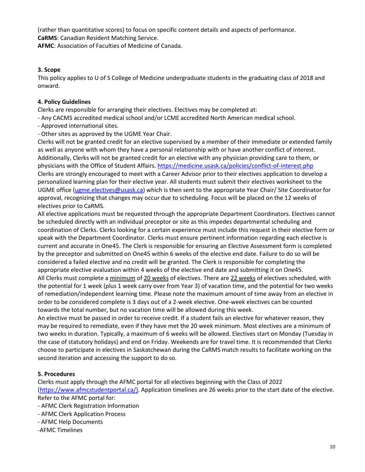(rather than quantitative scores) to focus on specific content details and aspects of performance. **CaRMS**: Canadian Resident Matching Service.

**AFMC**: Association of Faculties of Medicine of Canada.

# **3. Scope**

This policy applies to U of S College of Medicine undergraduate students in the graduating class of 2018 and onward.

# **4. Policy Guidelines**

Clerks are responsible for arranging their electives. Electives may be completed at:

- Any CACMS accredited medical school and/or LCME accredited North American medical school.
- Approved international sites.
- Other sites as approved by the UGME Year Chair.

Clerks will not be granted credit for an elective supervised by a member of their immediate or extended family as well as anyone with whom they have a personal relationship with or have another conflict of interest. Additionally, Clerks will not be granted credit for an elective with any physician providing care to them, or physicians with the Office of Student Affairs.<https://medicine.usask.ca/policies/conflict-of-interest.php> Clerks are strongly encouraged to meet with a Career Advisor prior to their electives application to develop a personalized learning plan for their elective year. All students must submit their electives worksheet to the UGME office [\(ugme.electives@usask.ca\)](mailto:ugme.electives@usask.ca) which is then sent to the appropriate Year Chair/ Site Coordinator for approval, recognizing that changes may occur due to scheduling. Focus will be placed on the 12 weeks of electives prior to CaRMS.

All elective applications must be requested through the appropriate Department Coordinators. Electives cannot be scheduled directly with an individual preceptor or site as this impedes departmental scheduling and coordination of Clerks. Clerks looking for a certain experience must include this request in their elective form or speak with the Department Coordinator. Clerks must ensure pertinent information regarding each elective is current and accurate in One45. The Clerk is responsible for ensuring an Elective Assessment form is completed by the preceptor and submitted on One45 within 6 weeks of the elective end date. Failure to do so will be considered a failed elective and no credit will be granted. The Clerk is responsible for completing the appropriate elective evaluation within 4 weeks of the elective end date and submitting it on One45. All Clerks must complete a minimum of 20 weeks of electives. There are 22 weeks of electives scheduled, with

the potential for 1 week (plus 1 week carry over from Year 3) of vacation time, and the potential for two weeks of remediation/independent learning time. Please note the maximum amount of time away from an elective in order to be considered complete is 3 days out of a 2-week elective. One-week electives can be counted towards the total number, but no vacation time will be allowed during this week.

An elective must be passed in order to receive credit. If a student fails an elective for whatever reason, they may be required to remediate, even if they have met the 20 week minimum. Most electives are a minimum of two weeks in duration. Typically, a maximum of 6 weeks will be allowed. Electives start on Monday (Tuesday in the case of statutory holidays) and end on Friday. Weekends are for travel time. It is recommended that Clerks choose to participate in electives in Saskatchewan during the CaRMS match results to facilitate working on the second iteration and accessing the support to do so.

# **5. Procedures**

Clerks must apply through the AFMC portal for all electives beginning with the Class of 2022 [\(https://www.afmcstudentportal.ca/\)](https://www.afmcstudentportal.ca/). Application timelines are 26 weeks prior to the start date of the elective. Refer to the AFMC portal for:

- AFMC Clerk Registration Information
- AFMC Clerk Application Process
- AFMC Help Documents
- -AFMC Timelines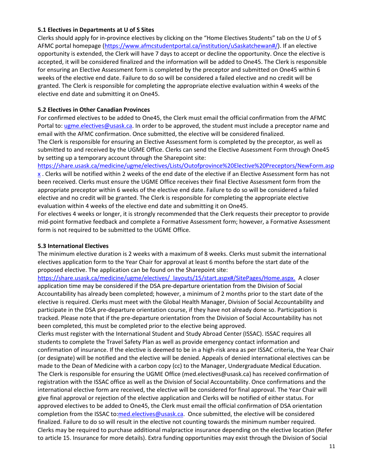# **5.1 Electives in Departments at U of S Sites**

Clerks should apply for in-province electives by clicking on the "Home Electives Students" tab on the U of S AFMC portal homepage [\(https://www.afmcstudentportal.ca/institution/uSaskatchewan#/\)](https://www.afmcstudentportal.ca/institution/uSaskatchewan#/). If an elective opportunity is extended, the Clerk will have 7 days to accept or decline the opportunity. Once the elective is accepted, it will be considered finalized and the information will be added to One45. The Clerk is responsible for ensuring an Elective Assessment form is completed by the preceptor and submitted on One45 within 6 weeks of the elective end date. Failure to do so will be considered a failed elective and no credit will be granted. The Clerk is responsible for completing the appropriate elective evaluation within 4 weeks of the elective end date and submitting it on One45.

# **5.2 Electives in Other Canadian Provinces**

For confirmed electives to be added to One45, the Clerk must email the official confirmation from the AFMC Portal to[: ugme.electives@usask.ca.](mailto:ugme.electives@usask.ca) In order to be approved, the student must include a preceptor name and email with the AFMC confirmation. Once submitted, the elective will be considered finalized.

The Clerk is responsible for ensuring an Elective Assessment form is completed by the preceptor, as well as submitted to and received by the UGME Office. Clerks can send the Elective Assessment Form through One45 by setting up a temporary account through the Sharepoint site:

[https://share.usask.ca/medicine/ugme/electives/Lists/Outofprovince%20Elective%20Preceptors/NewForm.asp](https://share.usask.ca/medicine/ugme/electives/Lists/Outofprovince%20Elective%20Preceptors/NewForm.aspx)  $x$ . Clerks will be notified within 2 weeks of the end date of the elective if an Elective Assessment form has not been received. Clerks must ensure the UGME Office receives their final Elective Assessment form from the appropriate preceptor within 6 weeks of the elective end date. Failure to do so will be considered a failed elective and no credit will be granted. The Clerk is responsible for completing the appropriate elective evaluation within 4 weeks of the elective end date and submitting it on One45.

For electives 4 weeks or longer, it is strongly recommended that the Clerk requests their preceptor to provide mid-point formative feedback and complete a Formative Assessment form; however, a Formative Assessment form is not required to be submitted to the UGME Office.

# **5.3 International Electives**

The minimum elective duration is 2 weeks with a maximum of 8 weeks. Clerks must submit the international electives application form to the Year Chair for approval at least 6 months before the start date of the proposed elective. The application can be found on the Sharepoint site:

[https://share.usask.ca/medicine/ugme/electives/\\_layouts/15/start.aspx#/SitePages/Home.aspx.](https://share.usask.ca/medicine/ugme/electives/_layouts/15/start.aspx#/SitePages/Home.aspx) A closer application time may be considered if the DSA pre-departure orientation from the Division of Social Accountability has already been completed; however, a minimum of 2 months prior to the start date of the elective is required. Clerks must meet with the Global Health Manager, Division of Social Accountability and participate in the DSA pre-departure orientation course, if they have not already done so. Participation is tracked. Please note that if the pre-departure orientation from the Division of Social Accountability has not been completed, this must be completed prior to the elective being approved.

Clerks must register with the International Student and Study Abroad Center (ISSAC). ISSAC requires all students to complete the Travel Safety Plan as well as provide emergency contact information and confirmation of insurance. If the elective is deemed to be in a high-risk area as per ISSAC criteria, the Year Chair (or designate) will be notified and the elective will be denied. Appeals of denied international electives can be made to the Dean of Medicine with a carbon copy (cc) to the Manager, Undergraduate Medical Education. The Clerk is responsible for ensuring the UGME Office (med.electives@usask.ca) has received confirmation of registration with the ISSAC office as well as the Division of Social Accountability. Once confirmations and the international elective form are received, the elective will be considered for final approval. The Year Chair will give final approval or rejection of the elective application and Clerks will be notified of either status. For approved electives to be added to One45, the Clerk must email the official confirmation of DSA orientation completion from the ISSAC to[:med.electives@usask.ca.](mailto:med.electives@usask.ca) Once submitted, the elective will be considered finalized. Failure to do so will result in the elective not counting towards the minimum number required. Clerks may be required to purchase additional malpractice insurance depending on the elective location (Refer to article 15. Insurance for more details). Extra funding opportunities may exist through the Division of Social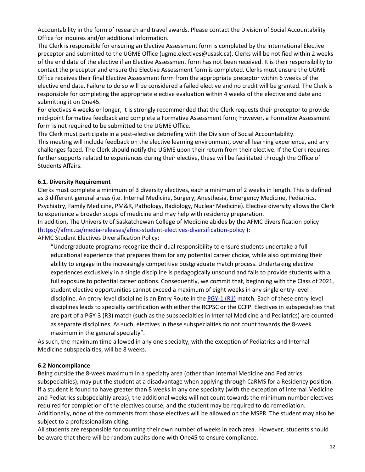Accountability in the form of research and travel awards. Please contact the Division of Social Accountability Office for inquires and/or additional information.

The Clerk is responsible for ensuring an Elective Assessment form is completed by the International Elective preceptor and submitted to the UGME Office (ugme.electives@usask.ca). Clerks will be notified within 2 weeks of the end date of the elective if an Elective Assessment form has not been received. It is their responsibility to contact the preceptor and ensure the Elective Assessment form is completed. Clerks must ensure the UGME Office receives their final Elective Assessment form from the appropriate preceptor within 6 weeks of the elective end date. Failure to do so will be considered a failed elective and no credit will be granted. The Clerk is responsible for completing the appropriate elective evaluation within 4 weeks of the elective end date and submitting it on One45.

For electives 4 weeks or longer, it is strongly recommended that the Clerk requests their preceptor to provide mid-point formative feedback and complete a Formative Assessment form; however, a Formative Assessment form is not required to be submitted to the UGME Office.

The Clerk must participate in a post-elective debriefing with the Division of Social Accountability.

This meeting will include feedback on the elective learning environment, overall learning experience, and any challenges faced. The Clerk should notify the UGME upon their return from their elective. If the Clerk requires further supports related to experiences during their elective, these will be facilitated through the Office of Students Affairs.

# **6.1. Diversity Requirement**

Clerks must complete a minimum of 3 diversity electives, each a minimum of 2 weeks in length. This is defined as 3 different general areas (i.e. Internal Medicine, Surgery, Anesthesia, Emergency Medicine, Pediatrics, Psychiatry, Family Medicine, PM&R, Pathology, Radiology, Nuclear Medicine). Elective diversity allows the Clerk to experience a broader scope of medicine and may help with residency preparation.

In addition, The University of Saskatchewan College of Medicine abides by the AFMC diversification policy [\(https://afmc.ca/media-releases/afmc-student-electives-diversification-policy](https://afmc.ca/media-releases/afmc-student-electives-diversification-policy) ):

AFMC Student Electives Diversification Policy:

"Undergraduate programs recognize their dual responsibility to ensure students undertake a full educational experience that prepares them for any potential career choice, while also optimizing their ability to engage in the increasingly competitive postgraduate match process. Undertaking elective experiences exclusively in a single discipline is pedagogically unsound and fails to provide students with a full exposure to potential career options. Consequently, we commit that, beginning with the Class of 2021, student elective opportunities cannot exceed a maximum of eight weeks in any single entry-level discipline. An entry-level discipline is an Entry Route in the [PGY-1 \(R1\)](https://afmc.ca/sites/default/files/30%20Entry%20Routes.pdf) match. Each of these entry-level disciplines leads to specialty certification with either the RCPSC or the CCFP. Electives in subspecialties that are part of a PGY-3 (R3) match (such as the subspecialties in Internal Medicine and Pediatrics) are counted as separate disciplines. As such, electives in these subspecialties do not count towards the 8-week maximum in the general specialty".

As such, the maximum time allowed in any one specialty, with the exception of Pediatrics and Internal Medicine subspecialties, will be 8 weeks.

# **6.2 Noncompliance**

Being outside the 8-week maximum in a specialty area (other than Internal Medicine and Pediatrics subspecialties), may put the student at a disadvantage when applying through CaRMS for a Residency position. If a student is found to have greater than 8 weeks in any one specialty (with the exception of Internal Medicine and Pediatrics subspecialtiy areas), the additional weeks will not count towards the minimum number electives required for completion of the electives course, and the student may be required to do remediation. Additionally, none of the comments from those electives will be allowed on the MSPR. The student may also be subject to a professionalism citing.

All students are responsible for counting their own number of weeks in each area. However, students should be aware that there will be random audits done with One45 to ensure compliance.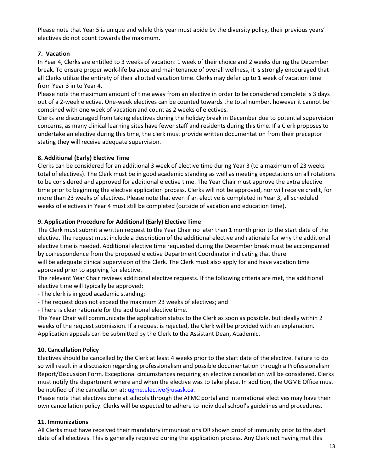Please note that Year 5 is unique and while this year must abide by the diversity policy, their previous years' electives do not count towards the maximum.

# **7. Vacation**

In Year 4, Clerks are entitled to 3 weeks of vacation: 1 week of their choice and 2 weeks during the December break. To ensure proper work-life balance and maintenance of overall wellness, it is strongly encouraged that all Clerks utilize the entirety of their allotted vacation time. Clerks may defer up to 1 week of vacation time from Year 3 in to Year 4.

Please note the maximum amount of time away from an elective in order to be considered complete is 3 days out of a 2-week elective. One-week electives can be counted towards the total number, however it cannot be combined with one week of vacation and count as 2 weeks of electives.

Clerks are discouraged from taking electives during the holiday break in December due to potential supervision concerns, as many clinical learning sites have fewer staff and residents during this time. If a Clerk proposes to undertake an elective during this time, the clerk must provide written documentation from their preceptor stating they will receive adequate supervision.

# **8. Additional (Early) Elective Time**

Clerks can be considered for an additional 3 week of elective time during Year 3 (to a maximum of 23 weeks total of electives). The Clerk must be in good academic standing as well as meeting expectations on all rotations to be considered and approved for additional elective time. The Year Chair must approve the extra elective time prior to beginning the elective application process. Clerks will not be approved, nor will receive credit, for more than 23 weeks of electives. Please note that even if an elective is completed in Year 3, all scheduled weeks of electives in Year 4 must still be completed (outside of vacation and education time).

# **9. Application Procedure for Additional (Early) Elective Time**

The Clerk must submit a written request to the Year Chair no later than 1 month prior to the start date of the elective. The request must include a description of the additional elective and rationale for why the additional elective time is needed. Additional elective time requested during the December break must be accompanied by correspondence from the proposed elective Department Coordinator indicating that there will be adequate clinical supervision of the Clerk. The Clerk must also apply for and have vacation time approved prior to applying for elective.

The relevant Year Chair reviews additional elective requests. If the following criteria are met, the additional elective time will typically be approved:

- The clerk is in good academic standing;

- The request does not exceed the maximum 23 weeks of electives; and
- There is clear rationale for the additional elective time.

The Year Chair will communicate the application status to the Clerk as soon as possible, but ideally within 2 weeks of the request submission. If a request is rejected, the Clerk will be provided with an explanation. Application appeals can be submitted by the Clerk to the Assistant Dean, Academic.

# **10. Cancellation Policy**

Electives should be cancelled by the Clerk at least 4 weeks prior to the start date of the elective. Failure to do so will result in a discussion regarding professionalism and possible documentation through a Professionalism Report/Discussion Form. Exceptional circumstances requiring an elective cancellation will be considered. Clerks must notify the department where and when the elective was to take place. In addition, the UGME Office must be notified of the cancellation at: [ugme.elective@usask.ca.](mailto:ugme.elective@usask.ca)

Please note that electives done at schools through the AFMC portal and international electives may have their own cancellation policy. Clerks will be expected to adhere to individual school's guidelines and procedures.

# **11. Immunizations**

All Clerks must have received their mandatory immunizations OR shown proof of immunity prior to the start date of all electives. This is generally required during the application process. Any Clerk not having met this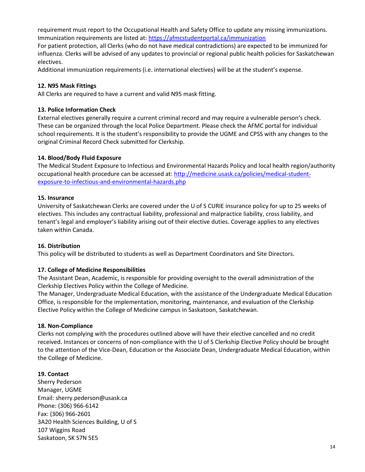requirement must report to the Occupational Health and Safety Office to update any missing immunizations. Immunization requirements are listed at:<https://afmcstudentportal.ca/immunization>

For patient protection, all Clerks (who do not have medical contradictions) are expected to be immunized for influenza. Clerks will be advised of any updates to provincial or regional public health policies for Saskatchewan electives.

Additional immunization requirements (i.e. international electives) will be at the student's expense.

## **12. N95 Mask Fittings**

All Clerks are required to have a current and valid N95 mask fitting.

## **13. Police Information Check**

External electives generally require a current criminal record and may require a vulnerable person's check. These can be organized through the local Police Department. Please check the AFMC portal for individual school requirements. It is the student's responsibility to provide the UGME and CPSS with any changes to the original Criminal Record Check submitted for Clerkship.

## **14. Blood/Body Fluid Exposure**

The Medical Student Exposure to Infectious and Environmental Hazards Policy and local health region/authority occupational health procedure can be accessed at: [http://medicine.usask.ca/policies/medical-student](http://medicine.usask.ca/policies/medical-student-exposure-to-infectious-and-environmental-hazards.php)[exposure-to-infectious-and-environmental-hazards.php](http://medicine.usask.ca/policies/medical-student-exposure-to-infectious-and-environmental-hazards.php) 

## **15. Insurance**

University of Saskatchewan Clerks are covered under the U of S CURIE insurance policy for up to 25 weeks of electives. This includes any contractual liability, professional and malpractice liability, cross liability, and tenant's legal and employer's liability arising out of their elective duties. Coverage applies to any electives taken within Canada.

#### **16. Distribution**

This policy will be distributed to students as well as Department Coordinators and Site Directors.

# **17. College of Medicine Responsibilities**

The Assistant Dean, Academic, is responsible for providing oversight to the overall administration of the Clerkship Electives Policy within the College of Medicine.

The Manager, Undergraduate Medical Education, with the assistance of the Undergraduate Medical Education Office, is responsible for the implementation, monitoring, maintenance, and evaluation of the Clerkship Elective Policy within the College of Medicine campus in Saskatoon, Saskatchewan.

#### **18. Non-Compliance**

Clerks not complying with the procedures outlined above will have their elective cancelled and no credit received. Instances or concerns of non-compliance with the U of S Clerkship Elective Policy should be brought to the attention of the Vice-Dean, Education or the Associate Dean, Undergraduate Medical Education, within the College of Medicine.

# **19. Contact**

Sherry Pederson Manager, UGME Email: sherry.pederson@usask.ca Phone: (306) 966-6142 Fax: (306) 966-2601 3A20 Health Sciences Building, U of S 107 Wiggins Road Saskatoon, SK S7N 5E5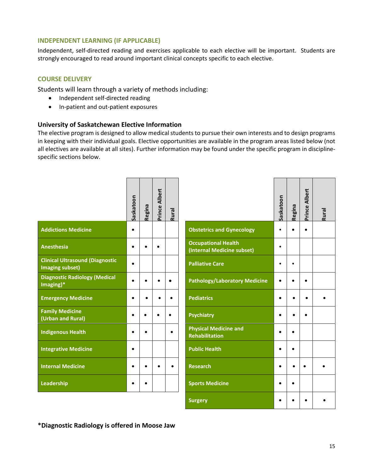# **INDEPENDENT LEARNING (IF APPLICABLE)**

Independent, self-directed reading and exercises applicable to each elective will be important. Students are strongly encouraged to read around important clinical concepts specific to each elective.

# **COURSE DELIVERY**

Students will learn through a variety of methods including:

- Independent self-directed reading
- In-patient and out-patient exposures

# **University of Saskatchewan Elective Information**

The elective program is designed to allow medical students to pursue their own interests and to design programs in keeping with their individual goals. Elective opportunities are available in the program areas listed below (not all electives are available at all sites). Further information may be found under the specific program in disciplinespecific sections below.

|                                                                  | Saskatoon | Regina    | Prince Albert | Rural     |                                                          | Saskatoon | Regina    | <b>Prince Albert</b> | <b>Rural</b> |
|------------------------------------------------------------------|-----------|-----------|---------------|-----------|----------------------------------------------------------|-----------|-----------|----------------------|--------------|
| <b>Addictions Medicine</b>                                       | $\bullet$ |           |               |           | <b>Obstetrics and Gynecology</b>                         |           |           |                      |              |
| <b>Anesthesia</b>                                                |           |           | $\bullet$     |           | <b>Occupational Health</b><br>(Internal Medicine subset) | $\bullet$ |           |                      |              |
| <b>Clinical Ultrasound (Diagnostic</b><br><b>Imaging subset)</b> | $\bullet$ |           |               |           | <b>Palliative Care</b>                                   |           | $\bullet$ |                      |              |
| <b>Diagnostic Radiology (Medical</b><br>Imaging)*                |           |           | ٠             | $\bullet$ | <b>Pathology/Laboratory Medicine</b>                     |           |           | $\bullet$            |              |
| <b>Emergency Medicine</b>                                        | $\bullet$ | $\bullet$ |               |           | <b>Pediatrics</b>                                        |           |           | $\bullet$            |              |
| <b>Family Medicine</b><br>(Urban and Rural)                      |           |           |               | $\bullet$ | <b>Psychiatry</b>                                        |           |           | $\bullet$            |              |
| <b>Indigenous Health</b>                                         | $\bullet$ |           |               |           | <b>Physical Medicine and</b><br><b>Rehabilitation</b>    |           | $\bullet$ |                      |              |
| <b>Integrative Medicine</b>                                      | $\bullet$ |           |               |           | <b>Public Health</b>                                     |           | $\bullet$ |                      |              |
| <b>Internal Medicine</b>                                         |           |           |               |           | <b>Research</b>                                          |           |           |                      |              |
| Leadership                                                       |           |           |               |           | <b>Sports Medicine</b>                                   |           | $\bullet$ |                      |              |
|                                                                  |           |           |               |           |                                                          |           |           |                      |              |

|                                                          | Saskatoon | Regina | <b>Prince Albert</b> | Rural |
|----------------------------------------------------------|-----------|--------|----------------------|-------|
| <b>Obstetrics and Gynecology</b>                         |           |        |                      |       |
| <b>Occupational Health</b><br>(Internal Medicine subset) |           |        |                      |       |
| <b>Palliative Care</b>                                   |           |        |                      |       |
| <b>Pathology/Laboratory Medicine</b>                     |           |        |                      |       |
| <b>Pediatrics</b>                                        |           |        |                      |       |
| <b>Psychiatry</b>                                        |           |        |                      |       |
| <b>Physical Medicine and</b><br><b>Rehabilitation</b>    |           |        |                      |       |
| <b>Public Health</b>                                     |           |        |                      |       |
| <b>Research</b>                                          |           |        |                      |       |
| <b>Sports Medicine</b>                                   |           |        |                      |       |
| <b>Surgery</b>                                           |           |        |                      |       |

**\*Diagnostic Radiology is offered in Moose Jaw**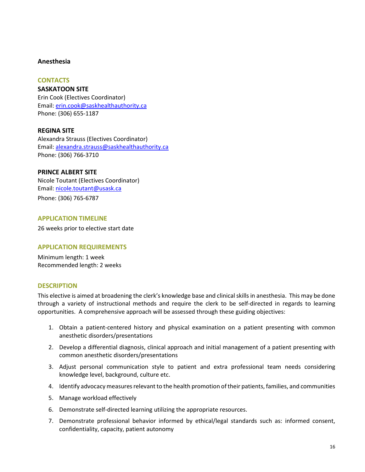# **Anesthesia**

# **CONTACTS**

**SASKATOON SITE**  Erin Cook (Electives Coordinator) Email: [erin.cook@saskhealthauthority.ca](mailto:erin.cook@saskhealthauthority.ca)  Phone: (306) 655-1187

# **REGINA SITE**

Alexandra Strauss (Electives Coordinator) Email: [alexandra.strauss@saskhealthauthority.ca](mailto:alexandra.strauss@saskhealthauthority.ca)  Phone: (306) 766-3710

# **PRINCE ALBERT SITE**

Nicole Toutant (Electives Coordinator) Email: [nicole.toutant@usask.ca](mailto:nicole.toutant@usask.ca)  Phone: (306) 765-6787

# **APPLICATION TIMELINE**

26 weeks prior to elective start date

# **APPLICATION REQUIREMENTS**

Minimum length: 1 week Recommended length: 2 weeks

# **DESCRIPTION**

This elective is aimed at broadening the clerk's knowledge base and clinical skills in anesthesia. This may be done through a variety of instructional methods and require the clerk to be self-directed in regards to learning opportunities. A comprehensive approach will be assessed through these guiding objectives:

- 1. Obtain a patient-centered history and physical examination on a patient presenting with common anesthetic disorders/presentations
- 2. Develop a differential diagnosis, clinical approach and initial management of a patient presenting with common anesthetic disorders/presentations
- 3. Adjust personal communication style to patient and extra professional team needs considering knowledge level, background, culture etc.
- 4. Identify advocacy measures relevant to the health promotion of their patients, families, and communities
- 5. Manage workload effectively
- 6. Demonstrate self-directed learning utilizing the appropriate resources.
- 7. Demonstrate professional behavior informed by ethical/legal standards such as: informed consent, confidentiality, capacity, patient autonomy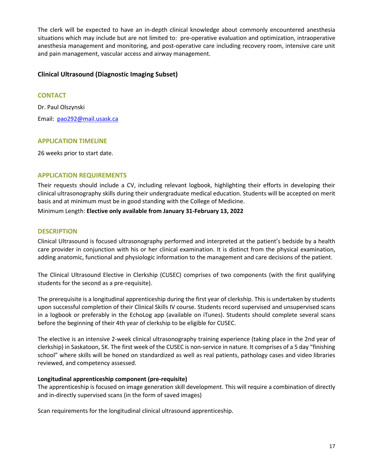The clerk will be expected to have an in-depth clinical knowledge about commonly encountered anesthesia situations which may include but are not limited to: pre-operative evaluation and optimization, intraoperative anesthesia management and monitoring, and post-operative care including recovery room, intensive care unit and pain management, vascular access and airway management.

# **Clinical Ultrasound (Diagnostic Imaging Subset)**

# **CONTACT**

Dr. Paul Olszynski Email: [pao292@mail.usask.ca](mailto:pao292@mail.usask.ca) 

# **APPLICATION TIMELINE**

26 weeks prior to start date.

# **APPLICATION REQUIREMENTS**

Their requests should include a CV, including relevant logbook, highlighting their efforts in developing their clinical ultrasonography skills during their undergraduate medical education. Students will be accepted on merit basis and at minimum must be in good standing with the College of Medicine.

Minimum Length: **Elective only available from January 31-February 13, 2022** 

## **DESCRIPTION**

Clinical Ultrasound is focused ultrasonography performed and interpreted at the patient's bedside by a health care provider in conjunction with his or her clinical examination. It is distinct from the physical examination, adding anatomic, functional and physiologic information to the management and care decisions of the patient.

The Clinical Ultrasound Elective in Clerkship (CUSEC) comprises of two components (with the first qualifying students for the second as a pre-requisite).

The prerequisite is a longitudinal apprenticeship during the first year of clerkship. This is undertaken by students upon successful completion of their Clinical Skills IV course. Students record supervised and unsupervised scans in a logbook or preferably in the EchoLog app (available on iTunes). Students should complete several scans before the beginning of their 4th year of clerkship to be eligible for CUSEC.

The elective is an intensive 2-week clinical ultrasonography training experience (taking place in the 2nd year of clerkship) in Saskatoon, SK. The first week of the CUSEC is non-service in nature. It comprises of a 5 day "finishing school" where skills will be honed on standardized as well as real patients, pathology cases and video libraries reviewed, and competency assessed.

#### **Longitudinal apprenticeship component (pre-requisite)**

The apprenticeship is focused on image generation skill development. This will require a combination of directly and in-directly supervised scans (in the form of saved images)

Scan requirements for the longitudinal clinical ultrasound apprenticeship.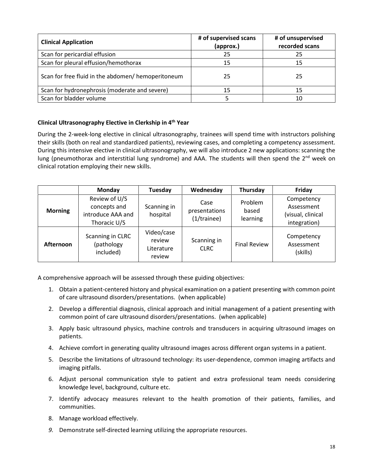| <b>Clinical Application</b>                        | # of supervised scans<br>(approx.) | # of unsupervised<br>recorded scans |  |  |
|----------------------------------------------------|------------------------------------|-------------------------------------|--|--|
| Scan for pericardial effusion                      | 25                                 | 25                                  |  |  |
| Scan for pleural effusion/hemothorax               | 15                                 | 15                                  |  |  |
| Scan for free fluid in the abdomen/ hemoperitoneum | 25                                 | 25                                  |  |  |
| Scan for hydronephrosis (moderate and severe)      | 15                                 | 15                                  |  |  |
| Scan for bladder volume                            |                                    | 10                                  |  |  |

# **Clinical Ultrasonography Elective in Clerkship in 4th Year**

During the 2-week-long elective in clinical ultrasonography, trainees will spend time with instructors polishing their skills (both on real and standardized patients), reviewing cases, and completing a competency assessment. During this intensive elective in clinical ultrasonography, we will also introduce 2 new applications: scanning the lung (pneumothorax and interstitial lung syndrome) and AAA. The students will then spend the 2<sup>nd</sup> week on clinical rotation employing their new skills.

|                | Monday                                                             | Tuesday                                      | Wednesday                            | Thursday                     | Friday                                                        |
|----------------|--------------------------------------------------------------------|----------------------------------------------|--------------------------------------|------------------------------|---------------------------------------------------------------|
| <b>Morning</b> | Review of U/S<br>concepts and<br>introduce AAA and<br>Thoracic U/S | Scanning in<br>hospital                      | Case<br>presentations<br>(1/trainee) | Problem<br>based<br>learning | Competency<br>Assessment<br>(visual, clinical<br>integration) |
| Afternoon      | Scanning in CLRC<br>(pathology<br>included)                        | Video/case<br>review<br>Literature<br>review | Scanning in<br><b>CLRC</b>           | <b>Final Review</b>          | Competency<br>Assessment<br>(skills)                          |

A comprehensive approach will be assessed through these guiding objectives:

- 1. Obtain a patient-centered history and physical examination on a patient presenting with common point of care ultrasound disorders/presentations. (when applicable)
- 2. Develop a differential diagnosis, clinical approach and initial management of a patient presenting with common point of care ultrasound disorders/presentations. (when applicable)
- 3. Apply basic ultrasound physics, machine controls and transducers in acquiring ultrasound images on patients.
- 4. Achieve comfort in generating quality ultrasound images across different organ systems in a patient.
- 5. Describe the limitations of ultrasound technology: its user-dependence, common imaging artifacts and imaging pitfalls.
- 6. Adjust personal communication style to patient and extra professional team needs considering knowledge level, background, culture etc.
- 7. Identify advocacy measures relevant to the health promotion of their patients, families, and communities.
- 8. Manage workload effectively.
- *9.* Demonstrate self-directed learning utilizing the appropriate resources.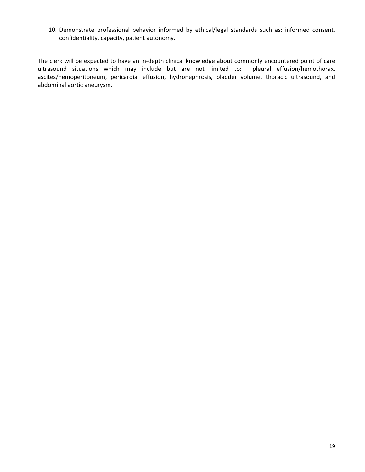10. Demonstrate professional behavior informed by ethical/legal standards such as: informed consent, confidentiality, capacity, patient autonomy.

The clerk will be expected to have an in-depth clinical knowledge about commonly encountered point of care ultrasound situations which may include but are not limited to: pleural effusion/hemothorax, ascites/hemoperitoneum, pericardial effusion, hydronephrosis, bladder volume, thoracic ultrasound, and abdominal aortic aneurysm.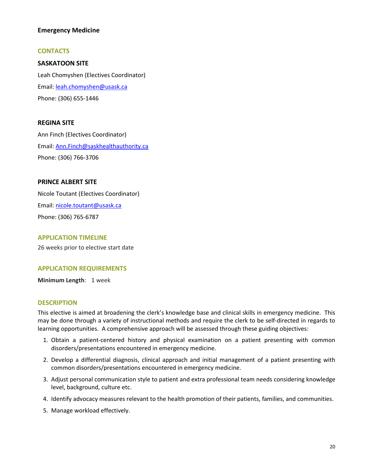# **Emergency Medicine**

# **CONTACTS**

# **SASKATOON SITE**

Leah Chomyshen (Electives Coordinator) Email: [leah.chomyshen@usask.ca](mailto:leah.chomyshen@usask.ca) Phone: (306) 655-1446

# **REGINA SITE**

Ann Finch (Electives Coordinator) Email: [Ann.Finch@saskhealthauthority.ca](mailto:Ann.Finch@saskhealthauthority.ca)  Phone: (306) 766-3706

# **PRINCE ALBERT SITE**

Nicole Toutant (Electives Coordinator) Email: [nicole.toutant@usask.ca](mailto:nicole.toutant@usask.ca)  Phone: (306) 765-6787

#### **APPLICATION TIMELINE**

26 weeks prior to elective start date

# **APPLICATION REQUIREMENTS**

**Minimum Length**: 1 week

#### **DESCRIPTION**

This elective is aimed at broadening the clerk's knowledge base and clinical skills in emergency medicine. This may be done through a variety of instructional methods and require the clerk to be self-directed in regards to learning opportunities. A comprehensive approach will be assessed through these guiding objectives:

- 1. Obtain a patient-centered history and physical examination on a patient presenting with common disorders/presentations encountered in emergency medicine.
- 2. Develop a differential diagnosis, clinical approach and initial management of a patient presenting with common disorders/presentations encountered in emergency medicine.
- 3. Adjust personal communication style to patient and extra professional team needs considering knowledge level, background, culture etc.
- 4. Identify advocacy measures relevant to the health promotion of their patients, families, and communities.
- 5. Manage workload effectively.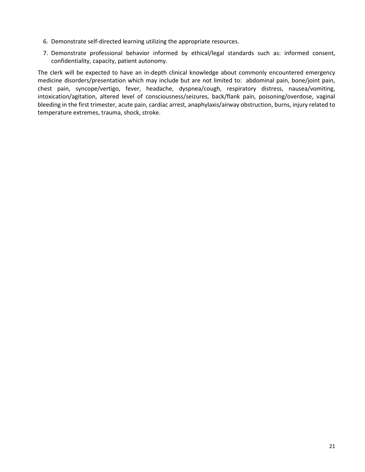- 6. Demonstrate self-directed learning utilizing the appropriate resources.
- 7. Demonstrate professional behavior informed by ethical/legal standards such as: informed consent, confidentiality, capacity, patient autonomy.

The clerk will be expected to have an in-depth clinical knowledge about commonly encountered emergency medicine disorders/presentation which may include but are not limited to: abdominal pain, bone/joint pain, chest pain, syncope/vertigo, fever, headache, dyspnea/cough, respiratory distress, nausea/vomiting, intoxication/agitation, altered level of consciousness/seizures, back/flank pain, poisoning/overdose, vaginal bleeding in the first trimester, acute pain, cardiac arrest, anaphylaxis/airway obstruction, burns, injury related to temperature extremes, trauma, shock, stroke.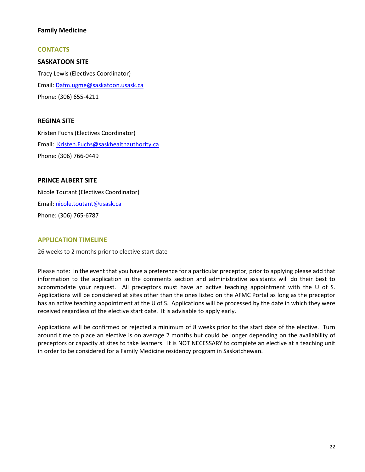# **Family Medicine**

# **CONTACTS**

**SASKATOON SITE**  Tracy Lewis (Electives Coordinator) Email: [Dafm.ugme@saskatoon.usask.ca](mailto:Dafm.ugme@saskatoon.usask.ca)  Phone: (306) 655-4211

# **REGINA SITE**

Kristen Fuchs (Electives Coordinator) Email: Kristen.Fuchs@saskhealthauthority.ca Phone: (306) 766-0449

# **PRINCE ALBERT SITE**

Nicole Toutant (Electives Coordinator) Email: [nicole.toutant@usask.ca](mailto:nicole.toutant@usask.ca)  Phone: (306) 765-6787

# **APPLICATION TIMELINE**

26 weeks to 2 months prior to elective start date

Please note: In the event that you have a preference for a particular preceptor, prior to applying please add that information to the application in the comments section and administrative assistants will do their best to accommodate your request. All preceptors must have an active teaching appointment with the U of S. Applications will be considered at sites other than the ones listed on the AFMC Portal as long as the preceptor has an active teaching appointment at the U of S. Applications will be processed by the date in which they were received regardless of the elective start date. It is advisable to apply early.

Applications will be confirmed or rejected a minimum of 8 weeks prior to the start date of the elective. Turn around time to place an elective is on average 2 months but could be longer depending on the availability of preceptors or capacity at sites to take learners. It is NOT NECESSARY to complete an elective at a teaching unit in order to be considered for a Family Medicine residency program in Saskatchewan.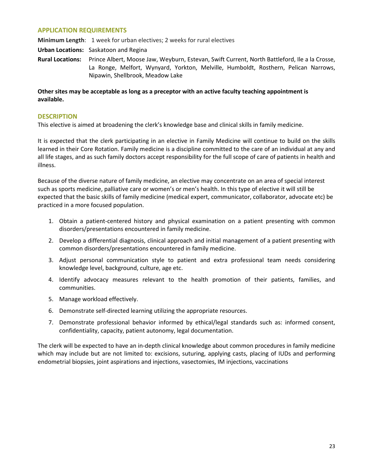# **APPLICATION REQUIREMENTS**

**Minimum Length**: 1 week for urban electives; 2 weeks for rural electives

**Urban Locations:** Saskatoon and Regina

**Rural Locations:** Prince Albert, Moose Jaw, Weyburn, Estevan, Swift Current, North Battleford, Ile a la Crosse, La Ronge, Melfort, Wynyard, Yorkton, Melville, Humboldt, Rosthern, Pelican Narrows, Nipawin, Shellbrook, Meadow Lake

**Other sites may be acceptable as long as a preceptor with an active faculty teaching appointment is available.** 

## **DESCRIPTION**

This elective is aimed at broadening the clerk's knowledge base and clinical skills in family medicine.

It is expected that the clerk participating in an elective in Family Medicine will continue to build on the skills learned in their Core Rotation. Family medicine is a discipline committed to the care of an individual at any and all life stages, and as such family doctors accept responsibility for the full scope of care of patients in health and illness.

Because of the diverse nature of family medicine, an elective may concentrate on an area of special interest such as sports medicine, palliative care or women's or men's health. In this type of elective it will still be expected that the basic skills of family medicine (medical expert, communicator, collaborator, advocate etc) be practiced in a more focused population.

- 1. Obtain a patient-centered history and physical examination on a patient presenting with common disorders/presentations encountered in family medicine.
- 2. Develop a differential diagnosis, clinical approach and initial management of a patient presenting with common disorders/presentations encountered in family medicine.
- 3. Adjust personal communication style to patient and extra professional team needs considering knowledge level, background, culture, age etc.
- 4. Identify advocacy measures relevant to the health promotion of their patients, families, and communities.
- 5. Manage workload effectively.
- 6. Demonstrate self-directed learning utilizing the appropriate resources.
- 7. Demonstrate professional behavior informed by ethical/legal standards such as: informed consent, confidentiality, capacity, patient autonomy, legal documentation.

The clerk will be expected to have an in-depth clinical knowledge about common procedures in family medicine which may include but are not limited to: excisions, suturing, applying casts, placing of IUDs and performing endometrial biopsies, joint aspirations and injections, vasectomies, IM injections, vaccinations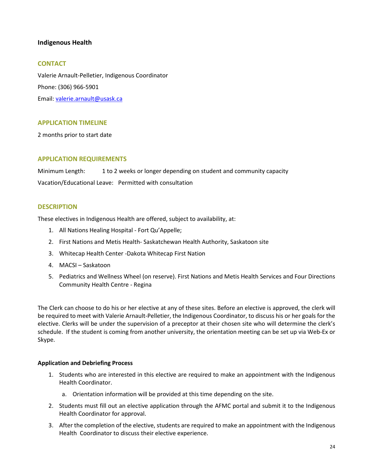# **Indigenous Health**

# **CONTACT**

Valerie Arnault-Pelletier, Indigenous Coordinator Phone: (306) 966-5901 Email: [valerie.arnault@usask.ca](mailto:valerie.arnault@usask.ca) 

# **APPLICATION TIMELINE**

2 months prior to start date

# **APPLICATION REQUIREMENTS**

Minimum Length: 1 to 2 weeks or longer depending on student and community capacity Vacation/Educational Leave: Permitted with consultation

# **DESCRIPTION**

These electives in Indigenous Health are offered, subject to availability, at:

- 1. All Nations Healing Hospital Fort Qu'Appelle;
- 2. First Nations and Metis Health- Saskatchewan Health Authority, Saskatoon site
- 3. Whitecap Health Center -Dakota Whitecap First Nation
- 4. MACSI Saskatoon
- 5. Pediatrics and Wellness Wheel (on reserve). First Nations and Metis Health Services and Four Directions Community Health Centre - Regina

The Clerk can choose to do his or her elective at any of these sites. Before an elective is approved, the clerk will be required to meet with Valerie Arnault-Pelletier, the Indigenous Coordinator, to discuss his or her goals for the elective. Clerks will be under the supervision of a preceptor at their chosen site who will determine the clerk's schedule. If the student is coming from another university, the orientation meeting can be set up via Web-Ex or Skype.

#### **Application and Debriefing Process**

- 1. Students who are interested in this elective are required to make an appointment with the Indigenous Health Coordinator.
	- a. Orientation information will be provided at this time depending on the site.
- 2. Students must fill out an elective application through the AFMC portal and submit it to the Indigenous Health Coordinator for approval.
- 3. After the completion of the elective, students are required to make an appointment with the Indigenous Health Coordinator to discuss their elective experience.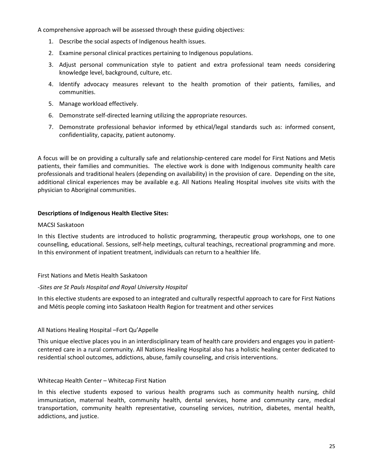A comprehensive approach will be assessed through these guiding objectives:

- 1. Describe the social aspects of Indigenous health issues.
- 2. Examine personal clinical practices pertaining to Indigenous populations.
- 3. Adjust personal communication style to patient and extra professional team needs considering knowledge level, background, culture, etc.
- 4. Identify advocacy measures relevant to the health promotion of their patients, families, and communities.
- 5. Manage workload effectively.
- 6. Demonstrate self-directed learning utilizing the appropriate resources.
- 7. Demonstrate professional behavior informed by ethical/legal standards such as: informed consent, confidentiality, capacity, patient autonomy.

A focus will be on providing a culturally safe and relationship-centered care model for First Nations and Metis patients, their families and communities. The elective work is done with Indigenous community health care professionals and traditional healers (depending on availability) in the provision of care. Depending on the site, additional clinical experiences may be available e.g. All Nations Healing Hospital involves site visits with the physician to Aboriginal communities.

# **Descriptions of Indigenous Health Elective Sites:**

# MACSI Saskatoon

In this Elective students are introduced to holistic programming, therapeutic group workshops, one to one counselling, educational. Sessions, self-help meetings, cultural teachings, recreational programming and more. In this environment of inpatient treatment, individuals can return to a healthier life.

# First Nations and Metis Health Saskatoon

# -*Sites are St Pauls Hospital and Royal University Hospital*

In this elective students are exposed to an integrated and culturally respectful approach to care for First Nations and Métis people coming into Saskatoon Health Region for treatment and other services

# All Nations Healing Hospital –Fort Qu'Appelle

This unique elective places you in an interdisciplinary team of health care providers and engages you in patientcentered care in a rural community. All Nations Healing Hospital also has a holistic healing center dedicated to residential school outcomes, addictions, abuse, family counseling, and crisis interventions.

# Whitecap Health Center – Whitecap First Nation

In this elective students exposed to various health programs such as community health nursing, child immunization, maternal health, community health, dental services, home and community care, medical transportation, community health representative, counseling services, nutrition, diabetes, mental health, addictions, and justice.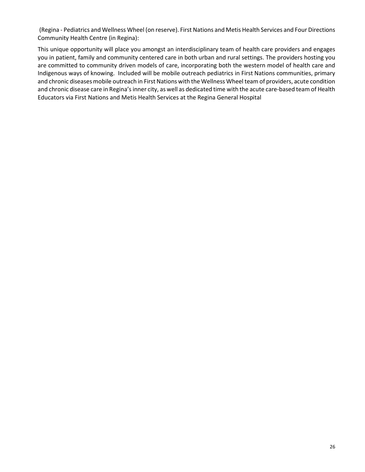(Regina - Pediatrics and Wellness Wheel (on reserve). First Nations and Metis Health Services and Four Directions Community Health Centre (in Regina):

This unique opportunity will place you amongst an interdisciplinary team of health care providers and engages you in patient, family and community centered care in both urban and rural settings. The providers hosting you are committed to community driven models of care, incorporating both the western model of health care and Indigenous ways of knowing. Included will be mobile outreach pediatrics in First Nations communities, primary and chronic diseases mobile outreach in First Nations with the Wellness Wheel team of providers, acute condition and chronic disease care in Regina's inner city, as well as dedicated time with the acute care-based team of Health Educators via First Nations and Metis Health Services at the Regina General Hospital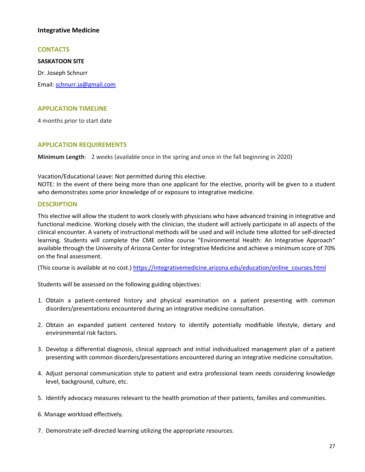# **Integrative Medicine**

## **CONTACTS**

**SASKATOON SITE** 

Dr. Joseph Schnurr Email: [schnurr.ja@gmail.com](mailto:schnurr.ja@gmail.com) 

## **APPLICATION TIMELINE**

4 months prior to start date

# **APPLICATION REQUIREMENTS**

**Minimum Length**: 2 weeks (available once in the spring and once in the fall beginning in 2020)

Vacation/Educational Leave: Not permitted during this elective.

NOTE: In the event of there being more than one applicant for the elective, priority will be given to a student who demonstrates some prior knowledge of or exposure to integrative medicine.

## **DESCRIPTION**

This elective will allow the student to work closely with physicians who have advanced training in integrative and functional medicine. Working closely with the clinician, the student will actively participate in all aspects of the clinical encounter. A variety of instructional methods will be used and will include time allotted for self-directed learning. Students will complete the CME online course "Environmental Health: An Integrative Approach" available through the University of Arizona Center for Integrative Medicine and achieve a minimum score of 70% on the final assessment.

(This course is available at no cost.[\) https://integrativemedicine.arizona.edu/education/online\\_courses.html](https://integrativemedicine.arizona.edu/education/online_courses.html)

Students will be assessed on the following guiding objectives:

- 1. Obtain a patient-centered history and physical examination on a patient presenting with common disorders/presentations encountered during an integrative medicine consultation.
- 2. Obtain an expanded patient centered history to identify potentially modifiable lifestyle, dietary and environmental risk factors.
- 3. Develop a differential diagnosis, clinical approach and initial individualized management plan of a patient presenting with common disorders/presentations encountered during an integrative medicine consultation.
- 4. Adjust personal communication style to patient and extra professional team needs considering knowledge level, background, culture, etc.
- 5. Identify advocacy measures relevant to the health promotion of their patients, families and communities.
- 6. Manage workload effectively.
- 7. Demonstrate self-directed learning utilizing the appropriate resources.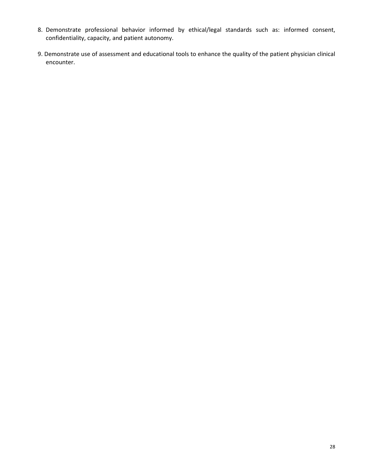- 8. Demonstrate professional behavior informed by ethical/legal standards such as: informed consent, confidentiality, capacity, and patient autonomy.
- 9. Demonstrate use of assessment and educational tools to enhance the quality of the patient physician clinical encounter.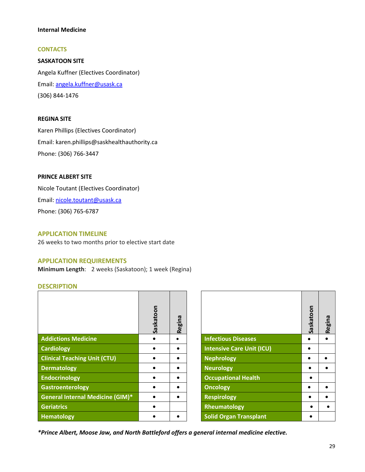# **Internal Medicine**

# **CONTACTS**

**SASKATOON SITE**  Angela Kuffner (Electives Coordinator) Email: angela.kuffner@usask.ca (306) 844-1476

## **REGINA SITE**

Karen Phillips (Electives Coordinator) Email: karen.phillips@saskhealthauthority.ca Phone: (306) 766-3447

# **PRINCE ALBERT SITE**

Nicole Toutant (Electives Coordinator) Email: [nicole.toutant@usask.ca](mailto:nicole.toutant@usask.ca)  Phone: (306) 765-6787

# **APPLICATION TIMELINE**

26 weeks to two months prior to elective start date

## **APPLICATION REQUIREMENTS**

**Minimum Length**: 2 weeks (Saskatoon); 1 week (Regina)

#### **DESCRIPTION**

|                                         | Saskatoon | Regina |                                  | Saskatoon | Regina |
|-----------------------------------------|-----------|--------|----------------------------------|-----------|--------|
| <b>Addictions Medicine</b>              |           | ٠      | <b>Infectious Diseases</b>       |           |        |
| <b>Cardiology</b>                       |           |        | <b>Intensive Care Unit (ICU)</b> |           |        |
| <b>Clinical Teaching Unit (CTU)</b>     |           |        | <b>Nephrology</b>                |           |        |
| Dermatology                             |           |        | <b>Neurology</b>                 |           |        |
| <b>Endocrinology</b>                    |           | ٠      | <b>Occupational Health</b>       | $\bullet$ |        |
| Gastroenterology                        |           |        | <b>Oncology</b>                  |           |        |
| <b>General Internal Medicine (GIM)*</b> |           |        | <b>Respirology</b>               |           |        |
| Geriatrics                              |           |        | Rheumatology                     |           |        |
| <b>Hematology</b>                       |           |        | <b>Solid Organ Transplant</b>    | ٠         |        |

|                                  | Saskatoon | <b>Regina</b> |
|----------------------------------|-----------|---------------|
| <b>Infectious Diseases</b>       |           |               |
| <b>Intensive Care Unit (ICU)</b> |           |               |
| <b>Nephrology</b>                |           |               |
| <b>Neurology</b>                 |           |               |
| <b>Occupational Health</b>       |           |               |
| <b>Oncology</b>                  |           |               |
| <b>Respirology</b>               |           |               |
| Rheumatology                     |           |               |
| <b>Solid Organ Transplant</b>    |           |               |

*\*Prince Albert, Moose Jaw, and North Battleford offers a general internal medicine elective.*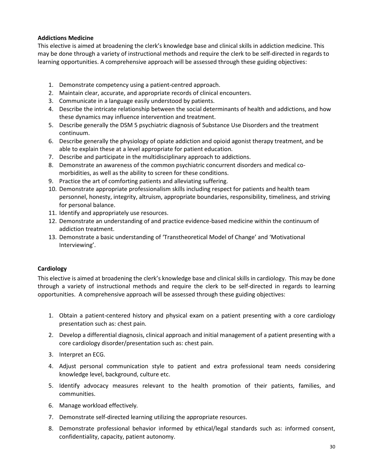# **Addictions Medicine**

This elective is aimed at broadening the clerk's knowledge base and clinical skills in addiction medicine. This may be done through a variety of instructional methods and require the clerk to be self-directed in regards to learning opportunities. A comprehensive approach will be assessed through these guiding objectives:

- 1. Demonstrate competency using a patient-centred approach.
- 2. Maintain clear, accurate, and appropriate records of clinical encounters.
- 3. Communicate in a language easily understood by patients.
- 4. Describe the intricate relationship between the social determinants of health and addictions, and how these dynamics may influence intervention and treatment.
- 5. Describe generally the DSM 5 psychiatric diagnosis of Substance Use Disorders and the treatment continuum.
- 6. Describe generally the physiology of opiate addiction and opioid agonist therapy treatment, and be able to explain these at a level appropriate for patient education.
- 7. Describe and participate in the multidisciplinary approach to addictions.
- 8. Demonstrate an awareness of the common psychiatric concurrent disorders and medical comorbidities, as well as the ability to screen for these conditions.
- 9. Practice the art of comforting patients and alleviating suffering.
- 10. Demonstrate appropriate professionalism skills including respect for patients and health team personnel, honesty, integrity, altruism, appropriate boundaries, responsibility, timeliness, and striving for personal balance.
- 11. Identify and appropriately use resources.
- 12. Demonstrate an understanding of and practice evidence-based medicine within the continuum of addiction treatment.
- 13. Demonstrate a basic understanding of 'Transtheoretical Model of Change' and 'Motivational Interviewing'.

# **Cardiology**

This elective is aimed at broadening the clerk's knowledge base and clinical skills in cardiology. This may be done through a variety of instructional methods and require the clerk to be self-directed in regards to learning opportunities. A comprehensive approach will be assessed through these guiding objectives:

- 1. Obtain a patient-centered history and physical exam on a patient presenting with a core cardiology presentation such as: chest pain.
- 2. Develop a differential diagnosis, clinical approach and initial management of a patient presenting with a core cardiology disorder/presentation such as: chest pain.
- 3. Interpret an ECG.
- 4. Adjust personal communication style to patient and extra professional team needs considering knowledge level, background, culture etc.
- 5. Identify advocacy measures relevant to the health promotion of their patients, families, and communities.
- 6. Manage workload effectively*.*
- 7. Demonstrate self-directed learning utilizing the appropriate resources.
- 8. Demonstrate professional behavior informed by ethical/legal standards such as: informed consent, confidentiality, capacity, patient autonomy.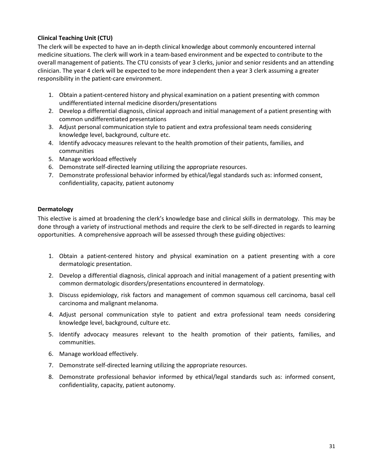# **Clinical Teaching Unit (CTU)**

The clerk will be expected to have an in-depth clinical knowledge about commonly encountered internal medicine situations. The clerk will work in a team-based environment and be expected to contribute to the overall management of patients. The CTU consists of year 3 clerks, junior and senior residents and an attending clinician. The year 4 clerk will be expected to be more independent then a year 3 clerk assuming a greater responsibility in the patient-care environment.

- 1. Obtain a patient-centered history and physical examination on a patient presenting with common undifferentiated internal medicine disorders/presentations
- 2. Develop a differential diagnosis, clinical approach and initial management of a patient presenting with common undifferentiated presentations
- 3. Adjust personal communication style to patient and extra professional team needs considering knowledge level, background, culture etc.
- 4. Identify advocacy measures relevant to the health promotion of their patients, families, and communities
- 5. Manage workload effectively
- 6. Demonstrate self-directed learning utilizing the appropriate resources.
- 7. Demonstrate professional behavior informed by ethical/legal standards such as: informed consent, confidentiality, capacity, patient autonomy

# **Dermatology**

This elective is aimed at broadening the clerk's knowledge base and clinical skills in dermatology. This may be done through a variety of instructional methods and require the clerk to be self-directed in regards to learning opportunities. A comprehensive approach will be assessed through these guiding objectives:

- 1. Obtain a patient-centered history and physical examination on a patient presenting with a core dermatologic presentation.
- 2. Develop a differential diagnosis, clinical approach and initial management of a patient presenting with common dermatologic disorders/presentations encountered in dermatology.
- 3. Discuss epidemiology, risk factors and management of common squamous cell carcinoma, basal cell carcinoma and malignant melanoma.
- 4. Adjust personal communication style to patient and extra professional team needs considering knowledge level, background, culture etc.
- 5. Identify advocacy measures relevant to the health promotion of their patients, families, and communities.
- 6. Manage workload effectively.
- 7. Demonstrate self-directed learning utilizing the appropriate resources.
- 8. Demonstrate professional behavior informed by ethical/legal standards such as: informed consent, confidentiality, capacity, patient autonomy.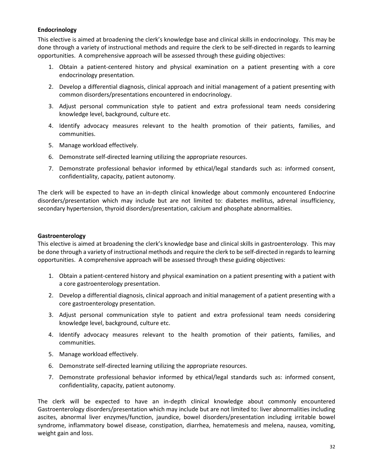# **Endocrinology**

This elective is aimed at broadening the clerk's knowledge base and clinical skills in endocrinology. This may be done through a variety of instructional methods and require the clerk to be self-directed in regards to learning opportunities. A comprehensive approach will be assessed through these guiding objectives:

- 1. Obtain a patient-centered history and physical examination on a patient presenting with a core endocrinology presentation.
- 2. Develop a differential diagnosis, clinical approach and initial management of a patient presenting with common disorders/presentations encountered in endocrinology.
- 3. Adjust personal communication style to patient and extra professional team needs considering knowledge level, background, culture etc.
- 4. Identify advocacy measures relevant to the health promotion of their patients, families, and communities.
- 5. Manage workload effectively.
- 6. Demonstrate self-directed learning utilizing the appropriate resources.
- 7. Demonstrate professional behavior informed by ethical/legal standards such as: informed consent, confidentiality, capacity, patient autonomy.

The clerk will be expected to have an in-depth clinical knowledge about commonly encountered Endocrine disorders/presentation which may include but are not limited to: diabetes mellitus, adrenal insufficiency, secondary hypertension, thyroid disorders/presentation, calcium and phosphate abnormalities.

# **Gastroenterology**

This elective is aimed at broadening the clerk's knowledge base and clinical skills in gastroenterology. This may be done through a variety of instructional methods and require the clerk to be self-directed in regards to learning opportunities. A comprehensive approach will be assessed through these guiding objectives:

- 1. Obtain a patient-centered history and physical examination on a patient presenting with a patient with a core gastroenterology presentation.
- 2. Develop a differential diagnosis, clinical approach and initial management of a patient presenting with a core gastroenterology presentation.
- 3. Adjust personal communication style to patient and extra professional team needs considering knowledge level, background, culture etc.
- 4. Identify advocacy measures relevant to the health promotion of their patients, families, and communities.
- 5. Manage workload effectively.
- 6. Demonstrate self-directed learning utilizing the appropriate resources.
- 7. Demonstrate professional behavior informed by ethical/legal standards such as: informed consent, confidentiality, capacity, patient autonomy.

The clerk will be expected to have an in-depth clinical knowledge about commonly encountered Gastroenterology disorders/presentation which may include but are not limited to: liver abnormalities including ascites, abnormal liver enzymes/function, jaundice, bowel disorders/presentation including irritable bowel syndrome, inflammatory bowel disease, constipation, diarrhea, hematemesis and melena, nausea, vomiting, weight gain and loss.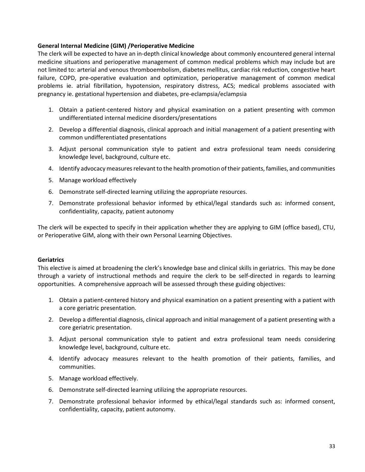# **General Internal Medicine (GIM) /Perioperative Medicine**

The clerk will be expected to have an in-depth clinical knowledge about commonly encountered general internal medicine situations and perioperative management of common medical problems which may include but are not limited to: arterial and venous thromboembolism, diabetes mellitus, cardiac risk reduction, congestive heart failure, COPD, pre-operative evaluation and optimization, perioperative management of common medical problems ie. atrial fibrillation, hypotension, respiratory distress, ACS; medical problems associated with pregnancy ie. gestational hypertension and diabetes, pre-eclampsia/eclampsia

- 1. Obtain a patient-centered history and physical examination on a patient presenting with common undifferentiated internal medicine disorders/presentations
- 2. Develop a differential diagnosis, clinical approach and initial management of a patient presenting with common undifferentiated presentations
- 3. Adjust personal communication style to patient and extra professional team needs considering knowledge level, background, culture etc.
- 4. Identify advocacy measures relevant to the health promotion of their patients, families, and communities
- 5. Manage workload effectively
- 6. Demonstrate self-directed learning utilizing the appropriate resources.
- 7. Demonstrate professional behavior informed by ethical/legal standards such as: informed consent, confidentiality, capacity, patient autonomy

The clerk will be expected to specify in their application whether they are applying to GIM (office based), CTU, or Perioperative GIM, along with their own Personal Learning Objectives.

# **Geriatrics**

This elective is aimed at broadening the clerk's knowledge base and clinical skills in geriatrics. This may be done through a variety of instructional methods and require the clerk to be self-directed in regards to learning opportunities. A comprehensive approach will be assessed through these guiding objectives:

- 1. Obtain a patient-centered history and physical examination on a patient presenting with a patient with a core geriatric presentation.
- 2. Develop a differential diagnosis, clinical approach and initial management of a patient presenting with a core geriatric presentation.
- 3. Adjust personal communication style to patient and extra professional team needs considering knowledge level, background, culture etc.
- 4. Identify advocacy measures relevant to the health promotion of their patients, families, and communities.
- 5. Manage workload effectively.
- 6. Demonstrate self-directed learning utilizing the appropriate resources.
- 7. Demonstrate professional behavior informed by ethical/legal standards such as: informed consent, confidentiality, capacity, patient autonomy.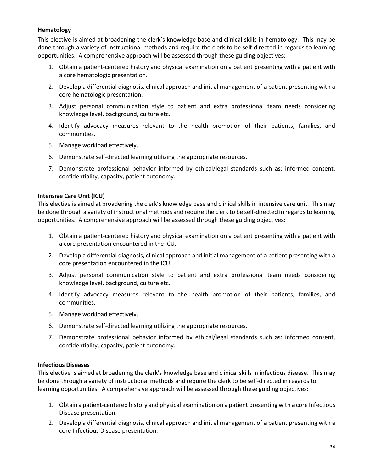# **Hematology**

This elective is aimed at broadening the clerk's knowledge base and clinical skills in hematology. This may be done through a variety of instructional methods and require the clerk to be self-directed in regards to learning opportunities. A comprehensive approach will be assessed through these guiding objectives:

- 1. Obtain a patient-centered history and physical examination on a patient presenting with a patient with a core hematologic presentation.
- 2. Develop a differential diagnosis, clinical approach and initial management of a patient presenting with a core hematologic presentation.
- 3. Adjust personal communication style to patient and extra professional team needs considering knowledge level, background, culture etc.
- 4. Identify advocacy measures relevant to the health promotion of their patients, families, and communities.
- 5. Manage workload effectively.
- 6. Demonstrate self-directed learning utilizing the appropriate resources.
- 7. Demonstrate professional behavior informed by ethical/legal standards such as: informed consent, confidentiality, capacity, patient autonomy.

# **Intensive Care Unit (ICU)**

This elective is aimed at broadening the clerk's knowledge base and clinical skills in intensive care unit. This may be done through a variety of instructional methods and require the clerk to be self-directed in regards to learning opportunities. A comprehensive approach will be assessed through these guiding objectives:

- 1. Obtain a patient-centered history and physical examination on a patient presenting with a patient with a core presentation encountered in the ICU.
- 2. Develop a differential diagnosis, clinical approach and initial management of a patient presenting with a core presentation encountered in the ICU.
- 3. Adjust personal communication style to patient and extra professional team needs considering knowledge level, background, culture etc.
- 4. Identify advocacy measures relevant to the health promotion of their patients, families, and communities.
- 5. Manage workload effectively.
- 6. Demonstrate self-directed learning utilizing the appropriate resources.
- 7. Demonstrate professional behavior informed by ethical/legal standards such as: informed consent, confidentiality, capacity, patient autonomy.

# **Infectious Diseases**

This elective is aimed at broadening the clerk's knowledge base and clinical skills in infectious disease. This may be done through a variety of instructional methods and require the clerk to be self-directed in regards to learning opportunities. A comprehensive approach will be assessed through these guiding objectives:

- 1. Obtain a patient-centered history and physical examination on a patient presenting with a core Infectious Disease presentation.
- 2. Develop a differential diagnosis, clinical approach and initial management of a patient presenting with a core Infectious Disease presentation.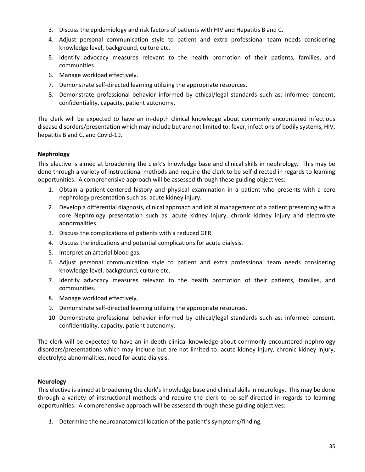- 3. Discuss the epidemiology and risk factors of patients with HIV and Hepatitis B and C.
- 4. Adjust personal communication style to patient and extra professional team needs considering knowledge level, background, culture etc.
- 5. Identify advocacy measures relevant to the health promotion of their patients, families, and communities.
- 6. Manage workload effectively.
- 7. Demonstrate self-directed learning utilizing the appropriate resources.
- 8. Demonstrate professional behavior informed by ethical/legal standards such as: informed consent, confidentiality, capacity, patient autonomy.

The clerk will be expected to have an in-depth clinical knowledge about commonly encountered infectious disease disorders/presentation which may include but are not limited to: fever, infections of bodily systems, HIV, hepatitis B and C, and Covid-19.

# **Nephrology**

This elective is aimed at broadening the clerk's knowledge base and clinical skills in nephrology. This may be done through a variety of instructional methods and require the clerk to be self-directed in regards to learning opportunities. A comprehensive approach will be assessed through these guiding objectives:

- 1. Obtain a patient-centered history and physical examination in a patient who presents with a core nephrology presentation such as: acute kidney injury.
- 2. Develop a differential diagnosis, clinical approach and initial management of a patient presenting with a core Nephrology presentation such as: acute kidney injury, chronic kidney injury and electrolyte abnormalities.
- 3. Discuss the complications of patients with a reduced GFR.
- 4. Discuss the indications and potential complications for acute dialysis.
- 5. Interpret an arterial blood gas.
- 6. Adjust personal communication style to patient and extra professional team needs considering knowledge level, background, culture etc.
- 7. Identify advocacy measures relevant to the health promotion of their patients, families, and communities.
- 8. Manage workload effectively.
- 9. Demonstrate self-directed learning utilizing the appropriate resources.
- 10. Demonstrate professional behavior informed by ethical/legal standards such as: informed consent, confidentiality, capacity, patient autonomy.

The clerk will be expected to have an in-depth clinical knowledge about commonly encountered nephrology disorders/presentations which may include but are not limited to: acute kidney injury, chronic kidney injury, electrolyte abnormalities, need for acute dialysis.

# **Neurology**

This elective is aimed at broadening the clerk's knowledge base and clinical skills in neurology. This may be done through a variety of instructional methods and require the clerk to be self-directed in regards to learning opportunities. A comprehensive approach will be assessed through these guiding objectives:

*1.* Determine the neuroanatomical location of the patient's symptoms/finding*.*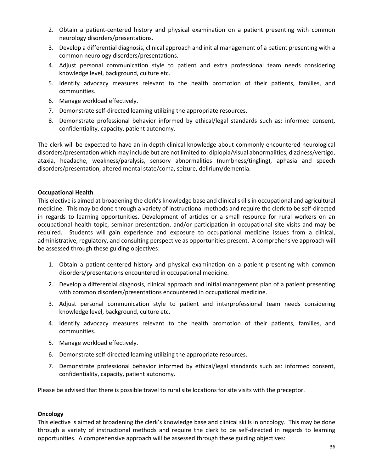- 2. Obtain a patient-centered history and physical examination on a patient presenting with common neurology disorders/presentations.
- 3. Develop a differential diagnosis, clinical approach and initial management of a patient presenting with a common neurology disorders/presentations.
- 4. Adjust personal communication style to patient and extra professional team needs considering knowledge level, background, culture etc.
- 5. Identify advocacy measures relevant to the health promotion of their patients, families, and communities.
- 6. Manage workload effectively.
- 7. Demonstrate self-directed learning utilizing the appropriate resources.
- 8. Demonstrate professional behavior informed by ethical/legal standards such as: informed consent, confidentiality, capacity, patient autonomy.

The clerk will be expected to have an in-depth clinical knowledge about commonly encountered neurological disorders/presentation which may include but are not limited to: diplopia/visual abnormalities, dizziness/vertigo, ataxia, headache, weakness/paralysis, sensory abnormalities (numbness/tingling), aphasia and speech disorders/presentation, altered mental state/coma, seizure, delirium/dementia.

# **Occupational Health**

This elective is aimed at broadening the clerk's knowledge base and clinical skills in occupational and agricultural medicine. This may be done through a variety of instructional methods and require the clerk to be self-directed in regards to learning opportunities. Development of articles or a small resource for rural workers on an occupational health topic, seminar presentation, and/or participation in occupational site visits and may be required. Students will gain experience and exposure to occupational medicine issues from a clinical, administrative, regulatory, and consulting perspective as opportunities present. A comprehensive approach will be assessed through these guiding objectives:

- 1. Obtain a patient-centered history and physical examination on a patient presenting with common disorders/presentations encountered in occupational medicine.
- 2. Develop a differential diagnosis, clinical approach and initial management plan of a patient presenting with common disorders/presentations encountered in occupational medicine.
- 3. Adjust personal communication style to patient and interprofessional team needs considering knowledge level, background, culture etc.
- 4. Identify advocacy measures relevant to the health promotion of their patients, families, and communities.
- 5. Manage workload effectively.
- 6. Demonstrate self-directed learning utilizing the appropriate resources.
- 7. Demonstrate professional behavior informed by ethical/legal standards such as: informed consent, confidentiality, capacity, patient autonomy.

Please be advised that there is possible travel to rural site locations for site visits with the preceptor.

# **Oncology**

This elective is aimed at broadening the clerk's knowledge base and clinical skills in oncology. This may be done through a variety of instructional methods and require the clerk to be self-directed in regards to learning opportunities. A comprehensive approach will be assessed through these guiding objectives: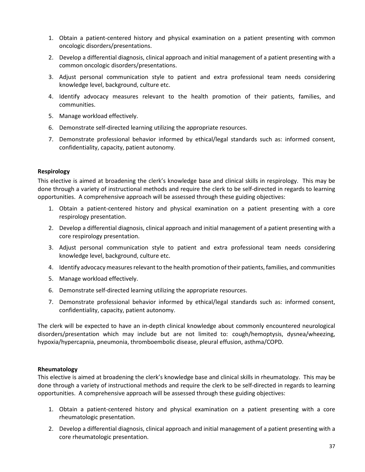- 1. Obtain a patient-centered history and physical examination on a patient presenting with common oncologic disorders/presentations.
- 2. Develop a differential diagnosis, clinical approach and initial management of a patient presenting with a common oncologic disorders/presentations.
- 3. Adjust personal communication style to patient and extra professional team needs considering knowledge level, background, culture etc.
- 4. Identify advocacy measures relevant to the health promotion of their patients, families, and communities.
- 5. Manage workload effectively.
- 6. Demonstrate self-directed learning utilizing the appropriate resources.
- 7. Demonstrate professional behavior informed by ethical/legal standards such as: informed consent, confidentiality, capacity, patient autonomy.

### **Respirology**

This elective is aimed at broadening the clerk's knowledge base and clinical skills in respirology. This may be done through a variety of instructional methods and require the clerk to be self-directed in regards to learning opportunities. A comprehensive approach will be assessed through these guiding objectives:

- 1. Obtain a patient-centered history and physical examination on a patient presenting with a core respirology presentation.
- 2. Develop a differential diagnosis, clinical approach and initial management of a patient presenting with a core respirology presentation.
- 3. Adjust personal communication style to patient and extra professional team needs considering knowledge level, background, culture etc.
- 4. Identify advocacy measures relevant to the health promotion of their patients, families, and communities
- 5. Manage workload effectively.
- 6. Demonstrate self-directed learning utilizing the appropriate resources.
- 7. Demonstrate professional behavior informed by ethical/legal standards such as: informed consent, confidentiality, capacity, patient autonomy.

The clerk will be expected to have an in-depth clinical knowledge about commonly encountered neurological disorders/presentation which may include but are not limited to: cough/hemoptysis, dysnea/wheezing, hypoxia/hypercapnia, pneumonia, thromboembolic disease, pleural effusion, asthma/COPD.

### **Rheumatology**

This elective is aimed at broadening the clerk's knowledge base and clinical skills in rheumatology. This may be done through a variety of instructional methods and require the clerk to be self-directed in regards to learning opportunities. A comprehensive approach will be assessed through these guiding objectives:

- 1. Obtain a patient-centered history and physical examination on a patient presenting with a core rheumatologic presentation.
- 2. Develop a differential diagnosis, clinical approach and initial management of a patient presenting with a core rheumatologic presentation.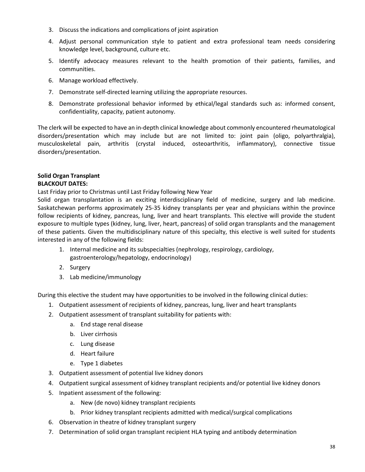- 3. Discuss the indications and complications of joint aspiration
- 4. Adjust personal communication style to patient and extra professional team needs considering knowledge level, background, culture etc.
- 5. Identify advocacy measures relevant to the health promotion of their patients, families, and communities.
- 6. Manage workload effectively.
- 7. Demonstrate self-directed learning utilizing the appropriate resources.
- 8. Demonstrate professional behavior informed by ethical/legal standards such as: informed consent, confidentiality, capacity, patient autonomy.

The clerk will be expected to have an in-depth clinical knowledge about commonly encountered rheumatological disorders/presentation which may include but are not limited to: joint pain (oligo, polyarthralgia), musculoskeletal pain, arthritis (crystal induced, osteoarthritis, inflammatory), connective tissue disorders/presentation.

## **Solid Organ Transplant BLACKOUT DATES:**

# Last Friday prior to Christmas until Last Friday following New Year

Solid organ transplantation is an exciting interdisciplinary field of medicine, surgery and lab medicine. Saskatchewan performs approximately 25-35 kidney transplants per year and physicians within the province follow recipients of kidney, pancreas, lung, liver and heart transplants. This elective will provide the student exposure to multiple types (kidney, lung, liver, heart, pancreas) of solid organ transplants and the management of these patients. Given the multidisciplinary nature of this specialty, this elective is well suited for students interested in any of the following fields:

- 1. Internal medicine and its subspecialties (nephrology, respirology, cardiology, gastroenterology/hepatology, endocrinology)
- 2. Surgery
- 3. Lab medicine/immunology

During this elective the student may have opportunities to be involved in the following clinical duties:

- 1. Outpatient assessment of recipients of kidney, pancreas, lung, liver and heart transplants
- 2. Outpatient assessment of transplant suitability for patients with:
	- a. End stage renal disease
	- b. Liver cirrhosis
	- c. Lung disease
	- d. Heart failure
	- e. Type 1 diabetes
- 3. Outpatient assessment of potential live kidney donors
- 4. Outpatient surgical assessment of kidney transplant recipients and/or potential live kidney donors
- 5. Inpatient assessment of the following:
	- a. New (de novo) kidney transplant recipients
	- b. Prior kidney transplant recipients admitted with medical/surgical complications
- 6. Observation in theatre of kidney transplant surgery
- 7. Determination of solid organ transplant recipient HLA typing and antibody determination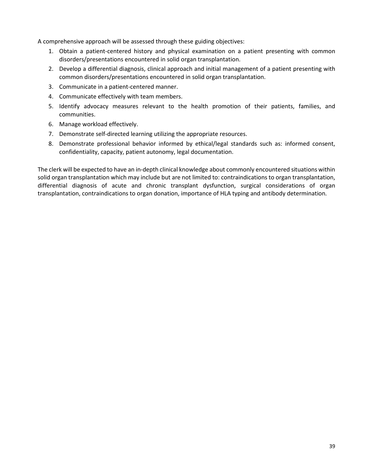A comprehensive approach will be assessed through these guiding objectives:

- 1. Obtain a patient-centered history and physical examination on a patient presenting with common disorders/presentations encountered in solid organ transplantation.
- 2. Develop a differential diagnosis, clinical approach and initial management of a patient presenting with common disorders/presentations encountered in solid organ transplantation.
- 3. Communicate in a patient-centered manner.
- 4. Communicate effectively with team members.
- 5. Identify advocacy measures relevant to the health promotion of their patients, families, and communities.
- 6. Manage workload effectively.
- 7. Demonstrate self-directed learning utilizing the appropriate resources.
- 8. Demonstrate professional behavior informed by ethical/legal standards such as: informed consent, confidentiality, capacity, patient autonomy, legal documentation.

The clerk will be expected to have an in-depth clinical knowledge about commonly encountered situations within solid organ transplantation which may include but are not limited to: contraindications to organ transplantation, differential diagnosis of acute and chronic transplant dysfunction, surgical considerations of organ transplantation, contraindications to organ donation, importance of HLA typing and antibody determination.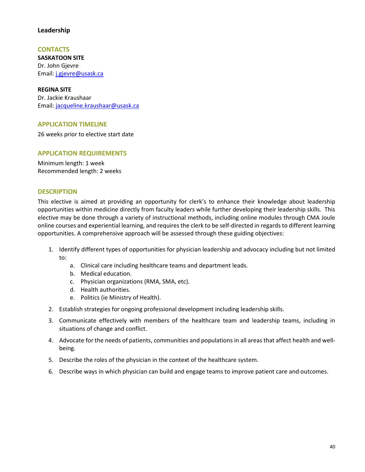# **Leadership**

**CONTACTS SASKATOON SITE**  Dr. John Gjevre Email: [j.gjevre@usask.ca](mailto:j.gjevre@usask.ca) 

**REGINA SITE**  Dr. Jackie Kraushaar Email: [jacqueline.kraushaar@usask.ca](mailto:jacqueline.kraushaar@usask.ca) 

## **APPLICATION TIMELINE**

26 weeks prior to elective start date

### **APPLICATION REQUIREMENTS**

Minimum length: 1 week Recommended length: 2 weeks

#### **DESCRIPTION**

This elective is aimed at providing an opportunity for clerk's to enhance their knowledge about leadership opportunities within medicine directly from faculty leaders while further developing their leadership skills. This elective may be done through a variety of instructional methods, including online modules through CMA Joule online courses and experiential learning, and requires the clerk to be self-directed in regards to different learning opportunities. A comprehensive approach will be assessed through these guiding objectives:

- 1. Identify different types of opportunities for physician leadership and advocacy including but not limited to:
	- a. Clinical care including healthcare teams and department leads.
	- b. Medical education.
	- c. Physician organizations (RMA, SMA, etc).
	- d. Health authorities.
	- e. Politics (ie Ministry of Health).
- 2. Establish strategies for ongoing professional development including leadership skills.
- 3. Communicate effectively with members of the healthcare team and leadership teams, including in situations of change and conflict.
- 4. Advocate for the needs of patients, communities and populations in all areas that affect health and wellbeing.
- 5. Describe the roles of the physician in the context of the healthcare system.
- 6. Describe ways in which physician can build and engage teams to improve patient care and outcomes.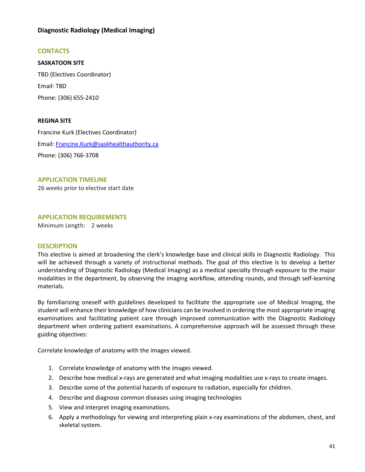# **Diagnostic Radiology (Medical Imaging)**

# **CONTACTS**

**SASKATOON SITE**  TBD (Electives Coordinator) Email: TBD Phone: (306) 655-2410

### **REGINA SITE**

Francine Kurk (Electives Coordinator) Email: [Francine.Kurk@saskhealthauthority.ca](mailto:Francine.Kurk@saskhealthauthority.ca)  Phone: (306) 766-3708

### **APPLICATION TIMELINE**

26 weeks prior to elective start date

### **APPLICATION REQUIREMENTS**

Minimum Length: 2 weeks

#### **DESCRIPTION**

This elective is aimed at broadening the clerk's knowledge base and clinical skills in Diagnostic Radiology. This will be achieved through a variety of instructional methods. The goal of this elective is to develop a better understanding of Diagnostic Radiology (Medical Imaging) as a medical specialty through exposure to the major modalities in the department, by observing the imaging workflow, attending rounds, and through self-learning materials.

By familiarizing oneself with guidelines developed to facilitate the appropriate use of Medical Imaging, the student will enhance their knowledge of how clinicians can be involved in ordering the most appropriate imaging examinations and facilitating patient care through improved communication with the Diagnostic Radiology department when ordering patient examinations. A comprehensive approach will be assessed through these guiding objectives:

Correlate knowledge of anatomy with the images viewed.

- 1. Correlate knowledge of anatomy with the images viewed.
- 2. Describe how medical x-rays are generated and what imaging modalities use x-rays to create images.
- 3. Describe some of the potential hazards of exposure to radiation, especially for children.
- 4. Describe and diagnose common diseases using imaging technologies
- 5. View and interpret imaging examinations.
- 6. Apply a methodology for viewing and interpreting plain x-ray examinations of the abdomen, chest, and skeletal system.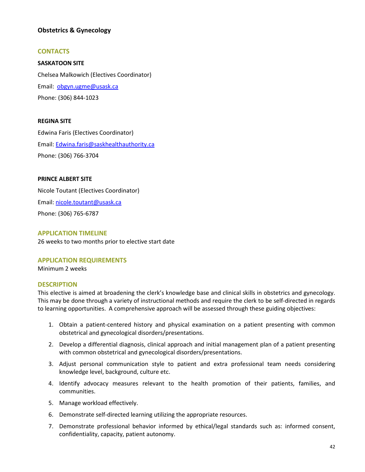# **Obstetrics & Gynecology**

## **CONTACTS**

**SASKATOON SITE**  Chelsea Malkowich (Electives Coordinator) Email: [obgyn.ugme@usask.ca](mailto:obgyn.ugme@usask.ca)  Phone: (306) 844-1023

### **REGINA SITE**

Edwina Faris (Electives Coordinator) Email: [Edwina.faris@saskhealthauthority.ca](mailto:Edwina.faris@saskhealthauthority.ca) Phone: (306) 766-3704

### **PRINCE ALBERT SITE**

Nicole Toutant (Electives Coordinator) Email: [nicole.toutant@usask.ca](mailto:nicole.toutant@usask.ca)  Phone: (306) 765-6787

#### **APPLICATION TIMELINE**

26 weeks to two months prior to elective start date

### **APPLICATION REQUIREMENTS**

Minimum 2 weeks

#### **DESCRIPTION**

This elective is aimed at broadening the clerk's knowledge base and clinical skills in obstetrics and gynecology. This may be done through a variety of instructional methods and require the clerk to be self-directed in regards to learning opportunities. A comprehensive approach will be assessed through these guiding objectives:

- 1. Obtain a patient-centered history and physical examination on a patient presenting with common obstetrical and gynecological disorders/presentations.
- 2. Develop a differential diagnosis, clinical approach and initial management plan of a patient presenting with common obstetrical and gynecological disorders/presentations.
- 3. Adjust personal communication style to patient and extra professional team needs considering knowledge level, background, culture etc.
- 4. Identify advocacy measures relevant to the health promotion of their patients, families, and communities.
- 5. Manage workload effectively.
- 6. Demonstrate self-directed learning utilizing the appropriate resources.
- 7. Demonstrate professional behavior informed by ethical/legal standards such as: informed consent, confidentiality, capacity, patient autonomy.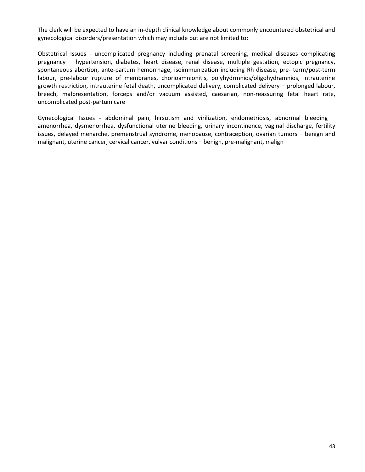The clerk will be expected to have an in-depth clinical knowledge about commonly encountered obstetrical and gynecological disorders/presentation which may include but are not limited to:

Obstetrical Issues - uncomplicated pregnancy including prenatal screening, medical diseases complicating pregnancy – hypertension, diabetes, heart disease, renal disease, multiple gestation, ectopic pregnancy, spontaneous abortion, ante-partum hemorrhage, isoimmunization including Rh disease, pre- term/post-term labour, pre-labour rupture of membranes, chorioamnionitis, polyhydrmnios/oligohydramnios, intrauterine growth restriction, intrauterine fetal death, uncomplicated delivery, complicated delivery – prolonged labour, breech, malpresentation, forceps and/or vacuum assisted, caesarian, non-reassuring fetal heart rate, uncomplicated post-partum care

Gynecological Issues - abdominal pain, hirsutism and virilization, endometriosis, abnormal bleeding – amenorrhea, dysmenorrhea, dysfunctional uterine bleeding, urinary incontinence, vaginal discharge, fertility issues, delayed menarche, premenstrual syndrome, menopause, contraception, ovarian tumors – benign and malignant, uterine cancer, cervical cancer, vulvar conditions – benign, pre-malignant, malign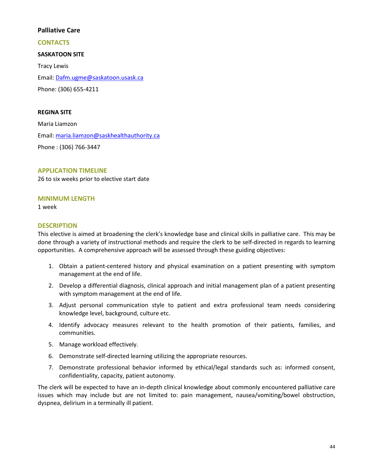## **Palliative Care**

### **CONTACTS**

## **SASKATOON SITE**

Tracy Lewis Email: [Dafm.ugme@saskatoon.usask.ca](mailto:Dafm.ugme@saskatoon.usask.ca) Phone: (306) 655-4211

### **REGINA SITE**

Maria Liamzon Email: [maria.liamzon@saskhealthauthority.ca](mailto:%20maria.liamzon@saskhealthauthority.ca) Phone : (306) 766-3447

### **APPLICATION TIMELINE**

26 to six weeks prior to elective start date

### **MINIMUM LENGTH**

1 week

### **DESCRIPTION**

This elective is aimed at broadening the clerk's knowledge base and clinical skills in palliative care. This may be done through a variety of instructional methods and require the clerk to be self-directed in regards to learning opportunities. A comprehensive approach will be assessed through these guiding objectives:

- 1. Obtain a patient-centered history and physical examination on a patient presenting with symptom management at the end of life.
- 2. Develop a differential diagnosis, clinical approach and initial management plan of a patient presenting with symptom management at the end of life.
- 3. Adjust personal communication style to patient and extra professional team needs considering knowledge level, background, culture etc.
- 4. Identify advocacy measures relevant to the health promotion of their patients, families, and communities.
- 5. Manage workload effectively.
- 6. Demonstrate self-directed learning utilizing the appropriate resources.
- 7. Demonstrate professional behavior informed by ethical/legal standards such as: informed consent, confidentiality, capacity, patient autonomy.

The clerk will be expected to have an in-depth clinical knowledge about commonly encountered palliative care issues which may include but are not limited to: pain management, nausea/vomiting/bowel obstruction, dyspnea, delirium in a terminally ill patient.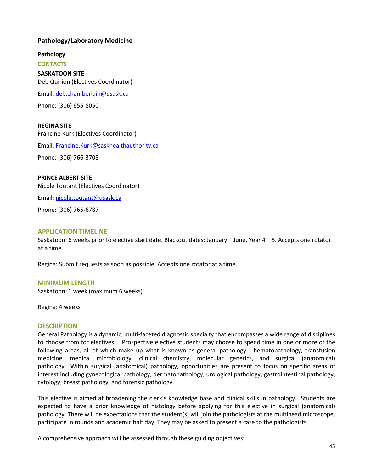# **Pathology/Laboratory Medicine**

**Pathology** 

**CONTACTS SASKATOON SITE**  Deb Quirion (Electives Coordinator)

Email: [deb.chamberlain@usask.ca](mailto:deb.chamberlain@usask.ca)

Phone: (306) 655-8050

### **REGINA SITE**

Francine Kurk (Electives Coordinator) Email: [Francine.Kurk@saskhealthauthority.ca](mailto:Francine.Kurk@saskhealthauthority.ca)

Phone: (306) 766-3708

### **PRINCE ALBERT SITE**

Nicole Toutant (Electives Coordinator)

Email: [nicole.toutant@usask.ca](mailto:nicole.toutant@usask.ca) 

Phone: (306) 765-6787

### **APPLICATION TIMELINE**

Saskatoon: 6 weeks prior to elective start date. Blackout dates: January – June, Year 4 – 5. Accepts one rotator at a time.

Regina: Submit requests as soon as possible. Accepts one rotator at a time.

### **MINIMUM LENGTH**

Saskatoon: 1 week (maximum 6 weeks)

Regina: 4 weeks

### **DESCRIPTION**

General Pathology is a dynamic, multi-faceted diagnostic specialty that encompasses a wide range of disciplines to choose from for electives. Prospective elective students may choose to spend time in one or more of the following areas, all of which make up what is known as general pathology: hematopathology, transfusion medicine, medical microbiology, clinical chemistry, molecular genetics, and surgical (anatomical) pathology. Within surgical (anatomical) pathology, opportunities are present to focus on specific areas of interest including gynecological pathology, dermatopathology, urological pathology, gastrointestinal pathology, cytology, breast pathology, and forensic pathology.

This elective is aimed at broadening the clerk's knowledge base and clinical skills in pathology. Students are expected to have a prior knowledge of histology before applying for this elective in surgical (anatomical) pathology. There will be expectations that the student(s) will join the pathologists at the multihead microscope, participate in rounds and academic half day. They may be asked to present a case to the pathologists.

A comprehensive approach will be assessed through these guiding objectives: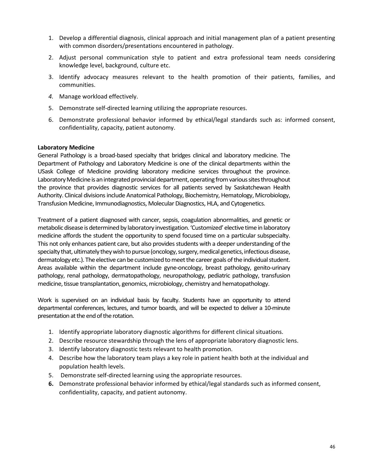- 1. Develop a differential diagnosis, clinical approach and initial management plan of a patient presenting with common disorders/presentations encountered in pathology.
- 2. Adjust personal communication style to patient and extra professional team needs considering knowledge level, background, culture etc.
- 3. Identify advocacy measures relevant to the health promotion of their patients, families, and communities.
- *4.* Manage workload effectively.
- 5. Demonstrate self-directed learning utilizing the appropriate resources.
- 6. Demonstrate professional behavior informed by ethical/legal standards such as: informed consent, confidentiality, capacity, patient autonomy.

## **Laboratory Medicine**

General Pathology is a broad-based specialty that bridges clinical and laboratory medicine. The Department of Pathology and Laboratory Medicine is one of the clinical departments within the USask College of Medicine providing laboratory medicine services throughout the province. Laboratory Medicine is an integrated provincial department, operating from various sites throughout the province that provides diagnostic services for all patients served by Saskatchewan Health Authority. Clinical divisions include Anatomical Pathology, Biochemistry, Hematology, Microbiology, Transfusion Medicine, Immunodiagnostics, Molecular Diagnostics, HLA, and Cytogenetics.

Treatment of a patient diagnosed with cancer, sepsis, coagulation abnormalities, and genetic or metabolic disease is determined by laboratory investigation. 'Customized' elective time in laboratory medicine affords the student the opportunity to spend focused time on a particular subspecialty. This not only enhances patient care, but also provides students with a deeper understanding of the specialty that, ultimately they wish to pursue (oncology, surgery, medical genetics, infectious disease, dermatology etc.). The elective can be customized to meet the career goals of the individual student. Areas available within the department include gyne-oncology, breast pathology, genito-urinary pathology, renal pathology, dermatopathology, neuropathology, pediatric pathology, transfusion medicine, tissue transplantation, genomics, microbiology, chemistry and hematopathology.

Work is supervised on an individual basis by faculty. Students have an opportunity to attend departmental conferences, lectures, and tumor boards, and will be expected to deliver a 10-minute presentation at the end of the rotation.

- 1. Identify appropriate laboratory diagnostic algorithms for different clinical situations.
- 2. Describe resource stewardship through the lens of appropriate laboratory diagnostic lens.
- 3. Identify laboratory diagnostic tests relevant to health promotion.
- 4. Describe how the laboratory team plays a key role in patient health both at the individual and population health levels.
- 5. Demonstrate self-directed learning using the appropriate resources.
- **6.** Demonstrate professional behavior informed by ethical/legal standards such as informed consent, confidentiality, capacity, and patient autonomy.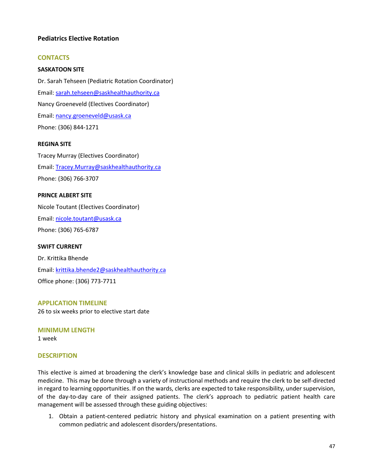# **Pediatrics Elective Rotation**

## **CONTACTS**

### **SASKATOON SITE**

Dr. Sarah Tehseen (Pediatric Rotation Coordinator) Email: [sarah.tehseen@saskhealthauthority.ca](mailto:sarah.tehseen@saskhealthauthority.ca) Nancy Groeneveld (Electives Coordinator) Email: [nancy.groeneveld@usask.ca](mailto:nancy.groeneveld@usask.ca)  Phone: (306) 844-1271

### **REGINA SITE**

Tracey Murray (Electives Coordinator) Email: [Tracey.Murray@saskhealthauthority.ca](mailto:Tracey.Murray@saskhealthauthority.ca)  Phone: (306) 766-3707

#### **PRINCE ALBERT SITE**

Nicole Toutant (Electives Coordinator) Email: [nicole.toutant@usask.ca](mailto:nicole.toutant@usask.ca)  Phone: (306) 765-6787

### **SWIFT CURRENT**

Dr. Krittika Bhende Email: [krittika.bhende2@saskhealthauthority.ca](mailto:krittika.bhende2@saskhealthauthority.ca)  Office phone: (306) 773-7711

# **APPLICATION TIMELINE**

26 to six weeks prior to elective start date

**MINIMUM LENGTH**  1 week

### **DESCRIPTION**

This elective is aimed at broadening the clerk's knowledge base and clinical skills in pediatric and adolescent medicine. This may be done through a variety of instructional methods and require the clerk to be self-directed in regard to learning opportunities. If on the wards, clerks are expected to take responsibility, under supervision, of the day-to-day care of their assigned patients. The clerk's approach to pediatric patient health care management will be assessed through these guiding objectives:

1. Obtain a patient-centered pediatric history and physical examination on a patient presenting with common pediatric and adolescent disorders/presentations.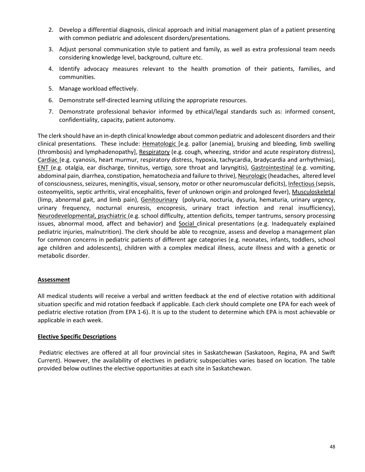- 2. Develop a differential diagnosis, clinical approach and initial management plan of a patient presenting with common pediatric and adolescent disorders/presentations.
- 3. Adjust personal communication style to patient and family, as well as extra professional team needs considering knowledge level, background, culture etc.
- 4. Identify advocacy measures relevant to the health promotion of their patients, families, and communities.
- 5. Manage workload effectively.
- 6. Demonstrate self-directed learning utilizing the appropriate resources.
- 7. Demonstrate professional behavior informed by ethical/legal standards such as: informed consent, confidentiality, capacity, patient autonomy.

The clerk should have an in-depth clinical knowledge about common pediatric and adolescent disorders and their clinical presentations. These include: Hematologic [e.g. pallor (anemia), bruising and bleeding, limb swelling (thrombosis) and lymphadenopathy], Respiratory (e.g. cough, wheezing, stridor and acute respiratory distress), Cardiac (e.g. cyanosis, heart murmur, respiratory distress, hypoxia, tachycardia, bradycardia and arrhythmias), ENT (e.g. otalgia, ear discharge, tinnitus, vertigo, sore throat and laryngitis), Gastrointestinal (e.g. vomiting, abdominal pain, diarrhea, constipation, hematochezia and failure to thrive), Neurologic (headaches, altered level of consciousness, seizures, meningitis, visual, sensory, motor or other neuromuscular deficits), Infectious (sepsis, osteomyelitis, septic arthritis, viral encephalitis, fever of unknown origin and prolonged fever), Musculoskeletal (limp, abnormal gait, and limb pain), Genitourinary (polyuria, nocturia, dysuria, hematuria, urinary urgency, urinary frequency, nocturnal enuresis, encopresis, urinary tract infection and renal insufficiency), Neurodevelopmental, psychiatric (e.g. school difficulty, attention deficits, temper tantrums, sensory processing issues, abnormal mood, affect and behavior) and Social clinical presentations (e.g. Inadequately explained pediatric injuries, malnutrition). The clerk should be able to recognize, assess and develop a management plan for common concerns in pediatric patients of different age categories (e.g. neonates, infants, toddlers, school age children and adolescents), children with a complex medical illness, acute illness and with a genetic or metabolic disorder.

# **Assessment**

All medical students will receive a verbal and written feedback at the end of elective rotation with additional situation specific and mid rotation feedback if applicable. Each clerk should complete one EPA for each week of pediatric elective rotation (from EPA 1-6). It is up to the student to determine which EPA is most achievable or applicable in each week.

### **Elective Specific Descriptions**

Pediatric electives are offered at all four provincial sites in Saskatchewan (Saskatoon, Regina, PA and Swift Current). However, the availability of electives in pediatric subspecialties varies based on location. The table provided below outlines the elective opportunities at each site in Saskatchewan.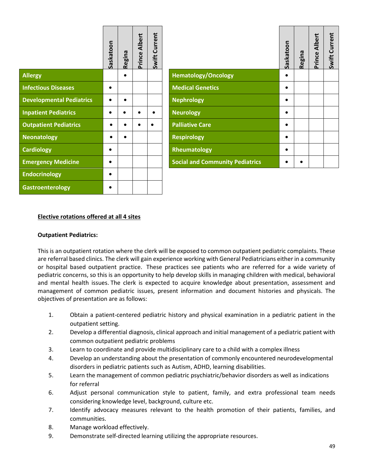|                                 | Saskatoon | Regina | Albert<br>Prince | Swift Current |                                        | Saskatoon | Regina |
|---------------------------------|-----------|--------|------------------|---------------|----------------------------------------|-----------|--------|
| Allergy                         |           |        |                  |               | <b>Hematology/Oncology</b>             |           |        |
| <b>Infectious Diseases</b>      |           |        |                  |               | <b>Medical Genetics</b>                |           |        |
| <b>Developmental Pediatrics</b> |           |        |                  |               | <b>Nephrology</b>                      |           |        |
| <b>Inpatient Pediatrics</b>     | $\bullet$ |        |                  |               | <b>Neurology</b>                       |           |        |
| <b>Outpatient Pediatrics</b>    |           |        |                  |               | <b>Palliative Care</b>                 |           |        |
| Neonatology                     |           |        |                  |               | <b>Respirology</b>                     |           |        |
| <b>Cardiology</b>               |           |        |                  |               | Rheumatology                           |           |        |
| <b>Emergency Medicine</b>       |           |        |                  |               | <b>Social and Community Pediatrics</b> |           |        |
| <b>Endocrinology</b>            | $\bullet$ |        |                  |               |                                        |           |        |
| Gastroenterology                |           |        |                  |               |                                        |           |        |

|                                        | Saskatoon | Regina | Prince Albert | Swift Current |
|----------------------------------------|-----------|--------|---------------|---------------|
| <b>Hematology/Oncology</b>             |           |        |               |               |
| <b>Medical Genetics</b>                |           |        |               |               |
| <b>Nephrology</b>                      |           |        |               |               |
| <b>Neurology</b>                       |           |        |               |               |
| <b>Palliative Care</b>                 |           |        |               |               |
| <b>Respirology</b>                     |           |        |               |               |
| Rheumatology                           |           |        |               |               |
| <b>Social and Community Pediatrics</b> |           |        |               |               |

### **Elective rotations offered at all 4 sites**

### **Outpatient Pediatrics:**

This is an outpatient rotation where the clerk will be exposed to common outpatient pediatric complaints. These are referral based clinics. The clerk will gain experience working with General Pediatricians either in a community or hospital based outpatient practice. These practices see patients who are referred for a wide variety of pediatric concerns, so this is an opportunity to help develop skills in managing children with medical, behavioral and mental health issues. The clerk is expected to acquire knowledge about presentation, assessment and management of common pediatric issues, present information and document histories and physicals. The objectives of presentation are as follows:

- 1. Obtain a patient-centered pediatric history and physical examination in a pediatric patient in the outpatient setting.
- 2. Develop a differential diagnosis, clinical approach and initial management of a pediatric patient with common outpatient pediatric problems
- 3. Learn to coordinate and provide multidisciplinary care to a child with a complex illness
- 4. Develop an understanding about the presentation of commonly encountered neurodevelopmental disorders in pediatric patients such as Autism, ADHD, learning disabilities.
- 5. Learn the management of common pediatric psychiatric/behavior disorders as well as indications for referral
- 6. Adjust personal communication style to patient, family, and extra professional team needs considering knowledge level, background, culture etc.
- 7. Identify advocacy measures relevant to the health promotion of their patients, families, and communities.
- 8. Manage workload effectively.
- 9. Demonstrate self-directed learning utilizing the appropriate resources.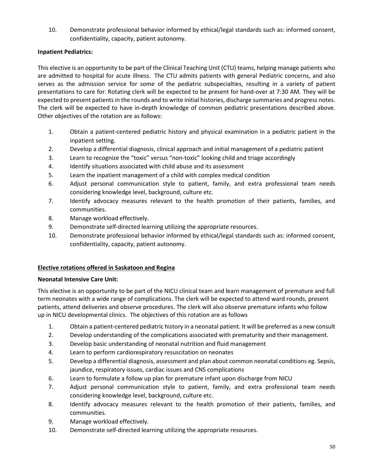10. Demonstrate professional behavior informed by ethical/legal standards such as: informed consent, confidentiality, capacity, patient autonomy.

# **Inpatient Pediatrics:**

This elective is an opportunity to be part of the Clinical Teaching Unit (CTU) teams, helping manage patients who are admitted to hospital for acute illness. The CTU admits patients with general Pediatric concerns, and also serves as the admission service for some of the pediatric subspecialties, resulting in a variety of patient presentations to care for. Rotating clerk will be expected to be present for hand-over at 7:30 AM. They will be expected to present patients in the rounds and to write initial histories, discharge summaries and progress notes. The clerk will be expected to have in-depth knowledge of common pediatric presentations described above. Other objectives of the rotation are as follows:

- 1. Obtain a patient-centered pediatric history and physical examination in a pediatric patient in the inpatient setting.
- 2. Develop a differential diagnosis, clinical approach and initial management of a pediatric patient
- 3. Learn to recognize the "toxic" versus "non-toxic" looking child and triage accordingly
- 4. Identify situations associated with child abuse and its assessment
- 5. Learn the inpatient management of a child with complex medical condition
- 6. Adjust personal communication style to patient, family, and extra professional team needs considering knowledge level, background, culture etc.
- 7. Identify advocacy measures relevant to the health promotion of their patients, families, and communities.
- 8. Manage workload effectively.
- 9. Demonstrate self-directed learning utilizing the appropriate resources.
- 10. Demonstrate professional behavior informed by ethical/legal standards such as: informed consent, confidentiality, capacity, patient autonomy.

### **Elective rotations offered in Saskatoon and Regina**

### **Neonatal Intensive Care Unit:**

This elective is an opportunity to be part of the NICU clinical team and learn management of premature and full term neonates with a wide range of complications. The clerk will be expected to attend ward rounds, present patients, attend deliveries and observe procedures. The clerk will also observe premature infants who follow up in NICU developmental clinics. The objectives of this rotation are as follows

- 1. Obtain a patient-centered pediatric history in a neonatal patient. It will be preferred as a new consult
- 2. Develop understanding of the complications associated with prematurity and their management.
- 3. Develop basic understanding of neonatal nutrition and fluid management
- 4. Learn to perform cardiorespiratory resuscitation on neonates
- 5. Develop a differential diagnosis, assessment and plan about common neonatal conditions eg. Sepsis, jaundice, respiratory issues, cardiac issues and CNS complications
- 6. Learn to formulate a follow up plan for premature infant upon discharge from NICU
- 7. Adjust personal communication style to patient, family, and extra professional team needs considering knowledge level, background, culture etc.
- 8. Identify advocacy measures relevant to the health promotion of their patients, families, and communities.
- 9. Manage workload effectively.
- 10. Demonstrate self-directed learning utilizing the appropriate resources.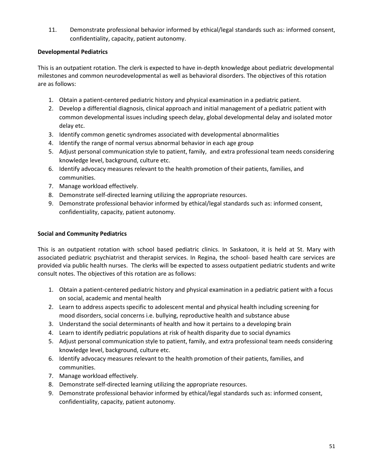11. Demonstrate professional behavior informed by ethical/legal standards such as: informed consent, confidentiality, capacity, patient autonomy.

# **Developmental Pediatrics**

This is an outpatient rotation. The clerk is expected to have in-depth knowledge about pediatric developmental milestones and common neurodevelopmental as well as behavioral disorders. The objectives of this rotation are as follows:

- 1. Obtain a patient-centered pediatric history and physical examination in a pediatric patient.
- 2. Develop a differential diagnosis, clinical approach and initial management of a pediatric patient with common developmental issues including speech delay, global developmental delay and isolated motor delay etc.
- 3. Identify common genetic syndromes associated with developmental abnormalities
- 4. Identify the range of normal versus abnormal behavior in each age group
- 5. Adjust personal communication style to patient, family, and extra professional team needs considering knowledge level, background, culture etc.
- 6. Identify advocacy measures relevant to the health promotion of their patients, families, and communities.
- 7. Manage workload effectively.
- 8. Demonstrate self-directed learning utilizing the appropriate resources.
- 9. Demonstrate professional behavior informed by ethical/legal standards such as: informed consent, confidentiality, capacity, patient autonomy.

### **Social and Community Pediatrics**

This is an outpatient rotation with school based pediatric clinics. In Saskatoon, it is held at St. Mary with associated pediatric psychiatrist and therapist services. In Regina, the school- based health care services are provided via public health nurses. The clerks will be expected to assess outpatient pediatric students and write consult notes. The objectives of this rotation are as follows:

- 1. Obtain a patient-centered pediatric history and physical examination in a pediatric patient with a focus on social, academic and mental health
- 2. Learn to address aspects specific to adolescent mental and physical health including screening for mood disorders, social concerns i.e. bullying, reproductive health and substance abuse
- 3. Understand the social determinants of health and how it pertains to a developing brain
- 4. Learn to identify pediatric populations at risk of health disparity due to social dynamics
- 5. Adjust personal communication style to patient, family, and extra professional team needs considering knowledge level, background, culture etc.
- 6. Identify advocacy measures relevant to the health promotion of their patients, families, and communities.
- 7. Manage workload effectively.
- 8. Demonstrate self-directed learning utilizing the appropriate resources.
- 9. Demonstrate professional behavior informed by ethical/legal standards such as: informed consent, confidentiality, capacity, patient autonomy.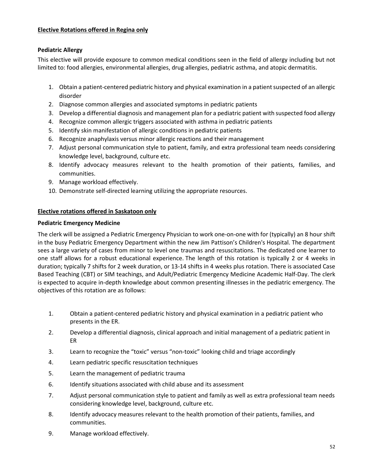## **Elective Rotations offered in Regina only**

## **Pediatric Allergy**

This elective will provide exposure to common medical conditions seen in the field of allergy including but not limited to: food allergies, environmental allergies, drug allergies, pediatric asthma, and atopic dermatitis.

- 1. Obtain a patient-centered pediatric history and physical examination in a patient suspected of an allergic disorder
- 2. Diagnose common allergies and associated symptoms in pediatric patients
- 3. Develop a differential diagnosis and management plan for a pediatric patient with suspected food allergy
- 4. Recognize common allergic triggers associated with asthma in pediatric patients
- 5. Identify skin manifestation of allergic conditions in pediatric patients
- 6. Recognize anaphylaxis versus minor allergic reactions and their management
- 7. Adjust personal communication style to patient, family, and extra professional team needs considering knowledge level, background, culture etc.
- 8. Identify advocacy measures relevant to the health promotion of their patients, families, and communities.
- 9. Manage workload effectively.
- 10. Demonstrate self-directed learning utilizing the appropriate resources.

### **Elective rotations offered in Saskatoon only**

### **Pediatric Emergency Medicine**

The clerk will be assigned a Pediatric Emergency Physician to work one-on-one with for (typically) an 8 hour shift in the busy Pediatric Emergency Department within the new Jim Pattison's Children's Hospital. The department sees a large variety of cases from minor to level one traumas and resuscitations. The dedicated one learner to one staff allows for a robust educational experience. The length of this rotation is typically 2 or 4 weeks in duration; typically 7 shifts for 2 week duration, or 13-14 shifts in 4 weeks plus rotation. There is associated Case Based Teaching (CBT) or SIM teachings, and Adult/Pediatric Emergency Medicine Academic Half-Day. The clerk is expected to acquire in-depth knowledge about common presenting illnesses in the pediatric emergency. The objectives of this rotation are as follows:

- 1. Obtain a patient-centered pediatric history and physical examination in a pediatric patient who presents in the ER.
- 2. Develop a differential diagnosis, clinical approach and initial management of a pediatric patient in ER
- 3. Learn to recognize the "toxic" versus "non-toxic" looking child and triage accordingly
- 4. Learn pediatric specific resuscitation techniques
- 5. Learn the management of pediatric trauma
- 6. Identify situations associated with child abuse and its assessment
- 7. Adjust personal communication style to patient and family as well as extra professional team needs considering knowledge level, background, culture etc.
- 8. Identify advocacy measures relevant to the health promotion of their patients, families, and communities.
- 9. Manage workload effectively.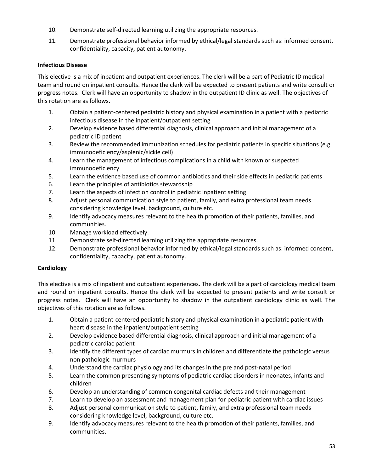- 10. Demonstrate self-directed learning utilizing the appropriate resources.
- 11. Demonstrate professional behavior informed by ethical/legal standards such as: informed consent, confidentiality, capacity, patient autonomy.

# **Infectious Disease**

This elective is a mix of inpatient and outpatient experiences. The clerk will be a part of Pediatric ID medical team and round on inpatient consults. Hence the clerk will be expected to present patients and write consult or progress notes. Clerk will have an opportunity to shadow in the outpatient ID clinic as well. The objectives of this rotation are as follows.

- 1. Obtain a patient-centered pediatric history and physical examination in a patient with a pediatric infectious disease in the inpatient/outpatient setting
- 2. Develop evidence based differential diagnosis, clinical approach and initial management of a pediatric ID patient
- 3. Review the recommended immunization schedules for pediatric patients in specific situations (e.g. immunodeficiency/asplenic/sickle cell)
- 4. Learn the management of infectious complications in a child with known or suspected immunodeficiency
- 5. Learn the evidence based use of common antibiotics and their side effects in pediatric patients
- 6. Learn the principles of antibiotics stewardship
- 7. Learn the aspects of infection control in pediatric inpatient setting
- 8. Adjust personal communication style to patient, family, and extra professional team needs considering knowledge level, background, culture etc.
- 9. Identify advocacy measures relevant to the health promotion of their patients, families, and communities.
- 10. Manage workload effectively.
- 11. Demonstrate self-directed learning utilizing the appropriate resources.
- 12. Demonstrate professional behavior informed by ethical/legal standards such as: informed consent, confidentiality, capacity, patient autonomy.

# **Cardiology**

This elective is a mix of inpatient and outpatient experiences. The clerk will be a part of cardiology medical team and round on inpatient consults. Hence the clerk will be expected to present patients and write consult or progress notes. Clerk will have an opportunity to shadow in the outpatient cardiology clinic as well. The objectives of this rotation are as follows.

- 1. Obtain a patient-centered pediatric history and physical examination in a pediatric patient with heart disease in the inpatient/outpatient setting
- 2. Develop evidence based differential diagnosis, clinical approach and initial management of a pediatric cardiac patient
- 3. Identify the different types of cardiac murmurs in children and differentiate the pathologic versus non pathologic murmurs
- 4. Understand the cardiac physiology and its changes in the pre and post-natal period
- 5. Learn the common presenting symptoms of pediatric cardiac disorders in neonates, infants and children
- 6. Develop an understanding of common congenital cardiac defects and their management
- 7. Learn to develop an assessment and management plan for pediatric patient with cardiac issues
- 8. Adjust personal communication style to patient, family, and extra professional team needs considering knowledge level, background, culture etc.
- 9. Identify advocacy measures relevant to the health promotion of their patients, families, and communities.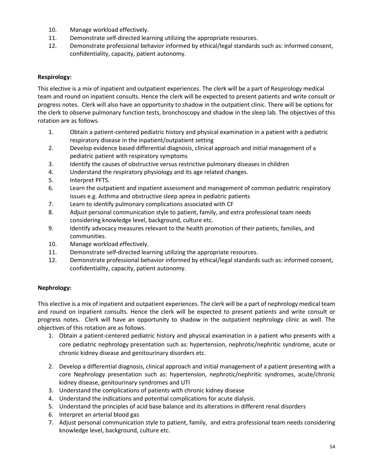- 10. Manage workload effectively.
- 11. Demonstrate self-directed learning utilizing the appropriate resources.
- 12. Demonstrate professional behavior informed by ethical/legal standards such as: informed consent, confidentiality, capacity, patient autonomy.

# **Respirology:**

This elective is a mix of inpatient and outpatient experiences. The clerk will be a part of Respirology medical team and round on inpatient consults. Hence the clerk will be expected to present patients and write consult or progress notes. Clerk will also have an opportunity to shadow in the outpatient clinic. There will be options for the clerk to observe pulmonary function tests, bronchoscopy and shadow in the sleep lab. The objectives of this rotation are as follows.

- 1. Obtain a patient-centered pediatric history and physical examination in a patient with a pediatric respiratory disease in the inpatient/outpatient setting
- 2. Develop evidence based differential diagnosis, clinical approach and initial management of a pediatric patient with respiratory symptoms
- 3. Identify the causes of obstructive versus restrictive pulmonary diseases in children
- 4. Understand the respiratory physiology and its age related changes.
- 5. Interpret PFTS.
- 6. Learn the outpatient and inpatient assessment and management of common pediatric respiratory issues e.g. Asthma and obstructive sleep apnea in pediatric patients
- 7. Learn to identify pulmonary complications associated with CF
- 8. Adjust personal communication style to patient, family, and extra professional team needs considering knowledge level, background, culture etc.
- 9. Identify advocacy measures relevant to the health promotion of their patients, families, and communities.
- 10. Manage workload effectively.
- 11. Demonstrate self-directed learning utilizing the appropriate resources.
- 12. Demonstrate professional behavior informed by ethical/legal standards such as: informed consent, confidentiality, capacity, patient autonomy.

# **Nephrology:**

This elective is a mix of inpatient and outpatient experiences. The clerk will be a part of nephrology medical team and round on inpatient consults. Hence the clerk will be expected to present patients and write consult or progress notes. Clerk will have an opportunity to shadow in the outpatient nephrology clinic as well. The objectives of this rotation are as follows.

- 1. Obtain a patient-centered pediatric history and physical examination in a patient who presents with a core pediatric nephrology presentation such as: hypertension, nephrotic/nephritic syndrome, acute or chronic kidney disease and genitourinary disorders etc.
- 2. Develop a differential diagnosis, clinical approach and initial management of a patient presenting with a core Nephrology presentation such as: hypertension, nephrotic/nephritic syndromes, acute/chronic kidney disease, genitourinary syndromes and UTI
- 3. Understand the complications of patients with chronic kidney disease
- 4. Understand the indications and potential complications for acute dialysis.
- 5. Understand the principles of acid base balance and its alterations in different renal disorders
- 6. Interpret an arterial blood gas
- 7. Adjust personal communication style to patient, family, and extra professional team needs considering knowledge level, background, culture etc.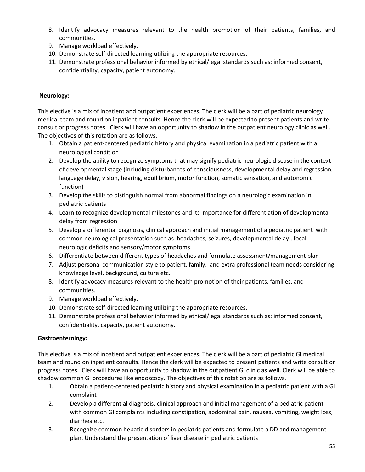- 8. Identify advocacy measures relevant to the health promotion of their patients, families, and communities.
- 9. Manage workload effectively.
- 10. Demonstrate self-directed learning utilizing the appropriate resources.
- 11. Demonstrate professional behavior informed by ethical/legal standards such as: informed consent, confidentiality, capacity, patient autonomy.

# **Neurology:**

This elective is a mix of inpatient and outpatient experiences. The clerk will be a part of pediatric neurology medical team and round on inpatient consults. Hence the clerk will be expected to present patients and write consult or progress notes. Clerk will have an opportunity to shadow in the outpatient neurology clinic as well. The objectives of this rotation are as follows.

- 1. Obtain a patient-centered pediatric history and physical examination in a pediatric patient with a neurological condition
- 2. Develop the ability to recognize symptoms that may signify pediatric neurologic disease in the context of developmental stage (including disturbances of consciousness, developmental delay and regression, language delay, vision, hearing, equilibrium, motor function, somatic sensation, and autonomic function)
- 3. Develop the skills to distinguish normal from abnormal findings on a neurologic examination in pediatric patients
- 4. Learn to recognize developmental milestones and its importance for differentiation of developmental delay from regression
- 5. Develop a differential diagnosis, clinical approach and initial management of a pediatric patient with common neurological presentation such as headaches, seizures, developmental delay , focal neurologic deficits and sensory/motor symptoms
- 6. Differentiate between different types of headaches and formulate assessment/management plan
- 7. Adjust personal communication style to patient, family, and extra professional team needs considering knowledge level, background, culture etc.
- 8. Identify advocacy measures relevant to the health promotion of their patients, families, and communities.
- 9. Manage workload effectively.
- 10. Demonstrate self-directed learning utilizing the appropriate resources.
- 11. Demonstrate professional behavior informed by ethical/legal standards such as: informed consent, confidentiality, capacity, patient autonomy.

# **Gastroenterology:**

This elective is a mix of inpatient and outpatient experiences. The clerk will be a part of pediatric GI medical team and round on inpatient consults. Hence the clerk will be expected to present patients and write consult or progress notes. Clerk will have an opportunity to shadow in the outpatient GI clinic as well. Clerk will be able to shadow common GI procedures like endoscopy. The objectives of this rotation are as follows.

- 1. Obtain a patient-centered pediatric history and physical examination in a pediatric patient with a GI complaint
- 2. Develop a differential diagnosis, clinical approach and initial management of a pediatric patient with common GI complaints including constipation, abdominal pain, nausea, vomiting, weight loss, diarrhea etc.
- 3. Recognize common hepatic disorders in pediatric patients and formulate a DD and management plan. Understand the presentation of liver disease in pediatric patients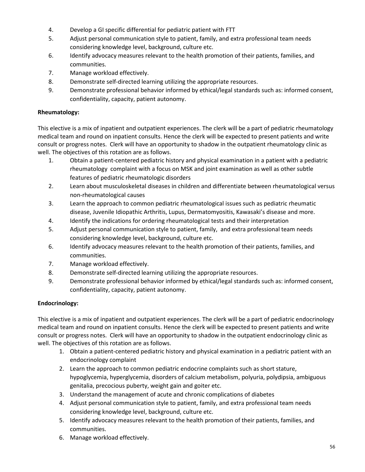- 4. Develop a GI specific differential for pediatric patient with FTT
- 5. Adjust personal communication style to patient, family, and extra professional team needs considering knowledge level, background, culture etc.
- 6. Identify advocacy measures relevant to the health promotion of their patients, families, and communities.
- 7. Manage workload effectively.
- 8. Demonstrate self-directed learning utilizing the appropriate resources.
- 9. Demonstrate professional behavior informed by ethical/legal standards such as: informed consent, confidentiality, capacity, patient autonomy.

## **Rheumatology:**

This elective is a mix of inpatient and outpatient experiences. The clerk will be a part of pediatric rheumatology medical team and round on inpatient consults. Hence the clerk will be expected to present patients and write consult or progress notes. Clerk will have an opportunity to shadow in the outpatient rheumatology clinic as well. The objectives of this rotation are as follows.

- 1. Obtain a patient-centered pediatric history and physical examination in a patient with a pediatric rheumatology complaint with a focus on MSK and joint examination as well as other subtle features of pediatric rheumatologic disorders
- 2. Learn about musculoskeletal diseases in children and differentiate between rheumatological versus non-rheumatological causes
- 3. Learn the approach to common pediatric rheumatological issues such as pediatric rheumatic disease, Juvenile Idiopathic Arthritis, Lupus, Dermatomyositis, Kawasaki's disease and more.
- 4. Identify the indications for ordering rheumatological tests and their interpretation
- 5. Adjust personal communication style to patient, family, and extra professional team needs considering knowledge level, background, culture etc.
- 6. Identify advocacy measures relevant to the health promotion of their patients, families, and communities.
- 7. Manage workload effectively.
- 8. Demonstrate self-directed learning utilizing the appropriate resources.
- 9. Demonstrate professional behavior informed by ethical/legal standards such as: informed consent, confidentiality, capacity, patient autonomy.

# **Endocrinology:**

This elective is a mix of inpatient and outpatient experiences. The clerk will be a part of pediatric endocrinology medical team and round on inpatient consults. Hence the clerk will be expected to present patients and write consult or progress notes. Clerk will have an opportunity to shadow in the outpatient endocrinology clinic as well. The objectives of this rotation are as follows.

- 1. Obtain a patient-centered pediatric history and physical examination in a pediatric patient with an endocrinology complaint
- 2. Learn the approach to common pediatric endocrine complaints such as short stature, hypoglycemia, hyperglycemia, disorders of calcium metabolism, polyuria, polydipsia, ambiguous genitalia, precocious puberty, weight gain and goiter etc.
- 3. Understand the management of acute and chronic complications of diabetes
- 4. Adjust personal communication style to patient, family, and extra professional team needs considering knowledge level, background, culture etc.
- 5. Identify advocacy measures relevant to the health promotion of their patients, families, and communities.
- 6. Manage workload effectively.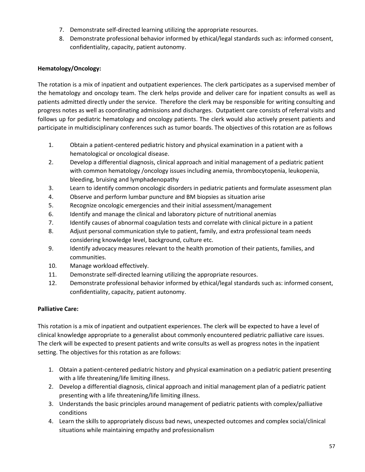- 7. Demonstrate self-directed learning utilizing the appropriate resources.
- 8. Demonstrate professional behavior informed by ethical/legal standards such as: informed consent, confidentiality, capacity, patient autonomy.

# **Hematology/Oncology:**

The rotation is a mix of inpatient and outpatient experiences. The clerk participates as a supervised member of the hematology and oncology team. The clerk helps provide and deliver care for inpatient consults as well as patients admitted directly under the service. Therefore the clerk may be responsible for writing consulting and progress notes as well as coordinating admissions and discharges. Outpatient care consists of referral visits and follows up for pediatric hematology and oncology patients. The clerk would also actively present patients and participate in multidisciplinary conferences such as tumor boards. The objectives of this rotation are as follows

- 1. Obtain a patient-centered pediatric history and physical examination in a patient with a hematological or oncological disease.
- 2. Develop a differential diagnosis, clinical approach and initial management of a pediatric patient with common hematology /oncology issues including anemia, thrombocytopenia, leukopenia, bleeding, bruising and lymphadenopathy
- 3. Learn to identify common oncologic disorders in pediatric patients and formulate assessment plan
- 4. Observe and perform lumbar puncture and BM biopsies as situation arise
- 5. Recognize oncologic emergencies and their initial assessment/management
- 6. Identify and manage the clinical and laboratory picture of nutritional anemias
- 7. Identify causes of abnormal coagulation tests and correlate with clinical picture in a patient
- 8. Adjust personal communication style to patient, family, and extra professional team needs considering knowledge level, background, culture etc.
- 9. Identify advocacy measures relevant to the health promotion of their patients, families, and communities.
- 10. Manage workload effectively.
- 11. Demonstrate self-directed learning utilizing the appropriate resources.
- 12. Demonstrate professional behavior informed by ethical/legal standards such as: informed consent, confidentiality, capacity, patient autonomy.

# **Palliative Care:**

This rotation is a mix of inpatient and outpatient experiences. The clerk will be expected to have a level of clinical knowledge appropriate to a generalist about commonly encountered pediatric palliative care issues. The clerk will be expected to present patients and write consults as well as progress notes in the inpatient setting. The objectives for this rotation as are follows:

- 1. Obtain a patient-centered pediatric history and physical examination on a pediatric patient presenting with a life threatening/life limiting illness.
- 2. Develop a differential diagnosis, clinical approach and initial management plan of a pediatric patient presenting with a life threatening/life limiting illness.
- 3. Understands the basic principles around management of pediatric patients with complex/palliative conditions
- 4. Learn the skills to appropriately discuss bad news, unexpected outcomes and complex social/clinical situations while maintaining empathy and professionalism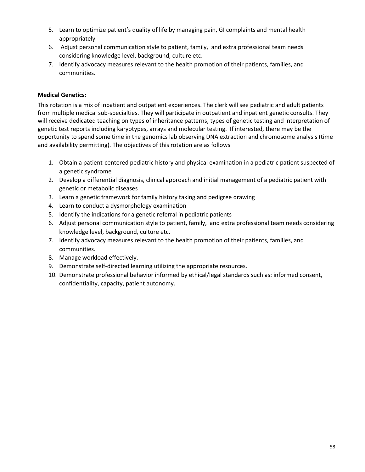- 5. Learn to optimize patient's quality of life by managing pain, GI complaints and mental health appropriately
- 6. Adjust personal communication style to patient, family, and extra professional team needs considering knowledge level, background, culture etc.
- 7. Identify advocacy measures relevant to the health promotion of their patients, families, and communities.

# **Medical Genetics:**

This rotation is a mix of inpatient and outpatient experiences. The clerk will see pediatric and adult patients from multiple medical sub-specialties. They will participate in outpatient and inpatient genetic consults. They will receive dedicated teaching on types of inheritance patterns, types of genetic testing and interpretation of genetic test reports including karyotypes, arrays and molecular testing. If interested, there may be the opportunity to spend some time in the genomics lab observing DNA extraction and chromosome analysis (time and availability permitting). The objectives of this rotation are as follows

- 1. Obtain a patient-centered pediatric history and physical examination in a pediatric patient suspected of a genetic syndrome
- 2. Develop a differential diagnosis, clinical approach and initial management of a pediatric patient with genetic or metabolic diseases
- 3. Learn a genetic framework for family history taking and pedigree drawing
- 4. Learn to conduct a dysmorphology examination
- 5. Identify the indications for a genetic referral in pediatric patients
- 6. Adjust personal communication style to patient, family, and extra professional team needs considering knowledge level, background, culture etc.
- 7. Identify advocacy measures relevant to the health promotion of their patients, families, and communities.
- 8. Manage workload effectively.
- 9. Demonstrate self-directed learning utilizing the appropriate resources.
- 10. Demonstrate professional behavior informed by ethical/legal standards such as: informed consent, confidentiality, capacity, patient autonomy.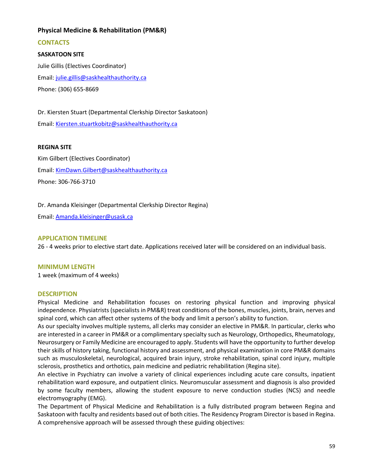# **Physical Medicine & Rehabilitation (PM&R)**

**CONTACTS** 

# **SASKATOON SITE**

Julie Gillis (Electives Coordinator) Email: [julie.gillis@saskhealthauthority.ca](mailto:julie.gillis@saskhealthauthority.ca) Phone: (306) 655-8669

Dr. Kiersten Stuart (Departmental Clerkship Director Saskatoon) Email: [Kiersten.stuartkobitz@saskhealthauthority.ca](mailto:Kiersten.stuartkobitz@saskhealthauthority.ca) 

## **REGINA SITE**

Kim Gilbert (Electives Coordinator) Email: [KimDawn.Gilbert@saskhealthauthority.ca](mailto:KimDawn.Gilbert@saskhealthauthority.ca)  Phone: 306-766-3710

Dr. Amanda Kleisinger (Departmental Clerkship Director Regina)

Email: [Amanda.kleisinger@usask.ca](mailto:Amanda.kleisinger@usask.ca)

## **APPLICATION TIMELINE**

26 - 4 weeks prior to elective start date. Applications received later will be considered on an individual basis.

### **MINIMUM LENGTH**

1 week (maximum of 4 weeks)

### **DESCRIPTION**

Physical Medicine and Rehabilitation focuses on restoring physical function and improving physical independence. Physiatrists (specialists in PM&R) treat conditions of the bones, muscles, joints, brain, nerves and spinal cord, which can affect other systems of the body and limit a person's ability to function.

As our specialty involves multiple systems, all clerks may consider an elective in PM&R. In particular, clerks who are interested in a career in PM&R or a complimentary specialty such as Neurology, Orthopedics, Rheumatology, Neurosurgery or Family Medicine are encouraged to apply. Students will have the opportunity to further develop their skills of history taking, functional history and assessment, and physical examination in core PM&R domains such as musculoskeletal, neurological, acquired brain injury, stroke rehabilitation, spinal cord injury, multiple sclerosis, prosthetics and orthotics, pain medicine and pediatric rehabilitation (Regina site).

An elective in Psychiatry can involve a variety of clinical experiences including acute care consults, inpatient rehabilitation ward exposure, and outpatient clinics. Neuromuscular assessment and diagnosis is also provided by some faculty members, allowing the student exposure to nerve conduction studies (NCS) and needle electromyography (EMG).

The Department of Physical Medicine and Rehabilitation is a fully distributed program between Regina and Saskatoon with faculty and residents based out of both cities. The Residency Program Director is based in Regina. A comprehensive approach will be assessed through these guiding objectives: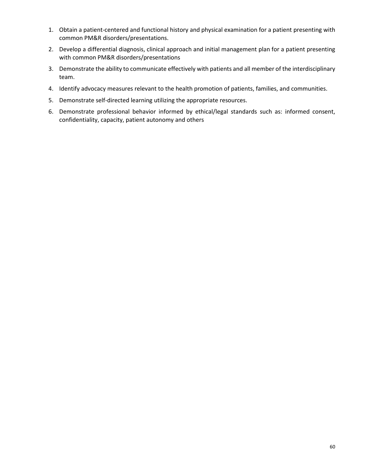- 1. Obtain a patient-centered and functional history and physical examination for a patient presenting with common PM&R disorders/presentations.
- 2. Develop a differential diagnosis, clinical approach and initial management plan for a patient presenting with common PM&R disorders/presentations
- 3. Demonstrate the ability to communicate effectively with patients and all member of the interdisciplinary team.
- 4. Identify advocacy measures relevant to the health promotion of patients, families, and communities.
- 5. Demonstrate self-directed learning utilizing the appropriate resources.
- 6. Demonstrate professional behavior informed by ethical/legal standards such as: informed consent, confidentiality, capacity, patient autonomy and others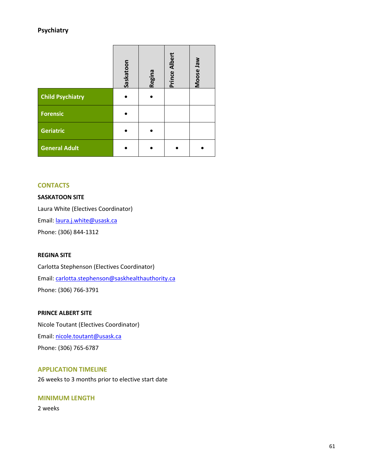# **Psychiatry**

|                         | Saskatoon | <b>Regina</b> | <b>Prince Albert</b> | Moose Jaw |
|-------------------------|-----------|---------------|----------------------|-----------|
| <b>Child Psychiatry</b> |           |               |                      |           |
| <b>Forensic</b>         |           |               |                      |           |
| <b>Geriatric</b>        |           |               |                      |           |
| <b>General Adult</b>    |           |               |                      |           |

## **CONTACTS**

# **SASKATOON SITE**

Laura White (Electives Coordinator) Email: [laura.j.white@usask.ca](mailto:laura.j.white@usask.ca)  Phone: (306) 844-1312

### **REGINA SITE**

Carlotta Stephenson (Electives Coordinator) Email: [carlotta.stephenson@saskhealthauthority.ca](mailto:carlotta.stephenson@saskhealthauthority.ca) Phone: (306) 766-3791

### **PRINCE ALBERT SITE**

Nicole Toutant (Electives Coordinator) Email: [nicole.toutant@usask.ca](mailto:nicole.toutant@usask.ca)  Phone: (306) 765-6787

# **APPLICATION TIMELINE**

26 weeks to 3 months prior to elective start date

# **MINIMUM LENGTH**

2 weeks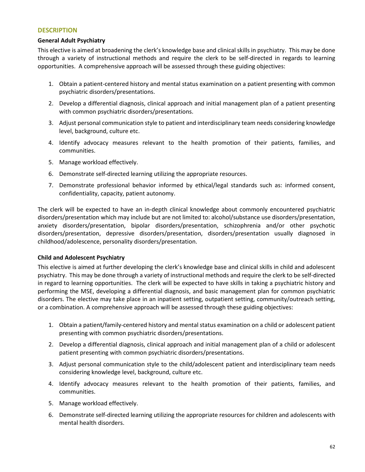### **DESCRIPTION**

### **General Adult Psychiatry**

This elective is aimed at broadening the clerk's knowledge base and clinical skills in psychiatry. This may be done through a variety of instructional methods and require the clerk to be self-directed in regards to learning opportunities. A comprehensive approach will be assessed through these guiding objectives:

- 1. Obtain a patient-centered history and mental status examination on a patient presenting with common psychiatric disorders/presentations.
- 2. Develop a differential diagnosis, clinical approach and initial management plan of a patient presenting with common psychiatric disorders/presentations.
- 3. Adjust personal communication style to patient and interdisciplinary team needs considering knowledge level, background, culture etc.
- 4. Identify advocacy measures relevant to the health promotion of their patients, families, and communities.
- 5. Manage workload effectively.
- 6. Demonstrate self-directed learning utilizing the appropriate resources.
- 7. Demonstrate professional behavior informed by ethical/legal standards such as: informed consent, confidentiality, capacity, patient autonomy.

The clerk will be expected to have an in-depth clinical knowledge about commonly encountered psychiatric disorders/presentation which may include but are not limited to: alcohol/substance use disorders/presentation, anxiety disorders/presentation, bipolar disorders/presentation, schizophrenia and/or other psychotic disorders/presentation, depressive disorders/presentation, disorders/presentation usually diagnosed in childhood/adolescence, personality disorders/presentation.

### **Child and Adolescent Psychiatry**

This elective is aimed at further developing the clerk's knowledge base and clinical skills in child and adolescent psychiatry. This may be done through a variety of instructional methods and require the clerk to be self-directed in regard to learning opportunities. The clerk will be expected to have skills in taking a psychiatric history and performing the MSE, developing a differential diagnosis, and basic management plan for common psychiatric disorders. The elective may take place in an inpatient setting, outpatient setting, community/outreach setting, or a combination. A comprehensive approach will be assessed through these guiding objectives:

- 1. Obtain a patient/family-centered history and mental status examination on a child or adolescent patient presenting with common psychiatric disorders/presentations.
- 2. Develop a differential diagnosis, clinical approach and initial management plan of a child or adolescent patient presenting with common psychiatric disorders/presentations.
- 3. Adjust personal communication style to the child/adolescent patient and interdisciplinary team needs considering knowledge level, background, culture etc.
- 4. Identify advocacy measures relevant to the health promotion of their patients, families, and communities.
- 5. Manage workload effectively.
- 6. Demonstrate self-directed learning utilizing the appropriate resources for children and adolescents with mental health disorders.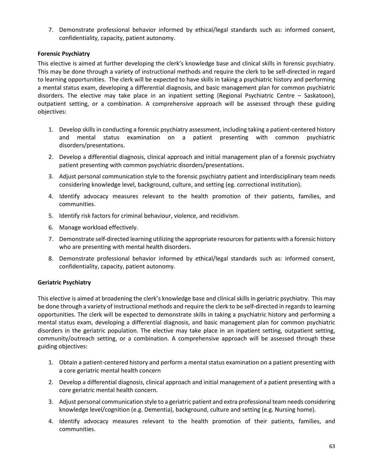7. Demonstrate professional behavior informed by ethical/legal standards such as: informed consent, confidentiality, capacity, patient autonomy.

# **Forensic Psychiatry**

This elective is aimed at further developing the clerk's knowledge base and clinical skills in forensic psychiatry. This may be done through a variety of instructional methods and require the clerk to be self-directed in regard to learning opportunities. The clerk will be expected to have skills in taking a psychiatric history and performing a mental status exam, developing a differential diagnosis, and basic management plan for common psychiatric disorders. The elective may take place in an inpatient setting (Regional Psychiatric Centre – Saskatoon), outpatient setting, or a combination. A comprehensive approach will be assessed through these guiding objectives:

- 1. Develop skills in conducting a forensic psychiatry assessment, including taking a patient-centered history and mental status examination on a patient presenting with common psychiatric disorders/presentations.
- 2. Develop a differential diagnosis, clinical approach and initial management plan of a forensic psychiatry patient presenting with common psychiatric disorders/presentations.
- 3. Adjust personal communication style to the forensic psychiatry patient and interdisciplinary team needs considering knowledge level, background, culture, and setting (eg. correctional institution).
- 4. Identify advocacy measures relevant to the health promotion of their patients, families, and communities.
- 5. Identify risk factors for criminal behaviour, violence, and recidivism.
- 6. Manage workload effectively.
- 7. Demonstrate self-directed learning utilizing the appropriate resources for patients with a forensic history who are presenting with mental health disorders.
- 8. Demonstrate professional behavior informed by ethical/legal standards such as: informed consent, confidentiality, capacity, patient autonomy.

# **Geriatric Psychiatry**

This elective is aimed at broadening the clerk's knowledge base and clinical skills in geriatric psychiatry. This may be done through a variety of instructional methods and require the clerk to be self-directed in regards to learning opportunities. The clerk will be expected to demonstrate skills in taking a psychiatric history and performing a mental status exam, developing a differential diagnosis, and basic management plan for common psychiatric disorders in the geriatric population. The elective may take place in an inpatient setting, outpatient setting, community/outreach setting, or a combination. A comprehensive approach will be assessed through these guiding objectives:

- 1. Obtain a patient-centered history and perform a mental status examination on a patient presenting with a core geriatric mental health concern
- 2. Develop a differential diagnosis, clinical approach and initial management of a patient presenting with a core geriatric mental health concern.
- 3. Adjust personal communication style to a geriatric patient and extra professional team needs considering knowledge level/cognition (e.g. Dementia), background, culture and setting (e.g. Nursing home).
- 4. Identify advocacy measures relevant to the health promotion of their patients, families, and communities.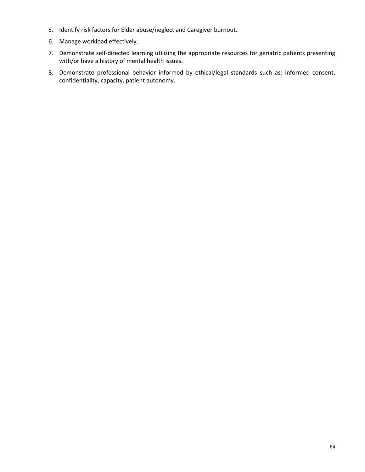- 5. Identify risk factors for Elder abuse/neglect and Caregiver burnout.
- 6. Manage workload effectively.
- 7. Demonstrate self-directed learning utilizing the appropriate resources for geriatric patients presenting with/or have a history of mental health issues.
- 8. Demonstrate professional behavior informed by ethical/legal standards such as: informed consent, confidentiality, capacity, patient autonomy.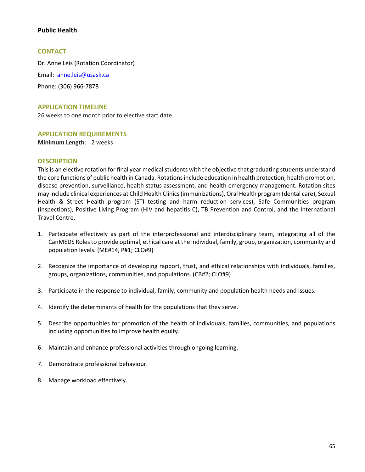# **Public Health**

### **CONTACT**

Dr. Anne Leis (Rotation Coordinator) Email: [anne.leis@usask.ca](mailto:anne.leis@usask.ca)  Phone: (306) 966-7878

### **APPLICATION TIMELINE**

26 weeks to one month prior to elective start date

### **APPLICATION REQUIREMENTS**

**Minimum Length**: 2 weeks

### **DESCRIPTION**

This is an elective rotation for final year medical students with the objective that graduating students understand the core functions of public health in Canada. Rotations include education in health protection, health promotion, disease prevention, surveillance, health status assessment, and health emergency management. Rotation sites may include clinical experiences at Child Health Clinics (immunizations), Oral Health program (dental care), Sexual Health & Street Health program (STI testing and harm reduction services), Safe Communities program (inspections), Positive Living Program (HIV and hepatitis C), TB Prevention and Control, and the International Travel Centre.

- 1. Participate effectively as part of the interprofessional and interdisciplinary team, integrating all of the CanMEDS Roles to provide optimal, ethical care at the individual, family, group, organization, community and population levels. (ME#14, P#1; CLO#9)
- 2. Recognize the importance of developing rapport, trust, and ethical relationships with individuals, families, groups, organizations, communities, and populations. (CB#2; CLO#9)
- 3. Participate in the response to individual, family, community and population health needs and issues.
- 4. Identify the determinants of health for the populations that they serve.
- 5. Describe opportunities for promotion of the health of individuals, families, communities, and populations including opportunities to improve health equity.
- 6. Maintain and enhance professional activities through ongoing learning.
- 7. Demonstrate professional behaviour.
- 8. Manage workload effectively.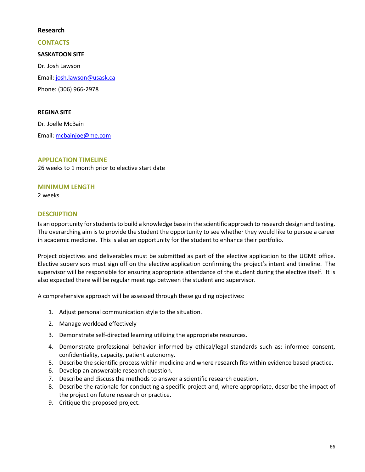## **Research**

## **CONTACTS**

## **SASKATOON SITE**

Dr. Josh Lawson Email: [josh.lawson@usask.ca](mailto:josh.lawson@usask.ca)  Phone: (306) 966-2978

### **REGINA SITE**

Dr. Joelle McBain Email: mcbainjoe@me.com

## **APPLICATION TIMELINE**

26 weeks to 1 month prior to elective start date

## **MINIMUM LENGTH**

2 weeks

# **DESCRIPTION**

Is an opportunity for students to build a knowledge base in the scientific approach to research design and testing. The overarching aim is to provide the student the opportunity to see whether they would like to pursue a career in academic medicine. This is also an opportunity for the student to enhance their portfolio.

Project objectives and deliverables must be submitted as part of the elective application to the UGME office. Elective supervisors must sign off on the elective application confirming the project's intent and timeline. The supervisor will be responsible for ensuring appropriate attendance of the student during the elective itself. It is also expected there will be regular meetings between the student and supervisor.

A comprehensive approach will be assessed through these guiding objectives:

- 1. Adjust personal communication style to the situation.
- 2. Manage workload effectively
- 3. Demonstrate self-directed learning utilizing the appropriate resources.
- 4. Demonstrate professional behavior informed by ethical/legal standards such as: informed consent, confidentiality, capacity, patient autonomy.
- 5. Describe the scientific process within medicine and where research fits within evidence based practice.
- 6. Develop an answerable research question.
- 7. Describe and discuss the methods to answer a scientific research question.
- 8. Describe the rationale for conducting a specific project and, where appropriate, describe the impact of the project on future research or practice.
- 9. Critique the proposed project.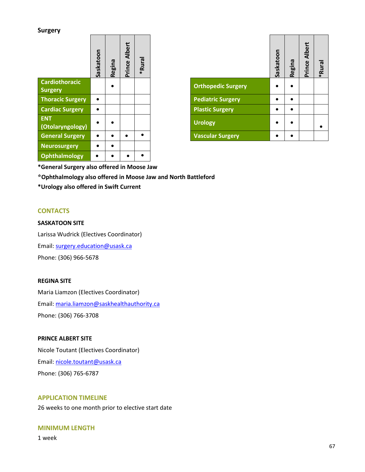### **Surgery**

|                                  | Saskatoon | Regina | Albert<br>Prince | Rural<br>∗ |                           | Saskatoon | Regina    | <br>م |
|----------------------------------|-----------|--------|------------------|------------|---------------------------|-----------|-----------|-------|
| Cardiothoracic<br><b>Surgery</b> |           | ٠      |                  |            | <b>Orthopedic Surgery</b> |           |           |       |
| <b>Thoracic Surgery</b>          | $\bullet$ |        |                  |            | <b>Pediatric Surgery</b>  |           | $\bullet$ |       |
| <b>Cardiac Surgery</b>           | $\bullet$ |        |                  |            | <b>Plastic Surgery</b>    |           |           |       |
| <b>ENT</b><br>(Otolaryngology)   | $\bullet$ |        |                  |            | <b>Urology</b>            |           |           |       |
| <b>General Surgery</b>           | $\bullet$ |        | $\bullet$        |            | <b>Vascular Surgery</b>   | ٠         | ٠         |       |
| <b>Neurosurgery</b>              | $\bullet$ |        |                  |            |                           |           |           |       |
| Ophthalmology                    | $\bullet$ |        |                  |            |                           |           |           |       |

|                           | Saskatoon | <b>Regina</b> | <b>Prince Albert</b> | <b>kanu</b> * |
|---------------------------|-----------|---------------|----------------------|---------------|
| <b>Orthopedic Surgery</b> |           |               |                      |               |
| <b>Pediatric Surgery</b>  |           |               |                      |               |
| <b>Plastic Surgery</b>    |           |               |                      |               |
| <b>Urology</b>            |           |               |                      |               |
| <b>Vascular Surgery</b>   |           |               |                      |               |

**\*General Surgery also offered in Moose Jaw** 

**\*Ophthalmology also offered in Moose Jaw and North Battleford** 

**\*Urology also offered in Swift Current** 

### **CONTACTS**

### **SASKATOON SITE**

Larissa Wudrick (Electives Coordinator) Email: [surgery.education@usask.ca](mailto:surgery.education@usask.ca)  Phone: (306) 966-5678

### **REGINA SITE**

Maria Liamzon (Electives Coordinator) Email: [maria.liamzon@saskhealthauthority.ca](mailto:Francine.Kurk@saskhealthauthority.ca)  Phone: (306) 766-3708

#### **PRINCE ALBERT SITE**

Nicole Toutant (Electives Coordinator) Email: [nicole.toutant@usask.ca](mailto:nicole.toutant@usask.ca)  Phone: (306) 765-6787

# **APPLICATION TIMELINE**

26 weeks to one month prior to elective start date

#### **MINIMUM LENGTH**

1 week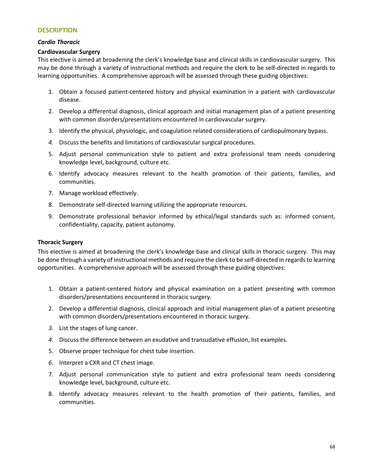#### **DESCRIPTION**

### *Cardio Thoracic*

### **Cardiovascular Surgery**

This elective is aimed at broadening the clerk's knowledge base and clinical skills in cardiovascular surgery. This may be done through a variety of instructional methods and require the clerk to be self-directed in regards to learning opportunities. A comprehensive approach will be assessed through these guiding objectives:

- 1. Obtain a focused patient-centered history and physical examination in a patient with cardiovascular disease.
- 2. Develop a differential diagnosis, clinical approach and initial management plan of a patient presenting with common disorders/presentations encountered in cardiovascular surgery.
- 3. Identify the physical, physiologic, and coagulation related considerations of cardiopulmonary bypass.
- *4.* Discuss the benefits and limitations of cardiovascular surgical procedures.
- 5. Adjust personal communication style to patient and extra professional team needs considering knowledge level, background, culture etc.
- 6. Identify advocacy measures relevant to the health promotion of their patients, families, and communities.
- 7. Manage workload effectively.
- 8. Demonstrate self-directed learning utilizing the appropriate resources.
- 9. Demonstrate professional behavior informed by ethical/legal standards such as: informed consent, confidentiality, capacity, patient autonomy.

### **Thoracic Surgery**

This elective is aimed at broadening the clerk's knowledge base and clinical skills in thoracic surgery. This may be done through a variety of instructional methods and require the clerk to be self-directed in regards to learning opportunities. A comprehensive approach will be assessed through these guiding objectives:

- 1. Obtain a patient-centered history and physical examination on a patient presenting with common disorders/presentations encountered in thoracic surgery.
- 2. Develop a differential diagnosis, clinical approach and initial management plan of a patient presenting with common disorders/presentations encountered in thoracic surgery.
- *3.* List the stages of lung cancer.
- *4.* Discuss the difference between an exudative and transudative effusion, list examples.
- 5. Observe proper technique for chest tube insertion.
- *6.* Interpret a CXR and CT chest image.
- 7. Adjust personal communication style to patient and extra professional team needs considering knowledge level, background, culture etc.
- 8. Identify advocacy measures relevant to the health promotion of their patients, families, and communities.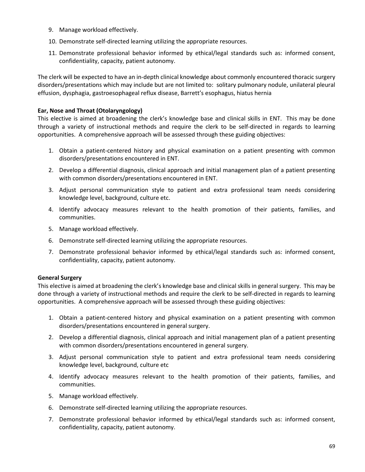- 9. Manage workload effectively.
- 10. Demonstrate self-directed learning utilizing the appropriate resources.
- 11. Demonstrate professional behavior informed by ethical/legal standards such as: informed consent, confidentiality, capacity, patient autonomy.

The clerk will be expected to have an in-depth clinical knowledge about commonly encountered thoracic surgery disorders/presentations which may include but are not limited to: solitary pulmonary nodule, unilateral pleural effusion, dysphagia, gastroesophageal reflux disease, Barrett's esophagus, hiatus hernia

# **Ear, Nose and Throat (Otolaryngology)**

This elective is aimed at broadening the clerk's knowledge base and clinical skills in ENT. This may be done through a variety of instructional methods and require the clerk to be self-directed in regards to learning opportunities. A comprehensive approach will be assessed through these guiding objectives:

- 1. Obtain a patient-centered history and physical examination on a patient presenting with common disorders/presentations encountered in ENT.
- 2. Develop a differential diagnosis, clinical approach and initial management plan of a patient presenting with common disorders/presentations encountered in ENT.
- 3. Adjust personal communication style to patient and extra professional team needs considering knowledge level, background, culture etc.
- 4. Identify advocacy measures relevant to the health promotion of their patients, families, and communities.
- 5. Manage workload effectively.
- 6. Demonstrate self-directed learning utilizing the appropriate resources.
- 7. Demonstrate professional behavior informed by ethical/legal standards such as: informed consent, confidentiality, capacity, patient autonomy.

### **General Surgery**

This elective is aimed at broadening the clerk's knowledge base and clinical skills in general surgery. This may be done through a variety of instructional methods and require the clerk to be self-directed in regards to learning opportunities. A comprehensive approach will be assessed through these guiding objectives:

- 1. Obtain a patient-centered history and physical examination on a patient presenting with common disorders/presentations encountered in general surgery.
- 2. Develop a differential diagnosis, clinical approach and initial management plan of a patient presenting with common disorders/presentations encountered in general surgery.
- 3. Adjust personal communication style to patient and extra professional team needs considering knowledge level, background, culture etc
- 4. Identify advocacy measures relevant to the health promotion of their patients, families, and communities.
- 5. Manage workload effectively.
- 6. Demonstrate self-directed learning utilizing the appropriate resources.
- 7. Demonstrate professional behavior informed by ethical/legal standards such as: informed consent, confidentiality, capacity, patient autonomy.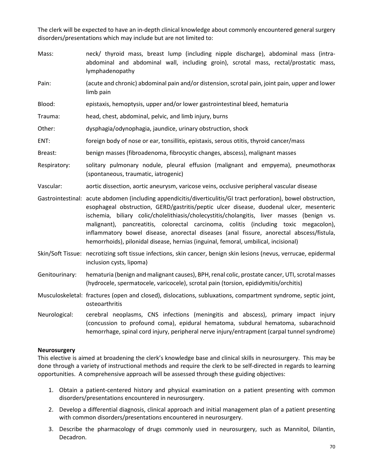The clerk will be expected to have an in-depth clinical knowledge about commonly encountered general surgery disorders/presentations which may include but are not limited to:

- Mass: neck/ thyroid mass, breast lump (including nipple discharge), abdominal mass (intraabdominal and abdominal wall, including groin), scrotal mass, rectal/prostatic mass, lymphadenopathy
- Pain: (acute and chronic) abdominal pain and/or distension, scrotal pain, joint pain, upper and lower limb pain
- Blood: epistaxis, hemoptysis, upper and/or lower gastrointestinal bleed, hematuria
- Trauma: head, chest, abdominal, pelvic, and limb injury, burns
- Other: dysphagia/odynophagia, jaundice, urinary obstruction, shock
- ENT: foreign body of nose or ear, tonsillitis, epistaxis, serous otitis, thyroid cancer/mass
- Breast: benign masses (fibroadenoma, fibrocystic changes, abscess), malignant masses
- Respiratory: solitary pulmonary nodule, pleural effusion (malignant and empyema), pneumothorax (spontaneous, traumatic, iatrogenic)
- Vascular: aortic dissection, aortic aneurysm, varicose veins, occlusive peripheral vascular disease
- Gastrointestinal: acute abdomen (including appendicitis/diverticulitis/GI tract perforation), bowel obstruction, esophageal obstruction, GERD/gastritis/peptic ulcer disease, duodenal ulcer, mesenteric ischemia, biliary colic/cholelithiasis/cholecystitis/cholangitis, liver masses (benign vs. malignant), pancreatitis, colorectal carcinoma, colitis (including toxic megacolon), inflammatory bowel disease, anorectal diseases (anal fissure, anorectal abscess/fistula, hemorrhoids), pilonidal disease, hernias (inguinal, femoral, umbilical, incisional)
- Skin/Soft Tissue: necrotizing soft tissue infections, skin cancer, benign skin lesions (nevus, verrucae, epidermal inclusion cysts, lipoma)
- Genitourinary: hematuria (benign and malignant causes), BPH, renal colic, prostate cancer, UTI, scrotal masses (hydrocele, spermatocele, varicocele), scrotal pain (torsion, epididymitis/orchitis)
- Musculoskeletal: fractures (open and closed), dislocations, subluxations, compartment syndrome, septic joint, osteoarthritis
- Neurological: cerebral neoplasms, CNS infections (meningitis and abscess), primary impact injury (concussion to profound coma), epidural hematoma, subdural hematoma, subarachnoid hemorrhage, spinal cord injury, peripheral nerve injury/entrapment (carpal tunnel syndrome)

#### **Neurosurgery**

This elective is aimed at broadening the clerk's knowledge base and clinical skills in neurosurgery. This may be done through a variety of instructional methods and require the clerk to be self-directed in regards to learning opportunities. A comprehensive approach will be assessed through these guiding objectives:

- 1. Obtain a patient-centered history and physical examination on a patient presenting with common disorders/presentations encountered in neurosurgery.
- 2. Develop a differential diagnosis, clinical approach and initial management plan of a patient presenting with common disorders/presentations encountered in neurosurgery.
- 3. Describe the pharmacology of drugs commonly used in neurosurgery, such as Mannitol, Dilantin, Decadron.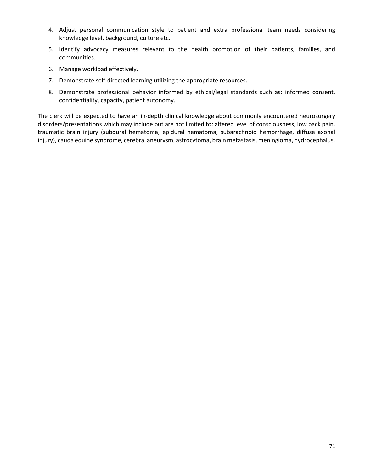- 4. Adjust personal communication style to patient and extra professional team needs considering knowledge level, background, culture etc.
- 5. Identify advocacy measures relevant to the health promotion of their patients, families, and communities.
- 6. Manage workload effectively.
- 7. Demonstrate self-directed learning utilizing the appropriate resources.
- 8. Demonstrate professional behavior informed by ethical/legal standards such as: informed consent, confidentiality, capacity, patient autonomy.

The clerk will be expected to have an in-depth clinical knowledge about commonly encountered neurosurgery disorders/presentations which may include but are not limited to: altered level of consciousness, low back pain, traumatic brain injury (subdural hematoma, epidural hematoma, subarachnoid hemorrhage, diffuse axonal injury), cauda equine syndrome, cerebral aneurysm, astrocytoma, brain metastasis, meningioma, hydrocephalus.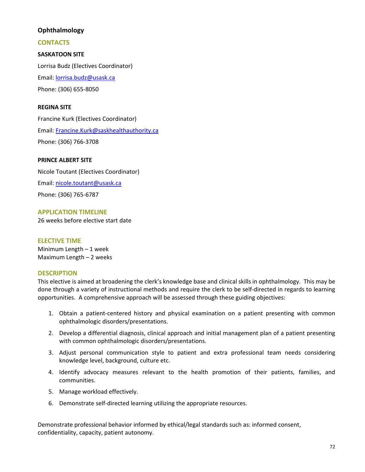# **Ophthalmology**

# **CONTACTS**

# **SASKATOON SITE**

Lorrisa Budz (Electives Coordinator) Email: [lorrisa.budz@usask.ca](mailto:lorrisa.budz@usask.ca)  Phone: (306) 655-8050

## **REGINA SITE**

Francine Kurk (Electives Coordinator) Email: [Francine.Kurk@saskhealthauthority.ca](mailto:Francine.Kurk@saskhealthauthority.ca)  Phone: (306) 766-3708

## **PRINCE ALBERT SITE**

Nicole Toutant (Electives Coordinator) Email: [nicole.toutant@usask.ca](mailto:nicole.toutant@usask.ca)  Phone: (306) 765-6787

### **APPLICATION TIMELINE**

26 weeks before elective start date

### **ELECTIVE TIME**

Minimum Length – 1 week Maximum Length – 2 weeks

### **DESCRIPTION**

This elective is aimed at broadening the clerk's knowledge base and clinical skills in ophthalmology. This may be done through a variety of instructional methods and require the clerk to be self-directed in regards to learning opportunities. A comprehensive approach will be assessed through these guiding objectives:

- 1. Obtain a patient-centered history and physical examination on a patient presenting with common ophthalmologic disorders/presentations.
- 2. Develop a differential diagnosis, clinical approach and initial management plan of a patient presenting with common ophthalmologic disorders/presentations.
- 3. Adjust personal communication style to patient and extra professional team needs considering knowledge level, background, culture etc.
- 4. Identify advocacy measures relevant to the health promotion of their patients, families, and communities.
- 5. Manage workload effectively.
- 6. Demonstrate self-directed learning utilizing the appropriate resources.

Demonstrate professional behavior informed by ethical/legal standards such as: informed consent, confidentiality, capacity, patient autonomy.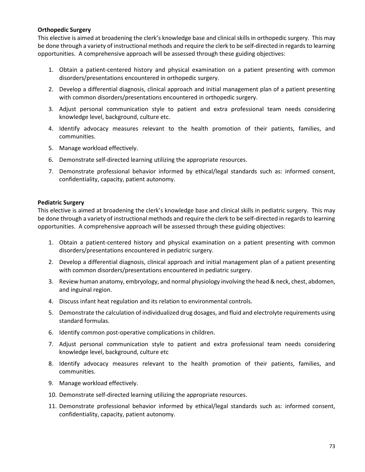### **Orthopedic Surgery**

This elective is aimed at broadening the clerk's knowledge base and clinical skills in orthopedic surgery. This may be done through a variety of instructional methods and require the clerk to be self-directed in regards to learning opportunities. A comprehensive approach will be assessed through these guiding objectives:

- 1. Obtain a patient-centered history and physical examination on a patient presenting with common disorders/presentations encountered in orthopedic surgery.
- 2. Develop a differential diagnosis, clinical approach and initial management plan of a patient presenting with common disorders/presentations encountered in orthopedic surgery.
- 3. Adjust personal communication style to patient and extra professional team needs considering knowledge level, background, culture etc.
- 4. Identify advocacy measures relevant to the health promotion of their patients, families, and communities.
- 5. Manage workload effectively.
- 6. Demonstrate self-directed learning utilizing the appropriate resources.
- 7. Demonstrate professional behavior informed by ethical/legal standards such as: informed consent, confidentiality, capacity, patient autonomy.

### **Pediatric Surgery**

This elective is aimed at broadening the clerk's knowledge base and clinical skills in pediatric surgery. This may be done through a variety of instructional methods and require the clerk to be self-directed in regards to learning opportunities. A comprehensive approach will be assessed through these guiding objectives:

- 1. Obtain a patient-centered history and physical examination on a patient presenting with common disorders/presentations encountered in pediatric surgery.
- 2. Develop a differential diagnosis, clinical approach and initial management plan of a patient presenting with common disorders/presentations encountered in pediatric surgery.
- 3. Review human anatomy, embryology, and normal physiology involving the head & neck, chest, abdomen, and inguinal region.
- 4. Discuss infant heat regulation and its relation to environmental controls.
- 5. Demonstrate the calculation of individualized drug dosages, and fluid and electrolyte requirements using standard formulas.
- 6. Identify common post-operative complications in children.
- 7. Adjust personal communication style to patient and extra professional team needs considering knowledge level, background, culture etc
- 8. Identify advocacy measures relevant to the health promotion of their patients, families, and communities.
- 9. Manage workload effectively.
- 10. Demonstrate self-directed learning utilizing the appropriate resources.
- 11. Demonstrate professional behavior informed by ethical/legal standards such as: informed consent, confidentiality, capacity, patient autonomy.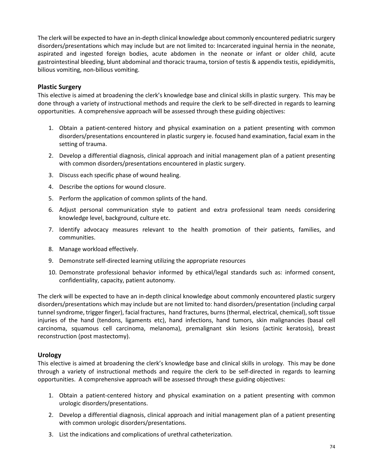The clerk will be expected to have an in-depth clinical knowledge about commonly encountered pediatric surgery disorders/presentations which may include but are not limited to: Incarcerated inguinal hernia in the neonate, aspirated and ingested foreign bodies, acute abdomen in the neonate or infant or older child, acute gastrointestinal bleeding, blunt abdominal and thoracic trauma, torsion of testis & appendix testis, epididymitis, bilious vomiting, non-bilious vomiting.

### **Plastic Surgery**

This elective is aimed at broadening the clerk's knowledge base and clinical skills in plastic surgery. This may be done through a variety of instructional methods and require the clerk to be self-directed in regards to learning opportunities. A comprehensive approach will be assessed through these guiding objectives:

- 1. Obtain a patient-centered history and physical examination on a patient presenting with common disorders/presentations encountered in plastic surgery ie. focused hand examination, facial exam in the setting of trauma.
- 2. Develop a differential diagnosis, clinical approach and initial management plan of a patient presenting with common disorders/presentations encountered in plastic surgery.
- 3. Discuss each specific phase of wound healing.
- 4. Describe the options for wound closure.
- 5. Perform the application of common splints of the hand.
- 6. Adjust personal communication style to patient and extra professional team needs considering knowledge level, background, culture etc.
- 7. Identify advocacy measures relevant to the health promotion of their patients, families, and communities.
- 8. Manage workload effectively.
- 9. Demonstrate self-directed learning utilizing the appropriate resources
- 10. Demonstrate professional behavior informed by ethical/legal standards such as: informed consent, confidentiality, capacity, patient autonomy.

The clerk will be expected to have an in-depth clinical knowledge about commonly encountered plastic surgery disorders/presentations which may include but are not limited to: hand disorders/presentation (including carpal tunnel syndrome, trigger finger), facial fractures, hand fractures, burns (thermal, electrical, chemical), soft tissue injuries of the hand (tendons, ligaments etc), hand infections, hand tumors, skin malignancies (basal cell carcinoma, squamous cell carcinoma, melanoma), premalignant skin lesions (actinic keratosis), breast reconstruction (post mastectomy).

### **Urology**

This elective is aimed at broadening the clerk's knowledge base and clinical skills in urology. This may be done through a variety of instructional methods and require the clerk to be self-directed in regards to learning opportunities. A comprehensive approach will be assessed through these guiding objectives:

- 1. Obtain a patient-centered history and physical examination on a patient presenting with common urologic disorders/presentations.
- 2. Develop a differential diagnosis, clinical approach and initial management plan of a patient presenting with common urologic disorders/presentations.
- 3. List the indications and complications of urethral catheterization.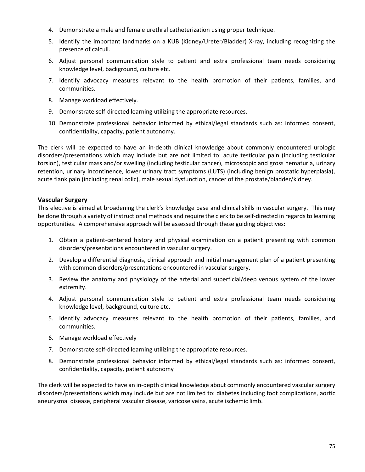- 4. Demonstrate a male and female urethral catheterization using proper technique.
- 5. Identify the important landmarks on a KUB (Kidney/Ureter/Bladder) X-ray, including recognizing the presence of calculi.
- 6. Adjust personal communication style to patient and extra professional team needs considering knowledge level, background, culture etc.
- 7. Identify advocacy measures relevant to the health promotion of their patients, families, and communities.
- 8. Manage workload effectively.
- 9. Demonstrate self-directed learning utilizing the appropriate resources.
- 10. Demonstrate professional behavior informed by ethical/legal standards such as: informed consent, confidentiality, capacity, patient autonomy.

The clerk will be expected to have an in-depth clinical knowledge about commonly encountered urologic disorders/presentations which may include but are not limited to: acute testicular pain (including testicular torsion), testicular mass and/or swelling (including testicular cancer), microscopic and gross hematuria, urinary retention, urinary incontinence, lower urinary tract symptoms (LUTS) (including benign prostatic hyperplasia), acute flank pain (including renal colic), male sexual dysfunction, cancer of the prostate/bladder/kidney.

# **Vascular Surgery**

This elective is aimed at broadening the clerk's knowledge base and clinical skills in vascular surgery. This may be done through a variety of instructional methods and require the clerk to be self-directed in regards to learning opportunities. A comprehensive approach will be assessed through these guiding objectives:

- 1. Obtain a patient-centered history and physical examination on a patient presenting with common disorders/presentations encountered in vascular surgery.
- 2. Develop a differential diagnosis, clinical approach and initial management plan of a patient presenting with common disorders/presentations encountered in vascular surgery.
- 3. Review the anatomy and physiology of the arterial and superficial/deep venous system of the lower extremity.
- 4. Adjust personal communication style to patient and extra professional team needs considering knowledge level, background, culture etc.
- 5. Identify advocacy measures relevant to the health promotion of their patients, families, and communities.
- 6. Manage workload effectively
- 7. Demonstrate self-directed learning utilizing the appropriate resources.
- 8. Demonstrate professional behavior informed by ethical/legal standards such as: informed consent, confidentiality, capacity, patient autonomy

The clerk will be expected to have an in-depth clinical knowledge about commonly encountered vascular surgery disorders/presentations which may include but are not limited to: diabetes including foot complications, aortic aneurysmal disease, peripheral vascular disease, varicose veins, acute ischemic limb.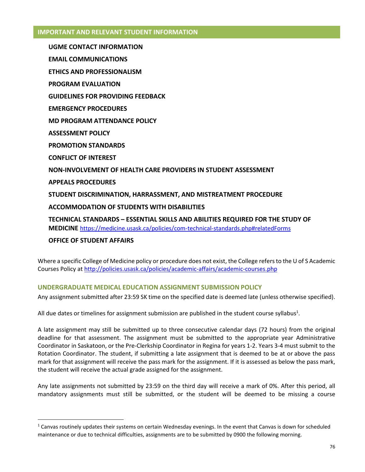### **IMPORTANT AND RELEVANT STUDENT INFORMATION**

**UGME CONTACT INFORMATION EMAIL COMMUNICATIONS ETHICS AND PROFESSIONALISM PROGRAM EVALUATION GUIDELINES FOR PROVIDING FEEDBACK\ EMERGENCY PROCEDURES MD PROGRAM ATTENDANCE POLICY ASSESSMENT POLICY PROMOTION STANDARDS CONFLICT OF INTEREST NON-INVOLVEMENT OF HEALTH CARE PROVIDERS IN STUDENT ASSESSMENT APPEALS PROCEDURES STUDENT DISCRIMINATION, HARRASSMENT, AND MISTREATMENT PROCEDURE ACCOMMODATION OF STUDENTS WITH DISABILITIES TECHNICAL STANDARDS – ESSENTIAL SKILLS AND ABILITIES REQUIRED FOR THE STUDY OF MEDICINE** <https://medicine.usask.ca/policies/com-technical-standards.php#relatedForms>

## **OFFICE OF STUDENT AFFAIRS**

Where a specific College of Medicine policy or procedure does not exist, the College refers to the U of S Academic Courses Policy at<http://policies.usask.ca/policies/academic-affairs/academic-courses.php>

### **UNDERGRADUATE MEDICAL EDUCATION ASSIGNMENT SUBMISSION POLICY**

Any assignment submitted after 23:59 SK time on the specified date is deemed late (unless otherwise specified).

All due dates or timelines for assignment submission are published in the student course syllabus<sup>1</sup>.

A late assignment may still be submitted up to three consecutive calendar days (72 hours) from the original deadline for that assessment. The assignment must be submitted to the appropriate year Administrative Coordinator in Saskatoon, or the Pre-Clerkship Coordinator in Regina for years 1-2. Years 3-4 must submit to the Rotation Coordinator. The student, if submitting a late assignment that is deemed to be at or above the pass mark for that assignment will receive the pass mark for the assignment. If it is assessed as below the pass mark, the student will receive the actual grade assigned for the assignment.

Any late assignments not submitted by 23:59 on the third day will receive a mark of 0%. After this period, all mandatory assignments must still be submitted, or the student will be deemed to be missing a course

 $1$  Canvas routinely updates their systems on certain Wednesday evenings. In the event that Canvas is down for scheduled maintenance or due to technical difficulties, assignments are to be submitted by 0900 the following morning.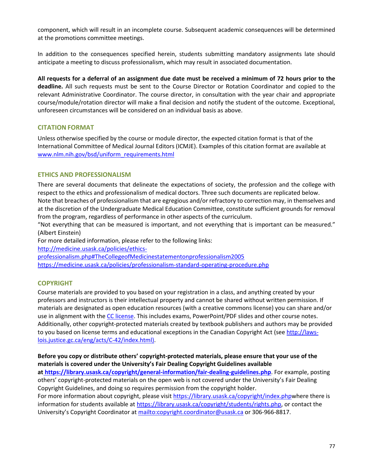component, which will result in an incomplete course. Subsequent academic consequences will be determined at the promotions committee meetings.

In addition to the consequences specified herein, students submitting mandatory assignments late should anticipate a meeting to discuss professionalism, which may result in associated documentation.

**All requests for a deferral of an assignment due date must be received a minimum of 72 hours prior to the deadline.** All such requests must be sent to the Course Director or Rotation Coordinator and copied to the relevant Administrative Coordinator. The course director, in consultation with the year chair and appropriate course/module/rotation director will make a final decision and notify the student of the outcome. Exceptional, unforeseen circumstances will be considered on an individual basis as above.

## **CITATION FORMAT**

Unless otherwise specified by the course or module director, the expected citation format is that of the International Committee of Medical Journal Editors (ICMJE). Examples of this citation format are available at [www.nlm.nih.gov/bsd/uniform\\_requirements.html](http://www.nlm.nih.gov/bsd/uniform_requirements.html)

### **ETHICS AND PROFESSIONALISM**

There are several documents that delineate the expectations of society, the profession and the college with respect to the ethics and professionalism of medical doctors. Three such documents are replicated below. Note that breaches of professionalism that are egregious and/or refractory to correction may, in themselves and at the discretion of the Undergraduate Medical Education Committee, constitute sufficient grounds for removal

from the program, regardless of performance in other aspects of the curriculum. "Not everything that can be measured is important, and not everything that is important can be measured."

(Albert Einstein)

For more detailed information, please refer to the following links:

[http://medicine.usask.ca/policies/ethics-](http://medicine.usask.ca/policies/ethics-professionalism.php#TheCollegeofMedicinestatementonprofessionalism2005)

[professionalism.php#TheCollegeofMedicinestatementonprofessionalism2005](http://medicine.usask.ca/policies/ethics-professionalism.php#TheCollegeofMedicinestatementonprofessionalism2005)  <https://medicine.usask.ca/policies/professionalism-standard-operating-procedure.php>

## **COPYRIGHT**

Course materials are provided to you based on your registration in a class, and anything created by your professors and instructors is their intellectual property and cannot be shared without written permission. If materials are designated as open education resources (with a creative commons license) you can share and/or use in alignment with th[e CC license.](https://openpress.usask.ca/authoring/chapter/creative-commons-licenses/) This includes exams, PowerPoint/PDF slides and other course notes. Additionally, other copyright-protected materials created by textbook publishers and authors may be provided to you based on license terms and educational exceptions in the Canadian Copyright Act (see [http://laws](http://laws-lois.justice.gc.ca/eng/acts/C-42/index.html)[lois.justice.gc.ca/eng/acts/C-42/index.html\).](http://laws-lois.justice.gc.ca/eng/acts/C-42/index.html)

**Before you copy or distribute others' copyright-protected materials, please ensure that your use of the materials is covered under the University's Fair Dealing Copyright Guidelines available a[t https://library.usask.ca/copyright/general-information/fair-dealing-guidelines.php](https://library.usask.ca/copyright/general-information/fair-dealing-guidelines.php)**. For example, posting others' copyright-protected materials on the open web is not covered under the University's Fair Dealing Copyright Guidelines, and doing so requires permission from the copyright holder. For more information about copyright, please visi[t https://library.usask.ca/copyright/index.phpw](https://library.usask.ca/copyright/index.php)here there is

information for students available at [https://library.usask.ca/copyright/students/rights.php,](https://library.usask.ca/copyright/students/rights.php) or contact the University's Copyright Coordinator at [mailto:copyright.coordinator@usask.ca o](mailto:copyright.coordinator@usask.ca)r 306-966-8817.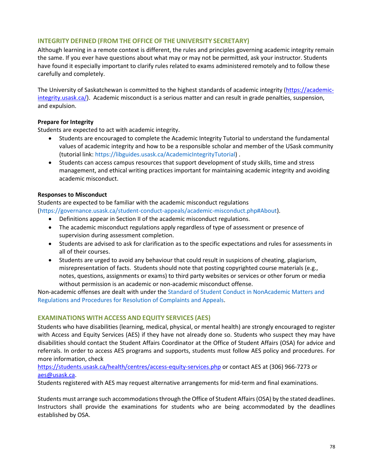## **INTEGRITY DEFINED (FROM THE OFFICE OF THE UNIVERSITY SECRETARY)**

Although learning in a remote context is different, the rules and principles governing academic integrity remain the same. If you ever have questions about what may or may not be permitted, ask your instructor. Students have found it especially important to clarify rules related to exams administered remotely and to follow these carefully and completely.

The University of Saskatchewan is committed to the highest standards of academic integrity [\(https://academic](https://academic-integrity.usask.ca/)[integrity.usask.ca/\)](https://academic-integrity.usask.ca/). Academic misconduct is a serious matter and can result in grade penalties, suspension, and expulsion.

## **Prepare for Integrity**

Students are expected to act with academic integrity.

- Students are encouraged to complete the Academic Integrity Tutorial to understand the fundamental values of academic integrity and how to be a responsible scholar and member of the USask community (tutorial link[: https://libguides.usask.ca/AcademicIntegrityTutorial\)](https://libguides.usask.ca/AcademicIntegrityTutorial) .
- Students can access campus resources that support development of study skills, time and stress management, and ethical writing practices important for maintaining academic integrity and avoiding academic misconduct.

### **Responses to Misconduct**

Students are expected to be familiar with the academic misconduct regulations [\(https://governance.usask.ca/student-conduct-appeals/academic-misconduct.php#About\)](https://governance.usask.ca/student-conduct-appeals/academic-misconduct.php#About).

- Definitions appear in Section II of the academic misconduct regulations.
- The academic misconduct regulations apply regardless of type of assessment or presence of supervision during assessment completion.
- Students are advised to ask for clarification as to the specific expectations and rules for assessments in all of their courses.
- Students are urged to avoid any behaviour that could result in suspicions of cheating, plagiarism, misrepresentation of facts. Students should note that posting copyrighted course materials (e.g., notes, questions, assignments or exams) to third party websites or services or other forum or media without permission is an academic or non-academic misconduct offense.

Non-academic offenses are dealt with under the [Standard of Student Conduct in NonAcademic Matters and](https://governance.usask.ca/student-conduct-appeals/non-academic-misconduct.php)  [Regulations and Procedures for Resolution of Complaints and Appeals.](https://governance.usask.ca/student-conduct-appeals/non-academic-misconduct.php)

## **EXAMINATIONS WITH ACCESS AND EQUITY SERVICES (AES)**

Students who have disabilities (learning, medical, physical, or mental health) are strongly encouraged to register with Access and Equity Services (AES) if they have not already done so. Students who suspect they may have disabilities should contact the Student Affairs Coordinator at the Office of Student Affairs (OSA) for advice and referrals. In order to access AES programs and supports, students must follow AES policy and procedures. For more information, check

### <https://students.usask.ca/health/centres/access-equity-services.php>or contact AES at (306) 966-7273 or aes@usask.ca.

Students registered with AES may request alternative arrangements for mid-term and final examinations.

Students must arrange such accommodations through the Office of Student Affairs (OSA) by the stated deadlines. Instructors shall provide the examinations for students who are being accommodated by the deadlines established by OSA.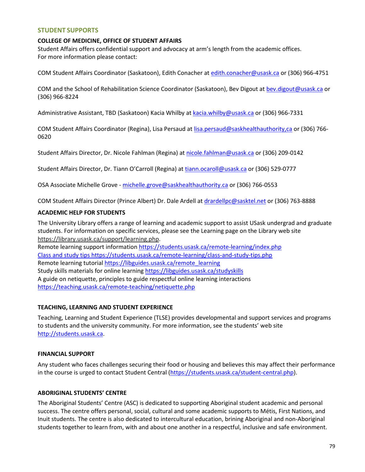#### **STUDENT SUPPORTS**

#### **COLLEGE OF MEDICINE, OFFICE OF STUDENT AFFAIRS**

Student Affairs offers confidential support and advocacy at arm's length from the academic offices. For more information please contact:

COM Student Affairs Coordinator (Saskatoon), Edith Conacher at [edith.conacher@usask.ca o](mailto:edith.conacher@usask.ca)r (306) 966-4751

COM and the School of Rehabilitation Science Coordinator (Saskatoon), Bev Digout at [bev.digout@usask.ca](mailto:bev.digout@usask.ca) or (306) 966-8224

Administrative Assistant, TBD (Saskatoon) Kacia Whilby a[t kacia.whilby@usask.ca](mailto:kacia.whilby@usask.ca) or (306) 966-7331

COM Student Affairs Coordinator (Regina), Lisa Persaud at [lisa.persaud@saskhealthauthority,ca o](mailto:lisa.persaud@saskhealthauthority,ca)r (306) 766- 0620

Student Affairs Director, Dr. Nicole Fahlman (Regina) a[t nicole.fahlman@usask.ca](mailto:nicole.fahlman@usask.ca) or (306) 209-0142

Student Affairs Director, Dr. Tiann O'Carroll (Regina) at [tiann.ocaroll@usask.ca](mailto:tiann.ocaroll@usask.ca) or (306) 529-0777

OSA Associate Michelle Grove [- michelle.grove@saskhealthauthority.ca](mailto:michelle.grove@saskhealthauthority.ca) or (306) 766-0553

COM Student Affairs Director (Prince Albert) Dr. Dale Ardell a[t drardellpc@sasktel.net o](mailto:drardellpc@sasktel.net)r (306) 763-8888

#### **ACADEMIC HELP FOR STUDENTS**

The University Library offers a range of learning and academic support to assist USask undergrad and graduate students. For information on specific services, please see the Learning page on the Library web site [https://library.usask.ca/support/learning.php.](https://library.usask.ca/support/learning.php)

Remote learning support information<https://students.usask.ca/remote-learning/index.php> Class and study tips<https://students.usask.ca/remote-learning/class-and-study-tips.php> Remote learning tutoria[l https://libguides.usask.ca/remote\\_learning](https://libguides.usask.ca/remote_learning) Study skills materials for online learning https://libguides.usask.ca/studyskills A guide on netiquette, principles to guide respectful online learning interactions <https://teaching.usask.ca/remote-teaching/netiquette.php>

#### **TEACHING, LEARNING AND STUDENT EXPERIENCE**

Teaching, Learning and Student Experience (TLSE) provides developmental and support services and programs to students and the university community. For more information, see the students' web site [http://students.usask.ca.](http://students.usask.ca/)

### **FINANCIAL SUPPORT**

Any student who faces challenges securing their food or housing and believes this may affect their performance in the course is urged to contact Student Central [\(https://students.usask.ca/student-central.php\)](https://students.usask.ca/student-central.php).

### **ABORIGINAL STUDENTS' CENTRE**

The Aboriginal Students' Centre (ASC) is dedicated to supporting Aboriginal student academic and personal success. The centre offers personal, social, cultural and some academic supports to Métis, First Nations, and Inuit students. The centre is also dedicated to intercultural education, brining Aboriginal and non-Aboriginal students together to learn from, with and about one another in a respectful, inclusive and safe environment.